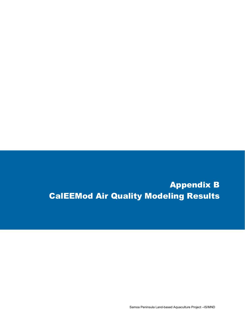# Appendix B CalEEMod Air Quality Modeling Results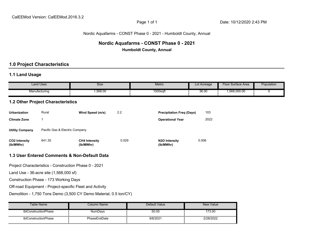#### Nordic Aquafarms - CONST Phase 0 - 2021 - Humboldt County, Annual

# **Nordic Aquafarms - CONST Phase 0 - 2021**

**Humboldt County, Annual**

# **1.0 Project Characteristics**

# **1.1 Land Usage**

|                            | <b>Land Uses</b>                                      | Size                                                     |       | <b>Metric</b>                    | Lot Acreage | <b>Floor Surface Area</b> | Population |
|----------------------------|-------------------------------------------------------|----------------------------------------------------------|-------|----------------------------------|-------------|---------------------------|------------|
|                            | Manufacturing                                         | 1,568.00                                                 |       | 1000sqft                         | 36.00       | 1,568,000.00              | 0          |
|                            | <b>1.2 Other Project Characteristics</b>              |                                                          |       |                                  |             |                           |            |
| <b>Urbanization</b>        | Rural                                                 | Wind Speed (m/s)                                         | 2.2   | <b>Precipitation Freq (Days)</b> | 103         |                           |            |
| <b>Climate Zone</b>        | $\mathbf{1}$                                          |                                                          |       | <b>Operational Year</b>          | 2022        |                           |            |
| <b>Utility Company</b>     | Pacific Gas & Electric Company                        |                                                          |       |                                  |             |                           |            |
| CO2 Intensity<br>(lb/MWhr) | 641.35                                                | <b>CH4 Intensity</b><br>(lb/MWhr)                        | 0.029 | N2O Intensity<br>(lb/MWhr)       | 0.006       |                           |            |
|                            |                                                       | 1.3 User Entered Comments & Non-Default Data             |       |                                  |             |                           |            |
|                            | Project Characteristics - Construction Phase 0 - 2021 |                                                          |       |                                  |             |                           |            |
|                            | Land Use - 36-acre site (1,568,000 sf)                |                                                          |       |                                  |             |                           |            |
|                            | Construction Phase - 173 Working Days                 |                                                          |       |                                  |             |                           |            |
|                            |                                                       | Off-road Equipment - Project-specific Fleet and Activity |       |                                  |             |                           |            |

Demolition - 1,750 Tons Demo (3,500 CY Demo Material, 0.5 ton/CY)

| Table Name           | Column Name.   | Default Value | New Value |
|----------------------|----------------|---------------|-----------|
| tblConstructionPhase | <b>NumDavs</b> | 50.00         | 173.00    |
| tblConstructionPhase | PhaseEndDate   | 9/8/2021      | 2/28/2022 |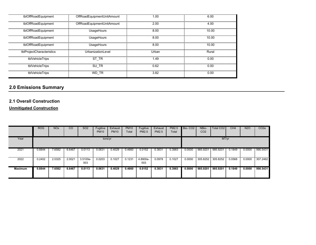| tblOffRoadEquipment       | OffRoadEquipmentUnitAmount | 1.00  | 6.00  |
|---------------------------|----------------------------|-------|-------|
| tblOffRoadEquipment       | OffRoadEquipmentUnitAmount | 2.00  | 4.00  |
| tblOffRoadEquipment       | UsageHours                 | 8.00  | 10.00 |
| tblOffRoadEquipment       | UsageHours                 | 8.00  | 10.00 |
| tblOffRoadEquipment       | UsageHours                 | 8.00  | 10.00 |
| tblProjectCharacteristics | UrbanizationLevel          | Urban | Rural |
| tblVehicleTrips           | ST TR                      | 1.49  | 0.00  |
| tblVehicleTrips           | SU TR                      | 0.62  | 0.00  |
| tblVehicleTrips           | WD TR                      | 3.82  | 0.00  |

# **2.1 Overall Construction**

# **Unmitigated Construction**

|                | <b>ROG</b> | <b>NO<sub>x</sub></b> | CO     | SO <sub>2</sub> | Fugitive<br><b>PM10</b> | Exhaust<br><b>PM10</b> | <b>PM10</b><br>Total | Fugitive<br><b>PM2.5</b> | Exhaust<br><b>PM2.5</b> | <b>PM2.5</b><br>Total | Bio-CO <sub>2</sub> | NBio-<br>CO <sub>2</sub> | Total CO2 | CH4    | N <sub>2</sub> O | CO <sub>2</sub> e |
|----------------|------------|-----------------------|--------|-----------------|-------------------------|------------------------|----------------------|--------------------------|-------------------------|-----------------------|---------------------|--------------------------|-----------|--------|------------------|-------------------|
| Year           |            |                       |        |                 | tons/yr                 |                        |                      |                          |                         |                       |                     |                          | MT/yr     |        |                  |                   |
| 2021           | 0.8844     | 7.6582                | 6.6467 | 0.0113          | 0.0631                  | 0.4029                 | 0.4660               | 0.0152                   | 0.383'                  | 0.3983                | 0.0000              | 985.9201                 | 985.9201  | 0.1849 | 0.0000           | 990.5431          |
| 2022           | 0.2402     | 2.0325                | 2.0021 | 3.5100e-<br>003 | 0.0203                  | 0.1027                 | 0.1231               | 4.8900e-<br>003          | 0.0978                  | 0.1027                | 0.0000              | 305.8252                 | 305.8252  | 0.0568 | 0.0000           | 307.2462          |
| <b>Maximum</b> | 0.8844     | 7.6582                | 6.6467 | 0.0113          | 0.0631                  | 0.4029                 | 0.4660               | 0.0152                   | 0.3831                  | 0.3983                | 0.0000              | 985,9201                 | 985.9201  | 0.1849 | 0.0000           | 990.5431          |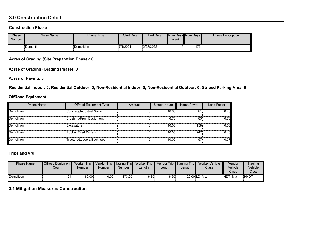# **3.0 Construction Detail**

#### **Construction Phase**

| Phase<br>Number | <b>Phase Name</b> | Phase Type | <b>Start Date</b> | <b>End Date</b> | Week | Num Davs Num Davs | <b>Phase Description</b> |
|-----------------|-------------------|------------|-------------------|-----------------|------|-------------------|--------------------------|
|                 | Demolition        | Demolition | 7/1/2021          | 2/28/2022       |      | 173.              |                          |

**Acres of Grading (Site Preparation Phase): 0**

**Acres of Grading (Grading Phase): 0**

**Acres of Paving: 0**

**Residential Indoor: 0; Residential Outdoor: 0; Non-Residential Indoor: 0; Non-Residential Outdoor: 0; Striped Parking Area: 0** 

#### **OffRoad Equipment**

| <b>Phase Name</b> | <b>Offroad Equipment Type</b> | Amount | Usage Hours | Horse Power | Load Factor |
|-------------------|-------------------------------|--------|-------------|-------------|-------------|
| <b>Demolition</b> | Concrete/Industrial Saws      |        | 10.00       | 81          | 0.73        |
| <b>Demolition</b> | Crushing/Proc. Equipment      |        | 6.70        | 85          | 0.78        |
| <b>Demolition</b> | Excavators                    |        | 10.00       | 158         | 0.38        |
| Demolition        | Rubber Tired Dozers           |        | 10.00       | 247         | 0.40        |
| <b>Demolition</b> | Tractors/Loaders/Backhoes     |        | 10.00       | 97          | 0.37        |

#### **Trips and VMT**

| <b>Phase Name</b> | Offroad Equipment Worker Trip<br>Count | Number | Vendor Trip Hauling Trip<br>Number | <b>Number</b> | Worker Trip<br>_ength | _ength | _ength | Vendor Trip Hauling Trip Worker Vehicle<br><b>Class</b> | Vendor<br>Vehicle | Hauling<br>Vehicle |
|-------------------|----------------------------------------|--------|------------------------------------|---------------|-----------------------|--------|--------|---------------------------------------------------------|-------------------|--------------------|
|                   |                                        |        |                                    |               |                       |        |        |                                                         | Class             | Class <sup>®</sup> |
| <b>Demolition</b> | 24                                     | 60.00  | $0.00\mathbb{I}$                   | 173.00        | 16.80                 | 6.60   |        | 20.00 LD Mix                                            | <b>HDT</b><br>Mix | <b>HHDT</b>        |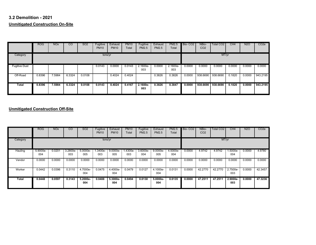# **3.2 Demolition - 2021Unmitigated Construction On-Site**

|                      | <b>ROG</b> | <b>NO<sub>x</sub></b> | CO     | SO <sub>2</sub> | Fugitive<br><b>PM10</b> | Exhaust<br><b>PM10</b> | <b>PM10</b><br>Total | Fugitive<br><b>PM2.5</b> | Exhaust<br><b>PM2.5</b> | <b>PM2.5</b><br>Total | Bio-CO <sub>2</sub> | NBio-<br>CO <sub>2</sub> | Total CO <sub>2</sub> | CH4    | <b>N2O</b> | CO <sub>2</sub> e |
|----------------------|------------|-----------------------|--------|-----------------|-------------------------|------------------------|----------------------|--------------------------|-------------------------|-----------------------|---------------------|--------------------------|-----------------------|--------|------------|-------------------|
| Category             |            |                       |        |                 | tons/yr                 |                        |                      |                          |                         |                       |                     |                          | MT/yr                 |        |            |                   |
| <b>Fugitive Dust</b> |            |                       |        |                 | 0.0143                  | 0.0000                 | 0.0143               | $2.1600e-$<br>003        | 0.0000                  | $2.1600e-$<br>003     | 0.0000              | 0.0000                   | 0.0000                | 0.0000 | 0.0000     | 0.0000            |
| Off-Road             | 0.8396     | 7.5984                | 6.3324 | 0.0108          |                         | 0.4024                 | 0.4024               |                          | 0.3826                  | 0.3826                | 0.0000              | 938.6690                 | 938.6690              | 0.1820 | 0.0000     | 943.2195          |
| Total                | 0.8396     | 7.5984                | 6.3324 | 0.0108          | 0.0143                  | 0.4024                 | 0.4167               | $2.1600e-$<br>003        | 0.3826                  | 0.3847                | 0.0000              | 938.6690                 | 938.6690              | 0.1820 | 0.0000     | 943.2195          |

|          | <b>ROG</b>      | <b>NO<sub>x</sub></b> | $\overline{c}$  | SO <sub>2</sub> | Fugitive<br><b>PM10</b> | Exhaust<br><b>PM10</b> | <b>PM10</b><br>Total | Fugitive<br><b>PM2.5</b> | Exhaust<br><b>PM2.5</b> | <b>PM2.5</b><br>Total | Bio-CO <sub>2</sub> | NBio-<br>CO <sub>2</sub> | Total CO <sub>2</sub> | CH4               | <b>N2O</b> | CO <sub>2</sub> e |
|----------|-----------------|-----------------------|-----------------|-----------------|-------------------------|------------------------|----------------------|--------------------------|-------------------------|-----------------------|---------------------|--------------------------|-----------------------|-------------------|------------|-------------------|
| Category |                 |                       |                 |                 | tons/yr                 |                        |                      |                          |                         |                       |                     |                          | MT/yr                 |                   |            |                   |
| Hauling  | 5.9000e-<br>004 | 0.0201                | 3.2800e-<br>003 | 5.0000e-<br>005 | 1.3400e-<br>003         | $9.0000e -$<br>005     | 1.4300e-<br>003      | 3.6000e-<br>004          | $9.0000e -$<br>005      | 4.5000e-<br>004       | 0.0000              | 4.9742                   | 4.9742                | $.5000e-$<br>004  | 0.0000     | 4.9780            |
| Vendor   | 0.0000          | 0.0000                | 0.0000          | 0.0000          | 0.0000                  | 0.0000                 | 0.0000               | 0.0000                   | 0.0000                  | 0.0000                | 0.0000              | 0.0000                   | 0.0000                | 0.0000            | 0.0000     | 0.0000            |
| Worker   | 0.0442          | 0.0396                | 0.3110          | 4.7000e-<br>004 | 0.0475                  | 4.4000e-<br>004        | 0.0479               | 0.0127                   | 4.1000e-<br>004         | 0.0131                | 0.0000              | 42,2770                  | 42.2770               | 2.7500e-<br>003   | 0.0000     | 42.3457           |
| Total    | 0.0448          | 0.0597                | 0.3143          | 5.2000e-<br>004 | 0.0488                  | 5.3000e-<br>004        | 0.0494               | 0.0130                   | $5.0000e-$<br>004       | 0.0135                | 0.0000              | 47.2511                  | 47.2511               | $2.9000e-$<br>003 | 0.0000     | 47.3236           |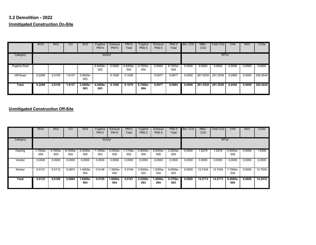# **3.2 Demolition - 2022Unmitigated Construction On-Site**

|                      | ROG    | <b>NO<sub>x</sub></b> | CO     | <b>SO2</b>      | Fugitive<br><b>PM10</b> | Exhaust<br><b>PM10</b> | <b>PM10</b><br>Total | Fugitive<br><b>PM2.5</b> | Exhaust<br><b>PM2.5</b> | <b>PM2.5</b><br>Total | Bio-CO <sub>2</sub> | NBio-<br>CO <sub>2</sub> | <b>Total CO2</b> | CH <sub>4</sub> | <b>N2O</b> | CO <sub>2</sub> e |
|----------------------|--------|-----------------------|--------|-----------------|-------------------------|------------------------|----------------------|--------------------------|-------------------------|-----------------------|---------------------|--------------------------|------------------|-----------------|------------|-------------------|
| Category             |        |                       |        |                 | tons/yr                 |                        |                      |                          |                         |                       |                     |                          | MT/yr            |                 |            |                   |
| <b>Fugitive Dust</b> |        |                       |        |                 | 4.4400e-<br>003         | 0.0000                 | 4.4400e-<br>003      | 6.7000e-<br>004          | 0.0000                  | 6.7000e-<br>004       | 0.0000              | 0.0000                   | 0.0000           | 0.0000          | 0.0000     | 0.0000            |
| Off-Road             | 0.2269 | 2.0155                | 1.9137 | 3.3600e-<br>003 |                         | 0.1026                 | 0.1026               |                          | 0.0977                  | 0.0977                | 0.0000              | 291.5539                 | 291.5539         | 0.0560          | 0.0000     | 292.9545          |
| Total                | 0.2269 | 2.0155                | 1.9137 | 3.3600e-<br>003 | 4.4400e-<br>003         | 0.1026                 | 0.1070               | 6.7000e-<br>004          | 0.0977                  | 0.0984                | 0.0000              | 291.5539                 | 291.5539         | 0.0560          | 0.0000     | 292.9545          |

|              | <b>ROG</b>      | <b>NO<sub>x</sub></b> | $\overline{c}$  | SO <sub>2</sub> | Fugitive<br><b>PM10</b> | Exhaust<br><b>PM10</b> | <b>PM10</b><br>Total | Fugitive<br><b>PM2.5</b> | Exhaust<br><b>PM2.5</b> | <b>PM2.5</b><br>Total | Bio-CO <sub>2</sub> | NBio-<br>CO <sub>2</sub> | Total CO <sub>2</sub> | CH4               | <b>N2O</b> | CO <sub>2</sub> e |
|--------------|-----------------|-----------------------|-----------------|-----------------|-------------------------|------------------------|----------------------|--------------------------|-------------------------|-----------------------|---------------------|--------------------------|-----------------------|-------------------|------------|-------------------|
| Category     |                 |                       |                 |                 | tons/yr                 |                        |                      |                          |                         |                       |                     |                          | MT/yr                 |                   |            |                   |
| Hauling      | 1.7000e-<br>004 | 5.7600e-<br>003       | 9.7000e-<br>004 | 2.0000e-<br>005 | 1.1500e-<br>003         | 3.0000e-<br>005        | 1.1700e-<br>003      | 2.9000e-<br>004          | 2.0000e-<br>005         | $3.2000e-$<br>004     | 0.0000              | 1.5279                   | .5279                 | $5.0000e-$<br>005 | 0.0000     | 1.5290            |
| Vendor       | 0.0000          | 0.0000                | 0.0000          | 0.0000          | 0.0000                  | 0.0000                 | 0.0000               | 0.0000                   | 0.0000                  | 0.0000                | 0.0000              | 0.0000                   | 0.0000                | 0.0000            | 0.0000     | 0.0000            |
| Worker       | 0.0131          | 0.0112                | 0.0874          | .4000e-<br>004  | 0.0148                  | 1.3000e-<br>004        | 0.0149               | 3.9300e-<br>003          | $.2000e-$<br>004        | 4.0500e-<br>003       | 0.0000              | 12.7434                  | 12.7434               | 7.7000e-<br>004   | 0.0000     | 12.7626           |
| <b>Total</b> | 0.0133          | 0.0169                | 0.0884          | 1.6000e-<br>004 | 0.0159                  | 1.6000e-<br>004        | 0.0161               | 4.2200e-<br>003          | 1.4000e-<br>004         | 4.3700e-<br>003       | 0.0000              | 14.2713                  | 14.2713               | $8.2000e-$<br>004 | 0.0000     | 14.2916           |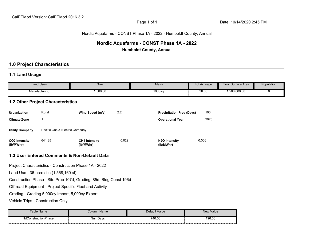# Nordic Aquafarms - CONST Phase 1A - 2022 - Humboldt County, Annual

# **Nordic Aquafarms - CONST Phase 1A - 2022 Humboldt County, Annual**

# **1.0 Project Characteristics**

# **1.1 Land Usage**

|                                   | <b>Land Uses</b>                                 | Size                                                               |       | Metric                           | Lot Acreage | Floor Surface Area | Population |
|-----------------------------------|--------------------------------------------------|--------------------------------------------------------------------|-------|----------------------------------|-------------|--------------------|------------|
|                                   | Manufacturing                                    | 1,568.00                                                           |       | 1000sqft                         | 36.00       | 1,568,000.00       |            |
|                                   | <b>1.2 Other Project Characteristics</b>         |                                                                    |       |                                  |             |                    |            |
| <b>Urbanization</b>               | Rural                                            | Wind Speed (m/s)                                                   | 2.2   | <b>Precipitation Freq (Days)</b> | 103         |                    |            |
| <b>Climate Zone</b>               | $\mathbf{1}$                                     |                                                                    |       | <b>Operational Year</b>          | 2023        |                    |            |
| <b>Utility Company</b>            | Pacific Gas & Electric Company                   |                                                                    |       |                                  |             |                    |            |
| <b>CO2 Intensity</b><br>(lb/MWhr) | 641.35                                           | <b>CH4 Intensity</b><br>(lb/MWhr)                                  | 0.029 | N2O Intensity<br>(lb/MWhr)       | 0.006       |                    |            |
|                                   |                                                  | 1.3 User Entered Comments & Non-Default Data                       |       |                                  |             |                    |            |
|                                   |                                                  | Project Characteristics - Construction Phase 1A - 2022             |       |                                  |             |                    |            |
|                                   | Land Use - 36-acre site (1,568,160 sf)           |                                                                    |       |                                  |             |                    |            |
|                                   |                                                  | Construction Phase - Site Prep 107d, Grading, 85d, Bldg Const 196d |       |                                  |             |                    |            |
|                                   |                                                  | Off-road Equipment - Project-Specific Fleet and Activity           |       |                                  |             |                    |            |
|                                   | Grading - Grading 5,000cy Import, 5,000cy Export |                                                                    |       |                                  |             |                    |            |
|                                   | Vehicle Trips - Construction Only                |                                                                    |       |                                  |             |                    |            |
|                                   | Tahle Name                                       | Column Name                                                        |       | Default Value                    | Alew Value  |                    |            |

| able<br>: Name                  | olumn<br>∟Name | Default Value | New Value |
|---------------------------------|----------------|---------------|-----------|
| -<br>thư<br>›IConstructionPhase | NumDavs        | 740.00        | 196.00    |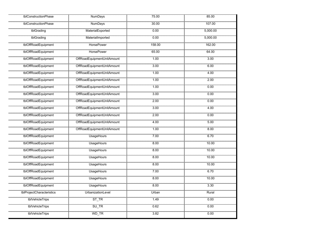| tblConstructionPhase      | <b>NumDays</b>             | 75.00  | 85.00    |
|---------------------------|----------------------------|--------|----------|
| tblConstructionPhase      | <b>NumDays</b>             | 30.00  | 107.00   |
| tblGrading                | MaterialExported           | 0.00   | 5,000.00 |
| tblGrading                | MaterialImported           | 0.00   | 5,000.00 |
| tblOffRoadEquipment       | <b>HorsePower</b>          | 158.00 | 162.00   |
| tblOffRoadEquipment       | <b>HorsePower</b>          | 65.00  | 64.00    |
| tblOffRoadEquipment       | OffRoadEquipmentUnitAmount | 1.00   | 3.00     |
| tblOffRoadEquipment       | OffRoadEquipmentUnitAmount | 3.00   | 6.00     |
| tblOffRoadEquipment       | OffRoadEquipmentUnitAmount | 1.00   | 4.00     |
| tblOffRoadEquipment       | OffRoadEquipmentUnitAmount | 1.00   | 2.00     |
| tblOffRoadEquipment       | OffRoadEquipmentUnitAmount | 1.00   | 0.00     |
| tblOffRoadEquipment       | OffRoadEquipmentUnitAmount | 3.00   | 0.00     |
| tblOffRoadEquipment       | OffRoadEquipmentUnitAmount | 2.00   | 0.00     |
| tblOffRoadEquipment       | OffRoadEquipmentUnitAmount | 3.00   | 4.00     |
| tblOffRoadEquipment       | OffRoadEquipmentUnitAmount | 2.00   | 0.00     |
| tblOffRoadEquipment       | OffRoadEquipmentUnitAmount | 4.00   | 5.00     |
| tblOffRoadEquipment       | OffRoadEquipmentUnitAmount | 1.00   | 800      |
| tblOffRoadEquipment       | <b>UsageHours</b>          | 7.00   | 6.70     |
| tblOffRoadEquipment       | <b>UsageHours</b>          | 8.00   | 10.00    |
| tblOffRoadEquipment       | <b>UsageHours</b>          | 8.00   | 10.00    |
| tblOffRoadEquipment       | <b>UsageHours</b>          | 8.00   | 10.00    |
| tblOffRoadEquipment       | <b>UsageHours</b>          | 8.00   | 10.00    |
| tblOffRoadEquipment       | <b>UsageHours</b>          | 7.00   | 6.70     |
| tblOffRoadEquipment       | <b>UsageHours</b>          | 8.00   | 10.00    |
| tblOffRoadEquipment       | <b>UsageHours</b>          | 8.00   | 3.30     |
| tblProjectCharacteristics | UrbanizationLevel          | Urban  | Rural    |
| tblVehicleTrips           | $ST_TR$                    | 1.49   | 0.00     |
| tblVehicleTrips           | SU_TR                      | 0.62   | 0.00     |
| tblVehicleTrips           | WD_TR                      | 3.82   | 0.00     |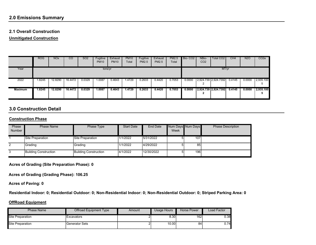# **2.1 Overall Construction**

**Unmitigated Construction**

|                | <b>ROG</b> | <b>NO<sub>x</sub></b> | CO      | SO <sub>2</sub> | Fugitive<br><b>PM10</b> | Exhaust<br><b>PM10</b> | <b>PM10</b><br>Total | Fugitive<br><b>PM2.5</b> | Exhaust<br><b>PM2.5</b> | PM2.5<br>Total | Bio-CO <sub>2</sub> | NBio-<br>CO <sub>2</sub> | Total CO2            | CH <sub>4</sub> | <b>N2O</b> | CO <sub>2</sub> e |
|----------------|------------|-----------------------|---------|-----------------|-------------------------|------------------------|----------------------|--------------------------|-------------------------|----------------|---------------------|--------------------------|----------------------|-----------------|------------|-------------------|
| Year           |            |                       |         |                 | tons/yr                 |                        |                      |                          |                         |                |                     |                          | MT/yr                |                 |            |                   |
| 2022           | 1.8245     | 12.8290               | 16.4472 | 0.0329          | 1.0087                  | 0.4643                 | .4729                | 0.2633                   | 0.4420                  | 0.7053         | 0.0000              |                          | 2,924.739 2,924.7392 | 0.4145          | 0.0000     | 2,935.100         |
| <b>Maximum</b> | .8245      | 12.8290               | 16.4472 | 0.0329          | 1.0087                  | 0.4643                 | 1.4729               | 0.2633                   | 0.4420                  | 0.7053         | 0.0000              |                          | 2,924.739 2,924.7392 | 0.4145          | 0.0000     | 2,935.100         |

# **3.0 Construction Detail**

#### **Construction Phase**

| Phase         | <b>Phase Name</b>            | Phase Type            | <b>Start Date</b> | End Date   | Num Days Num Days |     | <b>Phase Description</b> |
|---------------|------------------------------|-----------------------|-------------------|------------|-------------------|-----|--------------------------|
| <b>Number</b> |                              |                       |                   |            | Week              |     |                          |
|               |                              |                       |                   |            |                   |     |                          |
|               | Site Preparation             | Site Preparation      | 1/1/2022          | 5/31/2022  |                   | 107 |                          |
|               |                              |                       |                   |            |                   |     |                          |
| 2             | Grading                      | Grading               | 1/1/2022          | 4/29/2022  |                   | 85  |                          |
|               |                              |                       |                   |            |                   |     |                          |
| 3             | <b>Building Construction</b> | Building Construction | 4/1/2022          | 12/30/2022 |                   | 196 |                          |
|               |                              |                       |                   |            |                   |     |                          |
|               |                              |                       |                   |            |                   |     |                          |

**Acres of Grading (Site Preparation Phase): 0**

**Acres of Grading (Grading Phase): 106.25**

**Acres of Paving: 0**

**Residential Indoor: 0; Residential Outdoor: 0; Non-Residential Indoor: 0; Non-Residential Outdoor: 0; Striped Parking Area: 0** 

#### **OffRoad Equipment**

| Phase Name              | Offroad Equipment Type | Amount | Usage Hours | Horse Power | Load Factor |
|-------------------------|------------------------|--------|-------------|-------------|-------------|
| <b>Site Preparation</b> | Excavators             |        | 8.30        | 162         | J.38        |
| <b>Site Preparation</b> | Generator Sets         |        | 10.00       | 84          | .74         |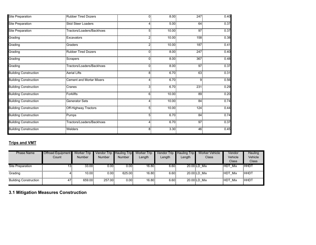| <b>Site Preparation</b>      | <b>Rubber Tired Dozers</b>      | $\overline{0}$ | 8.00  | 247 | 0.40 |
|------------------------------|---------------------------------|----------------|-------|-----|------|
| <b>Site Preparation</b>      | <b>Skid Steer Loaders</b>       | 4              | 5.00  | 64  | 0.37 |
| <b>Site Preparation</b>      | Tractors/Loaders/Backhoes       | 5              | 10.00 | 97  | 0.37 |
| Grading                      | Excavators                      | $\overline{2}$ | 10.00 | 158 | 0.38 |
| Grading                      | Graders                         | 2              | 10.00 | 187 | 0.41 |
| Grading                      | <b>Rubber Tired Dozers</b>      | $\overline{0}$ | 8.00  | 247 | 0.40 |
| Grading                      | Scrapers                        | 0              | 8.00  | 367 | 0.48 |
| Grading                      | Tractors/Loaders/Backhoes       | $\Omega$       | 8.00  | 97  | 0.37 |
| <b>Building Construction</b> | <b>Aerial Lifts</b>             | 8              | 6.70  | 63  | 0.31 |
| <b>Building Construction</b> | <b>Cement and Mortar Mixers</b> | 4              | 6.70  | 9   | 0.56 |
| <b>Building Construction</b> | Cranes                          | 3              | 6.70  | 231 | 0.29 |
| <b>Building Construction</b> | <b>Forklifts</b>                | 6              | 10.00 | 89  | 0.20 |
| <b>Building Construction</b> | <b>Generator Sets</b>           | 4              | 10.00 | 84  | 0.74 |
| <b>Building Construction</b> | Off-Highway Tractors            | 5              | 10.00 | 124 | 0.44 |
| <b>Building Construction</b> | Pumps                           | 5              | 6.70  | 84  | 0.74 |
| <b>Building Construction</b> | Tractors/Loaders/Backhoes       | 4              | 6.70  | 97  | 0.37 |
| <b>Building Construction</b> | Welders                         | 8              | 3.30  | 46  | 0.45 |

# **Trips and VMT**

| <b>Phase Name</b>            | <b>Offroad Equipment</b><br>Count | <b>Worker Trip</b><br><b>Number</b> | Vendor Trip Hauling Trip<br><b>Number</b> | <b>Number</b>         | <b>Worker Trip</b><br>Length | <b>Vendor Trip</b><br>Length | <b>Hauling Trip</b><br>Length | Worker Vehicle<br>Class | Vendor<br>Vehicle<br>Class | Hauling<br>Vehicle<br>Class |
|------------------------------|-----------------------------------|-------------------------------------|-------------------------------------------|-----------------------|------------------------------|------------------------------|-------------------------------|-------------------------|----------------------------|-----------------------------|
| Site Preparation             | 13.                               | 33.00                               | 0.00                                      | $0.00$ $\overline{ }$ | 16.80                        | 6.60                         |                               | 20.00 LD Mix            | <b>HDT Mix</b>             | <b>HHDT</b>                 |
| Grading                      |                                   | 10.00                               | 0.00                                      | 625.00                | 16.80                        | 6.60                         |                               | 20.00 LD Mix            | HDT Mix                    | <b>HHDT</b>                 |
| <b>Building Construction</b> | 47                                | 659.00                              | 257.00                                    | 0.001                 | 16.80                        | 6.60                         |                               | 20.00 LD Mix            | HDT Mix                    | <b>HHDT</b>                 |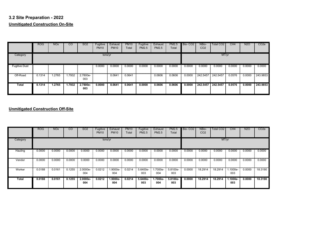# **3.2 Site Preparation - 2022 Unmitigated Construction On-Site**

|                      | <b>ROG</b> | <b>NO<sub>x</sub></b> | CO     | SO <sub>2</sub> | Fugitive<br><b>PM10</b> | Exhaust<br><b>PM10</b> | <b>PM10</b><br>Total | Fugitive<br><b>PM2.5</b> | Exhaust<br><b>PM2.5</b> | PM2.5<br>Total | Bio-CO <sub>2</sub> | NBio-<br>CO <sub>2</sub> | Total CO <sub>2</sub> | CH4    | <b>N2O</b> | CO <sub>2</sub> e |
|----------------------|------------|-----------------------|--------|-----------------|-------------------------|------------------------|----------------------|--------------------------|-------------------------|----------------|---------------------|--------------------------|-----------------------|--------|------------|-------------------|
| Category             |            |                       |        |                 | tons/yr                 |                        |                      |                          |                         |                |                     |                          | MT/yr                 |        |            |                   |
| <b>Fugitive Dust</b> |            |                       |        |                 | 0.0000                  | 0.0000                 | 0.0000               | 0.0000                   | 0.0000                  | 0.0000         | 0.0000              | 0.0000                   | 0.0000                | 0.0000 | 0.0000     | 0.0000            |
| Off-Road             | 0.1314     | .2765                 | 1.7932 | 2.7800e-<br>003 |                         | 0.0641                 | 0.0641               |                          | 0.0606                  | 0.0606         | 0.0000              | 242.5457                 | 242.5457              | 0.0576 | 0.0000     | 243.9853          |
| Total                | 0.1314     | .2765                 | 1.7932 | 2.7800e-<br>003 | 0.0000                  | 0.0641                 | 0.0641               | 0.0000                   | 0.0606                  | 0.0606         | 0.0000              | 242.5457                 | 242.5457              | 0.0576 | 0.0000     | 243.9853          |

|              | <b>ROG</b> | <b>NO<sub>x</sub></b> | $\overline{c}$ | SO <sub>2</sub>   | Fugitive<br><b>PM10</b> | Exhaust<br><b>PM10</b> | <b>PM10</b><br>Total | Fugitive<br><b>PM2.5</b> | Exhaust<br><b>PM2.5</b> | <b>PM2.5</b><br>Total | Bio-CO <sub>2</sub> | NBio-<br>CO <sub>2</sub> | Total CO <sub>2</sub> | CH4              | <b>N2O</b> | CO <sub>2</sub> e |
|--------------|------------|-----------------------|----------------|-------------------|-------------------------|------------------------|----------------------|--------------------------|-------------------------|-----------------------|---------------------|--------------------------|-----------------------|------------------|------------|-------------------|
| Category     |            |                       |                |                   | tons/yr                 |                        |                      |                          |                         |                       |                     |                          | MT/yr                 |                  |            |                   |
| Hauling      | 0.0000     | 0.0000                | 0.0000         | 0.0000            | 0.0000                  | 0.0000                 | 0.0000               | 0.0000                   | 0.0000                  | 0.0000                | 0.0000              | 0.0000                   | 0.0000                | 0.0000           | 0.0000     | 0.0000            |
| Vendor       | 0.0000     | 0.0000                | 0.0000         | 0.0000            | 0.0000                  | 0.0000                 | 0.0000               | 0.0000                   | 0.0000                  | 0.0000                | 0.0000              | 0.0000                   | 0.0000                | 0.0000           | 0.0000     | 0.0000            |
| Worker       | 0.0188     | 0.0161                | 0.1255         | 2.0000e-<br>004   | 0.0212                  | 1.9000e-<br>004        | 0.0214               | 5.6400e-<br>003          | 1.7000e-<br>004         | 5.8100e-<br>003       | 0.0000              | 18.2914                  | 18.2914               | $.1000e-$<br>003 | 0.0000     | 18.3190           |
| <b>Total</b> | 0.0188     | 0.0161                | 0.1255         | $2.0000e-$<br>004 | 0.0212                  | $1.9000e-$<br>004      | 0.0214               | $5.6400e-$<br>003        | 1.7000e-<br>004         | 5.8100e-<br>003       | 0.0000              | 18.2914                  | 18.2914               | 1.1000e-<br>003  | 0.0000     | 18.3190           |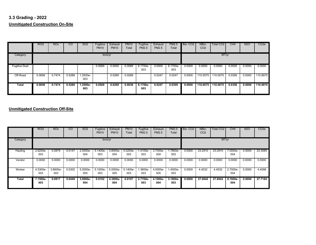# **3.3 Grading - 2022 Unmitigated Construction On-Site**

|                      | <b>ROG</b> | <b>NO<sub>x</sub></b> | CO     | <b>SO2</b>        | Fugitive<br><b>PM10</b> | Exhaust<br><b>PM10</b> | <b>PM10</b><br>Total | Fugitive<br><b>PM2.5</b> | Exhaust<br><b>PM2.5</b> | <b>PM2.5</b><br>Total | Bio-CO <sub>2</sub> | NBio-<br>CO <sub>2</sub> | <b>Total CO2</b> | CH <sub>4</sub> | <b>N2O</b> | CO <sub>2</sub> e |
|----------------------|------------|-----------------------|--------|-------------------|-------------------------|------------------------|----------------------|--------------------------|-------------------------|-----------------------|---------------------|--------------------------|------------------|-----------------|------------|-------------------|
| Category             |            |                       |        |                   | tons/yr                 |                        |                      |                          |                         |                       |                     |                          | MT/yr            |                 |            |                   |
| <b>Fugitive Dust</b> |            |                       |        |                   | 0.0569                  | 0.0000                 | 0.0569               | 6.1700e-<br>003          | 0.0000                  | 6.1700e-<br>003       | 0.0000              | 0.0000                   | 0.0000           | 0.0000          | 0.0000     | 0.0000            |
| Off-Road             | 0.0656     | 0.7474                | 0.5288 | 1.2500e-<br>003   |                         | 0.0269                 | 0.0269               |                          | 0.0247                  | 0.0247                | 0.0000              | 110.0075                 | 110.0075         | 0.0356          | 0.0000     | 110.8970          |
| Total                | 0.0656     | 0.7474                | 0.5288 | $1.2500e-$<br>003 | 0.0569                  | 0.0269                 | 0.0838               | 6.1700e-<br>003          | 0.0247                  | 0.0309                | 0.0000              | 110.0075                 | 110.0075         | 0.0356          | 0.0000     | 110.8970          |

|          | <b>ROG</b>      | <b>NO<sub>x</sub></b> | $\overline{c}$ | SO <sub>2</sub>   | Fugitive<br><b>PM10</b> | Exhaust<br><b>PM10</b> | <b>PM10</b><br>Total | Fugitive<br><b>PM2.5</b> | Exhaust<br><b>PM2.5</b> | <b>PM2.5</b><br>Total | Bio-CO <sub>2</sub> | NBio-<br>CO <sub>2</sub> | Total CO <sub>2</sub> | CH4               | <b>N2O</b> | CO <sub>2</sub> e |
|----------|-----------------|-----------------------|----------------|-------------------|-------------------------|------------------------|----------------------|--------------------------|-------------------------|-----------------------|---------------------|--------------------------|-----------------------|-------------------|------------|-------------------|
| Category |                 |                       |                |                   | tons/yr                 |                        |                      |                          |                         |                       |                     |                          | MT/yr                 |                   |            |                   |
| Hauling  | 2.6200e-<br>003 | 0.0879                | 0.0147         | $2.5000e-$<br>004 | 5.1400e-<br>003         | 3.8000e-<br>004        | 5.5200e-<br>003      | 1.4100e-<br>003          | 3.7000e-<br>004         | 1.7800e-<br>003       | 0.0000              | 23,2910                  | 23.2910               | 7.0000e-<br>004   | 0.0000     | 23.3085           |
| Vendor   | 0.0000          | 0.0000                | 0.0000         | 0.0000            | 0.0000                  | 0.0000                 | 0.0000               | 0.0000                   | 0.0000                  | 0.0000                | 0.0000              | 0.0000                   | 0.0000                | 0.0000            | 0.0000     | 0.0000            |
| Worker   | 4.5300e-<br>003 | 3.8600e-<br>003       | 0.0302         | 5.0000e-<br>005   | 5.1000e-<br>003         | 5.0000e-<br>005        | 5.1400e-<br>003      | .3600e-<br>003           | 4.0000e-<br>005         | 1.4000e-<br>003       | 0.0000              | 4.4032                   | 4.4032                | 2.7000e-<br>004   | 0.0000     | 4.4098            |
| Total    | 7.1500e-<br>003 | 0.0917                | 0.0449         | $3.0000e-$<br>004 | 0.0102                  | 4.3000e-<br>004        | 0.0107               | 2.7700e-<br>003          | 4.1000e-<br>004         | $3.1800e -$<br>003    | 0.0000              | 27.6942                  | 27.6942               | $9.7000e-$<br>004 | 0.0000     | 27.7184           |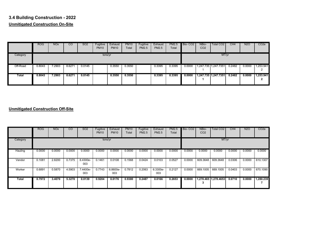# **3.4 Building Construction - 2022 Unmitigated Construction On-Site**

|          | <b>ROG</b> | <b>NO<sub>x</sub></b> | CO     | SO <sub>2</sub> | Fugitive<br><b>PM10</b> | Exhaust<br><b>PM10</b> | <b>PM10</b><br>Total | Fugitive<br><b>PM2.5</b> | Exhaust<br><b>PM2.5</b> | <b>PM2.5</b><br>Total | Bio-CO <sub>2</sub> | NBio-<br>CO <sub>2</sub> | Total CO <sub>2</sub> | CH4    | <b>N2O</b> | CO <sub>2</sub> e   |
|----------|------------|-----------------------|--------|-----------------|-------------------------|------------------------|----------------------|--------------------------|-------------------------|-----------------------|---------------------|--------------------------|-----------------------|--------|------------|---------------------|
| Category |            |                       |        |                 | tons/yr                 |                        |                      |                          |                         |                       |                     |                          | MT/yr                 |        |            |                     |
| Off-Road | 0.8043     | 7.2903                | 8.6271 | 0.0145          |                         | 0.3550                 | 0.3550               |                          | 0.3395                  | 0.3395                | 0.0000              |                          | 1,247.735 1,247.7351  | 0.2482 | 0.0000     | 1,253.941<br>ົ<br>∼ |
| Total    | 0.8043     | 7.2903                | 8.6271 | 0.0145          |                         | 0.3550                 | 0.3550               |                          | 0.3395                  | 0.3395                | 0.0000              |                          | 1,247.735 1,247.7351  | 0.2482 | 0.0000     | 1,253.941<br>◠<br>▴ |

|          | <b>ROG</b> | <b>NO<sub>x</sub></b> | <sub>CO</sub> | SO <sub>2</sub> | Fugitive<br><b>PM10</b> | Exhaust<br><b>PM10</b> | <b>PM10</b><br>Total | Fugitive<br><b>PM2.5</b> | Exhaust<br><b>PM2.5</b> | <b>PM2.5</b><br>Total | Bio-CO <sub>2</sub> | NBio-<br>CO <sub>2</sub> | Total CO <sub>2</sub> | CH4    | <b>N2O</b> | CO <sub>2</sub> e |
|----------|------------|-----------------------|---------------|-----------------|-------------------------|------------------------|----------------------|--------------------------|-------------------------|-----------------------|---------------------|--------------------------|-----------------------|--------|------------|-------------------|
| Category |            |                       |               |                 | tons/yr                 |                        |                      |                          |                         |                       |                     |                          | MT/yr                 |        |            |                   |
| Hauling  | 0.0000     | 0.0000                | 0.0000        | 0.0000          | 0.0000                  | 0.0000                 | 0.0000               | 0.0000                   | 0.0000                  | 0.0000                | 0.0000              | 0.0000                   | 0.0000                | 0.0000 | 0.0000     | 0.0000            |
| Vendor   | 0.1081     | 2.8200                | 0.7375        | 6.4300e-<br>003 | 0.1461                  | 0.0108                 | 0.1568               | 0.0424                   | 0.0103                  | 0.0527                | 0.0000              | 609.3648                 | 609.3648              | 0.0306 | 0.0000     | 610.1307          |
| Worker   | 0.6891     | 0.5870                | 4.5903        | 7.4400e-<br>003 | 0.7743                  | 6.8600e-<br>003        | 0.7812               | 0.2063                   | 6.3300e-<br>003         | 0.2127                | 0.0000              | 669.1005                 | 669.1005              | 0.0403 | 0.0000     | 670.1090          |
| Total    | 0.7972     | 3.4070                | 5.3278        | 0.0139          | 0.9204                  | 0.0176                 | 0.9380               | 0.2487                   | 0.0166                  | 0.2653                | 0.0000              |                          | 1,278.465 1,278.4653  | 0.0710 | 0.0000     | 1,280.239         |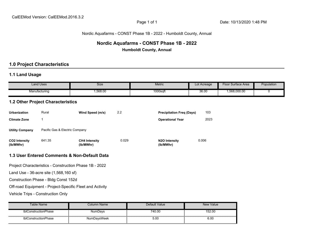#### Nordic Aquafarms - CONST Phase 1B - 2022 - Humboldt County, Annual

# **Nordic Aquafarms - CONST Phase 1B - 2022 Humboldt County, Annual**

# **1.0 Project Characteristics**

# **1.1 Land Usage**

|                                   | <b>Land Uses</b>                         | Size                                                     |       | Metric                           | Lot Acreage | Floor Surface Area | Population |
|-----------------------------------|------------------------------------------|----------------------------------------------------------|-------|----------------------------------|-------------|--------------------|------------|
|                                   | Manufacturing                            | 1,568.00                                                 |       | 1000sqft                         | 36.00       | 1,568,000.00       | 0          |
|                                   | <b>1.2 Other Project Characteristics</b> |                                                          |       |                                  |             |                    |            |
| <b>Urbanization</b>               | Rural                                    | Wind Speed (m/s)                                         | 2.2   | <b>Precipitation Freq (Days)</b> | 103         |                    |            |
| <b>Climate Zone</b>               | $\mathbf{1}$                             |                                                          |       | <b>Operational Year</b>          | 2023        |                    |            |
| <b>Utility Company</b>            | Pacific Gas & Electric Company           |                                                          |       |                                  |             |                    |            |
| CO2 Intensity<br>(lb/MWhr)        | 641.35                                   | <b>CH4 Intensity</b><br>(lb/MWhr)                        | 0.029 | N2O Intensity<br>(lb/MWhr)       | 0.006       |                    |            |
|                                   |                                          | 1.3 User Entered Comments & Non-Default Data             |       |                                  |             |                    |            |
|                                   |                                          | Project Characteristics - Construction Phase 1B - 2022   |       |                                  |             |                    |            |
|                                   | Land Use - 36-acre site (1,568,160 sf)   |                                                          |       |                                  |             |                    |            |
|                                   | Construction Phase - Bldg Const 152d     |                                                          |       |                                  |             |                    |            |
|                                   |                                          | Off-road Equipment - Project-Specific Fleet and Activity |       |                                  |             |                    |            |
| Vehicle Trips - Construction Only |                                          |                                                          |       |                                  |             |                    |            |

| Table Name           | Column Name        | Default Value | <b>New Value</b> |
|----------------------|--------------------|---------------|------------------|
| tblConstructionPhase | NumDays            | 740.00        | 152.00           |
| tblConstructionPhase | <b>NumDavsWeek</b> | 5.00          | 6.00             |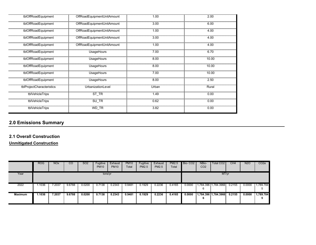| tblOffRoadEquipment       | OffRoadEquipmentUnitAmount | 1.00  | 2.00  |
|---------------------------|----------------------------|-------|-------|
| tblOffRoadEquipment       | OffRoadEquipmentUnitAmount | 3.00  | 6.00  |
| tblOffRoadEquipment       | OffRoadEquipmentUnitAmount | 1.00  | 4.00  |
| tblOffRoadEquipment       | OffRoadEquipmentUnitAmount | 3.00  | 4.00  |
| tblOffRoadEquipment       | OffRoadEquipmentUnitAmount | 1.00  | 4.00  |
| tblOffRoadEquipment       | UsageHours                 | 7.00  | 6.70  |
| tblOffRoadEquipment       | UsageHours                 | 8.00  | 10.00 |
| tblOffRoadEquipment       | UsageHours                 | 8.00  | 10.00 |
| tblOffRoadEquipment       | UsageHours                 | 7.00  | 10.00 |
| tblOffRoadEquipment       | UsageHours                 | 8.00  | 2.50  |
| tblProjectCharacteristics | UrbanizationLevel          | Urban | Rural |
| tblVehicleTrips           | ST_TR                      | 1.49  | 0.00  |
| tblVehicleTrips           | $SU$ <sub>TR</sub>         | 0.62  | 0.00  |
| tblVehicleTrips           | WD_TR                      | 3.82  | 0.00  |

#### **2.1 Overall Construction**

**Unmitigated Construction**

|                | <b>ROG</b> | <b>NO<sub>x</sub></b> | $\overline{c}$ | SO <sub>2</sub> | Fugitive<br><b>PM10</b> | Exhaust<br><b>PM10</b> | <b>PM10</b><br>Total | Fugitive<br>PM2.5 | Exhaust<br><b>PM2.5</b> | <b>PM2.5</b><br>Total | Bio-CO <sub>2</sub> | NBio-<br>CO <sub>2</sub> | Total CO <sub>2</sub>  | CH4    | <b>N2O</b> | CO <sub>2e</sub> |
|----------------|------------|-----------------------|----------------|-----------------|-------------------------|------------------------|----------------------|-------------------|-------------------------|-----------------------|---------------------|--------------------------|------------------------|--------|------------|------------------|
| Year           |            |                       |                |                 | tons/yr                 |                        |                      |                   |                         |                       |                     |                          | MT/yr                  |        |            |                  |
| 2022           | .1036      | 7.2037                | 9.6788         | 0.0200          | 0.7138                  | 0.2343                 | 0.9481               | 0.1929            | 0.2236                  | 0.4165                | 0.0000              | 6                        | 1,784.396   1,784.3966 | 0.2155 | 0.0000     | 1,789.784        |
| <b>Maximum</b> | .1036      | 7.2037                | 9.6788         | 0.0200          | 0.7138                  | 0.2343                 | 0.9481               | 0.1929            | 0.2236                  | 0.4165                | 0.0000              | ь                        | 1,784.396 1,784.3966   | 0.2155 | 0.0000     | 1,789.784        |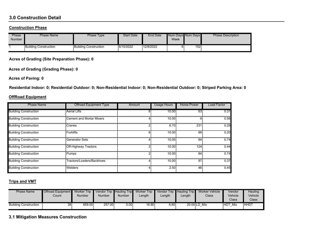# **3.0 Construction Detail**

#### **Construction Phase**

| Phase<br><b>Number</b> | <b>Phase Name</b>            | Phase Type            | <b>Start Date</b> | <b>End Date</b> | Week | Num Days Num Days | <b>Phase Description</b> |
|------------------------|------------------------------|-----------------------|-------------------|-----------------|------|-------------------|--------------------------|
|                        | <b>Building Construction</b> | Building Construction | 6/15/2022         | 12/8/2022       |      | 152               |                          |

**Acres of Grading (Site Preparation Phase): 0**

**Acres of Grading (Grading Phase): 0**

**Acres of Paving: 0**

**Residential Indoor: 0; Residential Outdoor: 0; Non-Residential Indoor: 0; Non-Residential Outdoor: 0; Striped Parking Area: 0** 

#### **OffRoad Equipment**

| <b>Phase Name</b>            | <b>Offroad Equipment Type</b>   | Amount | <b>Usage Hours</b> | <b>Horse Power</b> | <b>Load Factor</b> |
|------------------------------|---------------------------------|--------|--------------------|--------------------|--------------------|
| <b>Building Construction</b> | <b>Aerial Lifts</b>             |        | 10.00              | 63                 | 0.31               |
| <b>Building Construction</b> | <b>Cement and Mortar Mixers</b> |        | 10.00              | 9                  | 0.56               |
| <b>Building Construction</b> | Cranes                          |        | 6.70               | 231                | 0.29               |
| <b>Building Construction</b> | Forklifts                       | n:     | 10.00              | 89                 | 0.20               |
| <b>Building Construction</b> | <b>Generator Sets</b>           |        | 10.00              | 84                 | 0.74               |
| <b>Building Construction</b> | Off-Highway Tractors            |        | 10.00              | 124                | 0.44               |
| <b>Building Construction</b> | Pumps                           |        | 10.00              | 84                 | 0.74               |
| <b>Building Construction</b> | Tractors/Loaders/Backhoes       |        | 10.00              | 97                 | 0.37               |
| <b>Building Construction</b> | Welders                         |        | 2.50               | 46                 | 0.45               |

# **Trips and VMT**

| <b>Phase Name</b>            | <b>Offroad Equipment</b><br>Count | Worker Trip<br><b>Number</b> | Number | <b>Number</b> | Vendor Trip Hauling Trip Worker Trip Vendor Trip Hauling Trip<br>_ength | Length | Length | Worker Vehicle<br>Class | Vendor<br>Vehicle<br>Class | Hauling<br>Vehicle<br>Class <sup>®</sup> |
|------------------------------|-----------------------------------|------------------------------|--------|---------------|-------------------------------------------------------------------------|--------|--------|-------------------------|----------------------------|------------------------------------------|
| <b>Building Construction</b> | 36                                | 659.00                       | 257.00 | 0.00          | 16.80                                                                   | 6.60   |        | 20.00 LD Mix            | <b>HDT</b><br>Mix          | <b>HHDT</b>                              |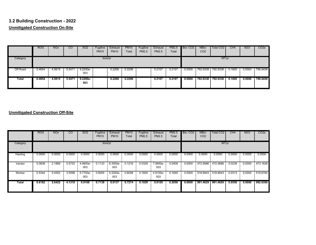# **3.2 Building Construction - 2022 Unmitigated Construction On-Site**

|          | <b>ROG</b> | <b>NOx</b> | CO     | <b>SO2</b>        | Fugitive<br><b>PM10</b> | Exhaust<br><b>PM10</b> | <b>PM10</b><br>Total | Fugitive<br><b>PM2.5</b> | Exhaust<br><b>PM2.5</b> | <b>PM2.5</b><br>Total | Bio-CO <sub>2</sub> | NBio-<br>CO <sub>2</sub> | Total CO2 | CH <sub>4</sub> | <b>N2O</b> | CO <sub>2e</sub> |
|----------|------------|------------|--------|-------------------|-------------------------|------------------------|----------------------|--------------------------|-------------------------|-----------------------|---------------------|--------------------------|-----------|-----------------|------------|------------------|
| Category |            |            |        |                   | tons/yr                 |                        |                      |                          |                         |                       |                     |                          | MT/yr     |                 |            |                  |
| Off-Road | 0.4854     | 4.5615     | 5.5471 | $9.2200e-$<br>003 |                         | 0.2206                 | 0.2206               |                          | 0.2107                  | 0.2107                | 0.0000              | 792.9338                 | 792.9338  | 0.1605          | 0.0000     | 796.9456         |
| Total    | 0.4854     | 4.5615     | 5.5471 | 9.2200e-<br>003   |                         | 0.2206                 | 0.2206               |                          | 0.2107                  | 0.2107                | 0.0000              | 792.9338                 | 792.9338  | 0.1605          | 0.0000     | 796.9456         |

|          | <b>ROG</b> | <b>NO<sub>x</sub></b> | <sub>CO</sub> | SO <sub>2</sub> | Fugitive<br><b>PM10</b> | Exhaust<br><b>PM10</b> | <b>PM10</b><br>Total | Fugitive<br><b>PM2.5</b> | Exhaust<br><b>PM2.5</b> | <b>PM2.5</b><br>Total | Bio-CO <sub>2</sub> | NBio-<br>CO <sub>2</sub> | Total CO <sub>2</sub> | CH <sub>4</sub> | <b>N2O</b> | CO <sub>2</sub> e |
|----------|------------|-----------------------|---------------|-----------------|-------------------------|------------------------|----------------------|--------------------------|-------------------------|-----------------------|---------------------|--------------------------|-----------------------|-----------------|------------|-------------------|
| Category |            |                       |               |                 | tons/yr                 |                        |                      |                          |                         |                       |                     |                          | MT/yr                 |                 |            |                   |
| Hauling  | 0.0000     | 0.0000                | 0.0000        | 0.0000          | 0.0000                  | 0.0000                 | 0.0000               | 0.0000                   | 0.0000                  | 0.0000                | 0.0000              | 0.0000                   | 0.0000                | 0.0000          | 0.0000     | 0.0000            |
| Vendor   | 0.0838     | 2.1869                | 0.5720        | 4.9900e-<br>003 | 0.1133                  | 8.3500e-<br>003        | 0.1216               | 0.0329                   | 7.9900e-<br>003         | 0.0408                | 0.0000              | 472.5686                 | 472.5686              | 0.0238          | 0.0000     | 473.1626          |
| Worker   | 0.5344     | 0.4552                | 3.5598        | 5.7700e-<br>003 | 0.6005                  | 5.3200e-<br>003        | 0.6058               | 0.1600                   | 4.9100e-<br>003         | 0.1649                | 0.0000              | 518.8943                 | 518.8943              | 0.0313          | 0.0000     | 519.6764          |
| Total    | 0.6182     | 2.6422                | 4.1318        | 0.0108          | 0.7138                  | 0.0137                 | 0.7274               | 0.1929                   | 0.0129                  | 0.2058                | 0.0000              | 991.4629                 | 991.4629              | 0.0550          | 0.0000     | 992.8390          |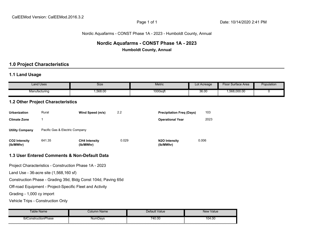# Nordic Aquafarms - CONST Phase 1A - 2023 - Humboldt County, Annual

# **Nordic Aquafarms - CONST Phase 1A - 2023 Humboldt County, Annual**

# **1.0 Project Characteristics**

# **1.1 Land Usage**

|                                   | <b>Land Uses</b>                       | Size                                                          |       | <b>Metric</b>                    | Lot Acreage | Floor Surface Area | Population |
|-----------------------------------|----------------------------------------|---------------------------------------------------------------|-------|----------------------------------|-------------|--------------------|------------|
|                                   | Manufacturing                          | 1,568.00                                                      |       | 1000sqft                         | 36.00       | 1,568,000.00       | 0          |
|                                   | 1.2 Other Project Characteristics      |                                                               |       |                                  |             |                    |            |
| Urbanization                      | Rural                                  | Wind Speed (m/s)                                              | 2.2   | <b>Precipitation Freq (Days)</b> | 103         |                    |            |
| <b>Climate Zone</b>               | $\mathbf{1}$                           |                                                               |       | <b>Operational Year</b>          | 2023        |                    |            |
| <b>Utility Company</b>            | Pacific Gas & Electric Company         |                                                               |       |                                  |             |                    |            |
| <b>CO2 Intensity</b><br>(lb/MWhr) | 641.35                                 | <b>CH4 Intensity</b><br>(lb/MWhr)                             | 0.029 | N2O Intensity<br>(lb/MWhr)       | 0.006       |                    |            |
|                                   |                                        | 1.3 User Entered Comments & Non-Default Data                  |       |                                  |             |                    |            |
|                                   |                                        | Project Characteristics - Construction Phase 1A - 2023        |       |                                  |             |                    |            |
|                                   | Land Use - 36-acre site (1,568,160 sf) |                                                               |       |                                  |             |                    |            |
|                                   |                                        | Construction Phase - Grading 39d, Bldg Const 104d, Paving 65d |       |                                  |             |                    |            |
|                                   |                                        | Off-road Equipment - Project-Specific Fleet and Activity      |       |                                  |             |                    |            |
| Grading - 1,000 cy import         |                                        |                                                               |       |                                  |             |                    |            |
| Vehicle Trips - Construction Only |                                        |                                                               |       |                                  |             |                    |            |

| Table Name               | <i>C</i> olumn Name | Default Value | New Value   |
|--------------------------|---------------------|---------------|-------------|
| thi<br>ConstructionPhase | NumDays             | 740.00<br>.   | 104.00<br>. |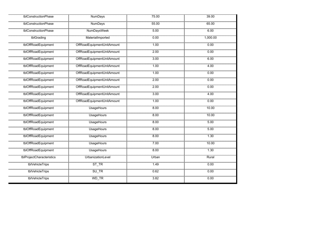| tblConstructionPhase      | <b>NumDays</b>             | 75.00 | 39.00    |
|---------------------------|----------------------------|-------|----------|
| tblConstructionPhase      | NumDays                    | 55.00 | 65.00    |
| tblConstructionPhase      | <b>NumDaysWeek</b>         | 5.00  | 6.00     |
| tblGrading                | MaterialImported           | 0.00  | 1,000.00 |
| tblOffRoadEquipment       | OffRoadEquipmentUnitAmount | 1.00  | 0.00     |
| tblOffRoadEquipment       | OffRoadEquipmentUnitAmount | 2.00  | 0.00     |
| tblOffRoadEquipment       | OffRoadEquipmentUnitAmount | 3.00  | 6.00     |
| tblOffRoadEquipment       | OffRoadEquipmentUnitAmount | 1.00  | 4.00     |
| tblOffRoadEquipment       | OffRoadEquipmentUnitAmount | 1.00  | 0.00     |
| tblOffRoadEquipment       | OffRoadEquipmentUnitAmount | 2.00  | 0.00     |
| tblOffRoadEquipment       | OffRoadEquipmentUnitAmount | 2.00  | 0.00     |
| tblOffRoadEquipment       | OffRoadEquipmentUnitAmount | 3.00  | 4.00     |
| tblOffRoadEquipment       | OffRoadEquipmentUnitAmount | 1.00  | 0.00     |
| tblOffRoadEquipment       | <b>UsageHours</b>          | 8.00  | 10.00    |
| tblOffRoadEquipment       | <b>UsageHours</b>          | 8.00  | 10.00    |
| tblOffRoadEquipment       | <b>UsageHours</b>          | 8.00  | 5.00     |
| tblOffRoadEquipment       | <b>UsageHours</b>          | 8.00  | 5.00     |
| tblOffRoadEquipment       | <b>UsageHours</b>          | 8.00  | 1.30     |
| tblOffRoadEquipment       | <b>UsageHours</b>          | 7.00  | 10.00    |
| tblOffRoadEquipment       | <b>UsageHours</b>          | 8.00  | 1.30     |
| tblProjectCharacteristics | UrbanizationLevel          | Urban | Rural    |
| tblVehicleTrips           | $ST_TR$                    | 1.49  | 0.00     |
| tblVehicleTrips           | $SU_T R$                   | 0.62  | 0.00     |
| tblVehicleTrips           | WD_TR                      | 3.82  | 0.00     |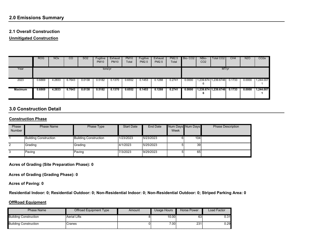# **2.1 Overall Construction**

**Unmitigated Construction**

|                | <b>ROG</b> | <b>NO<sub>x</sub></b> | CO     | SO <sub>2</sub> | Fugitive<br><b>PM10</b> | Exhaust<br><b>PM10</b> | <b>PM10</b><br>Total | Fugitive<br><b>PM2.5</b> | Exhaust<br><b>PM2.5</b> | <b>PM2.5</b><br>Total | Bio-CO <sub>2</sub> | NBio-<br>CO <sub>2</sub> | Total CO2            | CH <sub>4</sub> | N2O    | CO <sub>2</sub> e |
|----------------|------------|-----------------------|--------|-----------------|-------------------------|------------------------|----------------------|--------------------------|-------------------------|-----------------------|---------------------|--------------------------|----------------------|-----------------|--------|-------------------|
| Year           |            |                       |        |                 | tons/yr                 |                        |                      |                          |                         |                       |                     |                          | MT/yr                |                 |        |                   |
| 2023           | 0.6869     | 4.2833                | 6.7643 | 0.0138          | 0.5182                  | 0.1370                 | 0.6552               | 0.1453                   | 0.1288                  | 0.2741                | 0.0000              | 6                        | ,239.674 1,239.6746  | 0.1733          | 0.0000 | 1,244.007         |
| <b>Maximum</b> | 0.6869     | 4.2833                | 6.7643 | 0.0138          | 0.5182                  | 0.1370                 | 0.6552               | 0.1453                   | 0.1288                  | 0.2741                | 0.0000              | ь                        | 1,239.674 1,239.6746 | 0.1733          | 0.0000 | 1,244.007         |

# **3.0 Construction Detail**

#### **Construction Phase**

| Phase         | <b>Phase Name</b>            | Phase Type            | <b>Start Date</b> | End Date  |      | Num Days Num Days | <b>Phase Description</b> |
|---------------|------------------------------|-----------------------|-------------------|-----------|------|-------------------|--------------------------|
| <b>Number</b> |                              |                       |                   |           | Week |                   |                          |
|               |                              |                       |                   |           |      |                   |                          |
|               | <b>Building Construction</b> | Building Construction | 1/23/2023         | 5/23/2023 |      | 104               |                          |
|               |                              |                       |                   |           |      |                   |                          |
| 2             | Grading                      | Grading               | 4/1/2023          | 5/25/2023 |      | 39                |                          |
|               |                              |                       |                   |           |      |                   |                          |
| 3             | Paving                       | Paving                | 7/3/2023          | 9/29/2023 |      | 65                |                          |
|               |                              |                       |                   |           |      |                   |                          |

**Acres of Grading (Site Preparation Phase): 0**

**Acres of Grading (Grading Phase): 0**

**Acres of Paving: 0**

**Residential Indoor: 0; Residential Outdoor: 0; Non-Residential Indoor: 0; Non-Residential Outdoor: 0; Striped Parking Area: 0** 

#### **OffRoad Equipment**

| Phase Name                   | Offroad Equipment Type | Amount | Usage Hours | Horse Power | Load Factor |
|------------------------------|------------------------|--------|-------------|-------------|-------------|
| <b>Building Construction</b> | <b>Aerial Lifts</b>    |        | 10.00       | 63          | J.31        |
| <b>Building Construction</b> | Cranes                 |        | 7.00.       | 231         | 0.29        |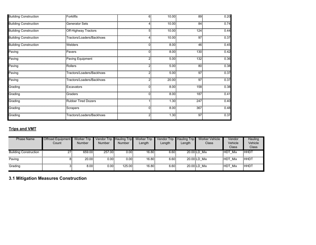| <b>Building Construction</b> | Forklifts                   | 6            | 10.00 | 89              | 0.20 |
|------------------------------|-----------------------------|--------------|-------|-----------------|------|
| <b>Building Construction</b> | Generator Sets              |              | 10.00 | 84              | 0.74 |
| <b>Building Construction</b> | <b>Off-Highway Tractors</b> | 5            | 10.00 | 124             | 0.44 |
| <b>Building Construction</b> | Tractors/Loaders/Backhoes   |              | 10.00 | 97              | 0.37 |
| <b>Building Construction</b> | <b>Welders</b>              | 0            | 8.00  | 46              | 0.45 |
| Paving                       | Pavers                      | $\Omega$     | 8.00  | 130             | 0.42 |
| Paving                       | Paving Equipment            |              | 5.00  | 132             | 0.36 |
| Paving                       | Rollers                     | 2            | 5.00  | 80 <sup>2</sup> | 0.38 |
| Paving                       | Tractors/Loaders/Backhoes   |              | 5.00  | 97              | 0.37 |
| Paving                       | Tractors/Loaders/Backhoes   | 2            | 20.00 | 97              | 0.37 |
| Grading                      | Excavators                  | <sup>0</sup> | 8.00  | 158             | 0.38 |
| Grading                      | Graders                     | $\Omega$     | 8.00  | 187             | 0.41 |
| Grading                      | <b>Rubber Tired Dozers</b>  |              | 1.30  | 247             | 0.40 |
| Grading                      | Scrapers                    | $\Omega$     | 8.00  | 367             | 0.48 |
| Grading                      | Tractors/Loaders/Backhoes   |              | 1.30  | 97 <sup>5</sup> | 0.37 |

# **Trips and VMT**

| <b>Phase Name</b>            | <b>Offroad Equipment</b><br>Count | <b>Worker Trip</b><br><b>Number</b> | Vendor Trip Hauling Trip<br><b>Number</b> | <b>Number</b> | <b>Worker Trip</b><br>Length | Length | Vendor Trip Hauling Trip<br>Length | <b>Worker Vehicle</b><br>Class | Vendor<br>Vehicle<br>Class | Hauling<br>Vehicle<br>Class |
|------------------------------|-----------------------------------|-------------------------------------|-------------------------------------------|---------------|------------------------------|--------|------------------------------------|--------------------------------|----------------------------|-----------------------------|
| <b>Building Construction</b> | 27                                | 659.00                              | 257.00                                    | 0.00          | 16.80                        | 6.60   |                                    | 20.00 LD Mix                   | <b>HDT Mix</b>             | HHDT                        |
| Paving                       |                                   | 20.00                               | 0.001                                     | 0.00          | 16.80                        | 6.60   |                                    | 20.00 LD Mix                   | HDT Mix                    | <b>HHDT</b>                 |
| Grading                      |                                   | 8.00                                | 0.00                                      | 125.00        | 16.80                        | 6.60   |                                    | 20.00 LD Mix                   | HDT Mix                    | <b>HHDT</b>                 |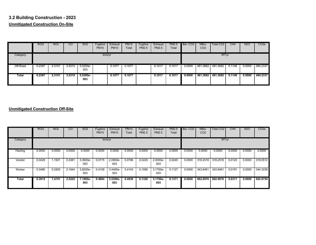# **3.2 Building Construction - 2023 Unmitigated Construction On-Site**

|          | <b>ROG</b> | <b>NO<sub>x</sub></b> | CO     | <b>SO2</b>      | Fugitive<br><b>PM10</b> | Exhaust<br><b>PM10</b> | <b>PM10</b><br>Total | Fugitive<br><b>PM2.5</b> | Exhaust<br><b>PM2.5</b> | PM2.5<br>Total | Bio-CO <sub>2</sub> | NBio-<br>CO <sub>2</sub> | Total CO <sub>2</sub> | CH <sub>4</sub> | N <sub>2</sub> O | CO <sub>2</sub> e |
|----------|------------|-----------------------|--------|-----------------|-------------------------|------------------------|----------------------|--------------------------|-------------------------|----------------|---------------------|--------------------------|-----------------------|-----------------|------------------|-------------------|
| Category |            |                       |        |                 | tons/yr                 |                        |                      |                          |                         |                |                     |                          | MT/yr                 |                 |                  |                   |
| Off-Road | 0.2397     | 2.3151                | 3.5315 | 5.5200e-<br>003 |                         | 0.1077                 | 0.1077               |                          | 0.1017                  | 0.1017         | 0.0000              | 481.3682                 | 481.3682              | 0.1146          | 0.0000           | 484.2337          |
| Total    | 0.2397     | 2.3151                | 3.5315 | 5.5200e-<br>003 |                         | 0.1077                 | 0.1077               |                          | 0.1017                  | 0.1017         | 0.0000              | 481.3682                 | 481.3682              | 0.1146          | 0.0000           | 484.2337          |

|          | <b>ROG</b> | <b>NO<sub>x</sub></b> | <sub>CO</sub> | SO <sub>2</sub> | Fugitive<br><b>PM10</b> | Exhaust<br><b>PM10</b> | <b>PM10</b><br>Total | Fugitive<br><b>PM2.5</b> | Exhaust<br><b>PM2.5</b> | <b>PM2.5</b><br>Total | Bio-CO <sub>2</sub> | NBio-<br>CO <sub>2</sub> | Total CO <sub>2</sub> | CH4    | <b>N2O</b> | CO <sub>2</sub> e |
|----------|------------|-----------------------|---------------|-----------------|-------------------------|------------------------|----------------------|--------------------------|-------------------------|-----------------------|---------------------|--------------------------|-----------------------|--------|------------|-------------------|
| Category |            |                       |               |                 | tons/yr                 |                        |                      |                          | MT/yr                   |                       |                     |                          |                       |        |            |                   |
| Hauling  | 0.0000     | 0.0000                | 0.0000        | 0.0000          | 0.0000                  | 0.0000                 | 0.0000               | 0.0000                   | 0.0000                  | 0.0000                | 0.0000              | 0.0000                   | 0.0000                | 0.0000 | 0.0000     | 0.0000            |
| Vendor   | 0.0429     | 1.1921                | 0.3381        | 3.3600e-<br>003 | 0.0775                  | 2.0900e-<br>003        | 0.0796               | 0.0225                   | 2.0000e-<br>003         | 0.0245                | 0.0000              | 318,2516                 | 318.2516              | 0.0120 | 0.0000     | 318.5512          |
| Worker   | 0.3486     | 0.2820                | 2.1844        | 3.8200e-<br>003 | 0.4109                  | 3.4400e-<br>003        | 0.4143               | 0.1095                   | 3.1700e-<br>003         | 0.1127                | 0.0000              | 343.8461                 | 343.8461              | 0.0191 | 0.0000     | 344.3238          |
| Total    | 0.3915     | 1.4741                | 2.5225        | 7.1800e-<br>003 | 0.4884                  | $5.5300e-$<br>003      | 0.4939               | 0.1320                   | 5.1700e-<br>003         | 0.1371                | 0.0000              | 662.0976                 | 662.0976              | 0.0311 | 0.0000     | 662.8750          |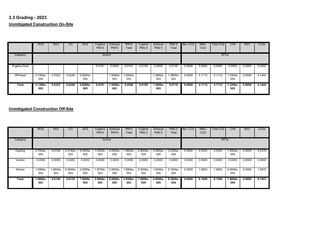# **3.3 Grading - 2023 Unmitigated Construction On-Site**

|                      | ROG               | <b>NO<sub>x</sub></b> | CO     | <b>SO2</b>        | Fugitive<br><b>PM10</b> | Exhaust<br><b>PM10</b> | <b>PM10</b><br>Total | Fugitive<br><b>PM2.5</b> | Exhaust<br><b>PM2.5</b> | <b>PM2.5</b><br>Total | Bio-CO <sub>2</sub> | NBio-<br>CO <sub>2</sub> | <b>Total CO2</b> | CH <sub>4</sub> | <b>N2O</b> | CO <sub>2</sub> e |
|----------------------|-------------------|-----------------------|--------|-------------------|-------------------------|------------------------|----------------------|--------------------------|-------------------------|-----------------------|---------------------|--------------------------|------------------|-----------------|------------|-------------------|
| Category             |                   |                       |        |                   | tons/yr                 |                        |                      |                          |                         |                       |                     |                          | MT/yr            |                 |            |                   |
| <b>Fugitive Dust</b> |                   |                       |        |                   | 0.0191                  | 0.0000                 | 0.0191               | 0.0105                   | 0.0000                  | 0.0105                | 0.0000              | 0.0000                   | 0.0000           | 0.0000          | 0.0000     | 0.0000            |
| Off-Road             | 3.1300e-<br>003   | 0.0323                | 0.0240 | 5.0000e-<br>005   |                         | 1.5000e-<br>003        | -.5000e<br>003       |                          | 1.3800e-<br>003         | 1.3800e-<br>003       | 0.0000              | 4.1112                   | 4.1112           | 1.3300e-<br>003 | 0.0000     | 4.1444            |
| Total                | $3.1300e-$<br>003 | 0.0323                | 0.0240 | $5.0000e-$<br>005 | 0.0191                  | $1.5000e-$<br>003      | 0.0206               | 0.0105                   | $1.3800e-$<br>003       | 0.0119                | 0.0000              | 4.1112                   | 4.1112           | 1.3300e-<br>003 | 0.0000     | 4.1444            |

|          | <b>ROG</b>      | <b>NO<sub>x</sub></b> | $\overline{c}$  | SO <sub>2</sub>   | Fugitive<br><b>PM10</b> | Exhaust<br><b>PM10</b> | <b>PM10</b><br>Total | Fugitive<br><b>PM2.5</b> | Exhaust<br><b>PM2.5</b> | <b>PM2.5</b><br>Total | Bio-CO <sub>2</sub> | NBio-<br>CO <sub>2</sub> | Total CO <sub>2</sub> | CH4               | <b>N2O</b> | CO <sub>2</sub> e |
|----------|-----------------|-----------------------|-----------------|-------------------|-------------------------|------------------------|----------------------|--------------------------|-------------------------|-----------------------|---------------------|--------------------------|-----------------------|-------------------|------------|-------------------|
| Category |                 |                       |                 |                   | tons/yr                 |                        |                      | MT/yr                    |                         |                       |                     |                          |                       |                   |            |                   |
| Hauling  | 3.7000e-<br>004 | 0.0128                | 2.5100e-<br>003 | $5.0000e-$<br>005 | 1.0300e-<br>003         | 4.0000e-<br>005        | 1.0600e-<br>003      | 2.8000e-<br>004          | 3.0000e-<br>005         | $3.2000e-$<br>004     | 0.0000              | 4.5353                   | 4.5353                | $.0000e-$<br>004  | 0.0000     | 4.5378            |
| Vendor   | 0.0000          | 0.0000                | 0.0000          | 0.0000            | 0.0000                  | 0.0000                 | 0.0000               | 0.0000                   | 0.0000                  | 0.0000                | 0.0000              | 0.0000                   | 0.0000                | 0.0000            | 0.0000     | 0.0000            |
| Worker   | .5900e-<br>003  | .2800e-<br>003        | 9.9400e-<br>003 | 2.0000e-<br>005   | 1.8700e-<br>003         | 2.0000e-<br>005        | 1.8900e-<br>003      | 5.0000e-<br>004          | 1.0000e-<br>005         | 5.1000e-<br>004       | 0.0000              | 1.5653                   | .5653                 | 9.0000e-<br>005   | 0.0000     | 1.5675            |
| Total    | 1.9600e-<br>003 | 0.0140                | 0.0125          | $7.0000e-$<br>005 | $2.9000e-$<br>003       | $6.0000e-$<br>005      | 2.9500e-<br>003      | 7.8000e-<br>004          | $4.0000e-$<br>005       | $8.3000e -$<br>004    | 0.0000              | 6.1006                   | 6.1006                | $1.9000e-$<br>004 | 0.0000     | 6.1053            |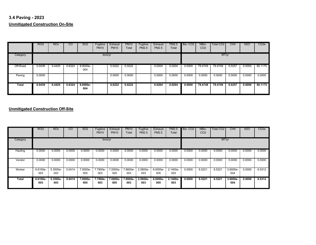# **3.4 Paving - 2023 Unmitigated Construction On-Site**

|          | <b>ROG</b> | <b>NO<sub>x</sub></b> | $\overline{c}$ | SO <sub>2</sub>   | Fugitive<br><b>PM10</b> | Exhaust<br><b>PM10</b> | <b>PM10</b><br>Total | Fugitive<br>PM2.5 | Exhaust<br><b>PM2.5</b> | <b>PM2.5</b><br>Total | Bio-CO <sub>2</sub> | NBio-<br>CO <sub>2</sub> | Total CO <sub>2</sub> | CH4    | <b>N2O</b> | CO <sub>2</sub> e |
|----------|------------|-----------------------|----------------|-------------------|-------------------------|------------------------|----------------------|-------------------|-------------------------|-----------------------|---------------------|--------------------------|-----------------------|--------|------------|-------------------|
| Category |            |                       |                |                   | tons/yr                 |                        |                      |                   |                         |                       |                     |                          | MT/yr                 |        |            |                   |
| Off-Road | 0.0439     | 0.4425                | 0.6324         | $9.0000e-$<br>004 |                         | 0.0222                 | 0.0222               |                   | 0.0204                  | 0.0204                | 0.0000              | 79.4749                  | 79.4749               | 0.0257 | 0.0000     | 80.1175           |
| Paving   | 0.0000     |                       |                |                   |                         | 0.0000                 | 0.0000               |                   | 0.0000                  | 0.0000                | 0.0000              | 0.0000                   | 0.0000                | 0.0000 | 0.0000     | 0.0000            |
| Total    | 0.0439     | 0.4425                | 0.6324         | $9.0000e-$<br>004 |                         | 0.0222                 | 0.0222               |                   | 0.0204                  | 0.0204                | 0.0000              | 79.4749                  | 79.4749               | 0.0257 | 0.0000     | 80.1175           |

|          | <b>ROG</b>      | <b>NO<sub>x</sub></b> | $\overline{c}$ | SO <sub>2</sub> | Fugitive<br><b>PM10</b> | Exhaust<br><b>PM10</b> | <b>PM10</b><br>Total | Fugitive<br><b>PM2.5</b> | Exhaust<br><b>PM2.5</b> | <b>PM2.5</b><br>Total | Bio-CO <sub>2</sub> | NBio-<br>CO <sub>2</sub> | Total CO <sub>2</sub> | CH4               | <b>N2O</b> | CO <sub>2</sub> e |
|----------|-----------------|-----------------------|----------------|-----------------|-------------------------|------------------------|----------------------|--------------------------|-------------------------|-----------------------|---------------------|--------------------------|-----------------------|-------------------|------------|-------------------|
| Category |                 |                       |                |                 | tons/yr                 |                        |                      |                          |                         | MT/yr                 |                     |                          |                       |                   |            |                   |
| Hauling  | 0.0000          | 0.0000                | 0.0000         | 0.0000          | 0.0000                  | 0.0000                 | 0.0000               | 0.0000                   | 0.0000                  | 0.0000                | 0.0000              | 0.0000                   | 0.0000                | 0.0000            | 0.0000     | 0.0000            |
| Vendor   | 0.0000          | 0.0000                | 0.0000         | 0.0000          | 0.0000                  | 0.0000                 | 0.0000               | 0.0000                   | 0.0000                  | 0.0000                | 0.0000              | 0.0000                   | 0.0000                | 0.0000            | 0.0000     | 0.0000            |
| Worker   | 6.6100e-<br>003 | 5.3500e-<br>003       | 0.0414         | 7.0000e-<br>005 | 7.7900e-<br>003         | 7.0000e-<br>005        | 7.8600e-<br>003      | 2.0800e-<br>003          | 6.0000e-<br>005         | 2.1400e-<br>003       | 0.0000              | 6.5221                   | 6.5221                | 3.6000e-<br>004   | 0.0000     | 6.5312            |
| Total    | 6.6100e-<br>003 | $5.3500e-$<br>003     | 0.0414         | 7.0000e-<br>005 | 7.7900e-<br>003         | 7.0000e-<br>005        | 7.8600e-<br>003      | 2.0800e-<br>003          | $6.0000e-$<br>005       | $2.1400e -$<br>003    | 0.0000              | 6.5221                   | 6.5221                | $3.6000e-$<br>004 | 0.0000     | 6.5312            |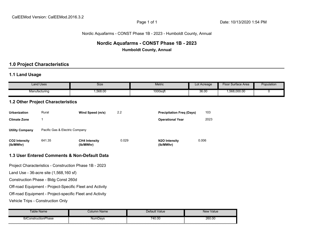# Nordic Aquafarms - CONST Phase 1B - 2023 - Humboldt County, Annual

# **Nordic Aquafarms - CONST Phase 1B - 2023 Humboldt County, Annual**

# **1.0 Project Characteristics**

# **1.1 Land Usage**

|                                                          | <b>Land Uses</b>                       | <b>Size</b>                                              |       | <b>Metric</b>                           | Lot Acreage | <b>Floor Surface Area</b> | Population |  |  |  |
|----------------------------------------------------------|----------------------------------------|----------------------------------------------------------|-------|-----------------------------------------|-------------|---------------------------|------------|--|--|--|
|                                                          | Manufacturing                          | 1,568.00                                                 |       | 1000sqft                                | 36.00       | 1,568,000.00              | 0          |  |  |  |
|                                                          | 1.2 Other Project Characteristics      |                                                          |       |                                         |             |                           |            |  |  |  |
| <b>Urbanization</b>                                      | Rural                                  | Wind Speed (m/s)                                         | 2.2   | <b>Precipitation Freq (Days)</b>        | 103         |                           |            |  |  |  |
| <b>Climate Zone</b>                                      | $\mathbf{1}$                           |                                                          |       | <b>Operational Year</b>                 | 2023        |                           |            |  |  |  |
| <b>Utility Company</b>                                   | Pacific Gas & Electric Company         |                                                          |       |                                         |             |                           |            |  |  |  |
| <b>CO2 Intensity</b><br>(lb/MWhr)                        | 641.35                                 | <b>CH4 Intensity</b><br>(lb/MWhr)                        | 0.029 | N <sub>2</sub> O Intensity<br>(lb/MWhr) | 0.006       |                           |            |  |  |  |
|                                                          |                                        | 1.3 User Entered Comments & Non-Default Data             |       |                                         |             |                           |            |  |  |  |
|                                                          |                                        | Project Characteristics - Construction Phase 1B - 2023   |       |                                         |             |                           |            |  |  |  |
|                                                          | Land Use - 36-acre site (1,568,160 sf) |                                                          |       |                                         |             |                           |            |  |  |  |
|                                                          | Construction Phase - Bldg Const 260d   |                                                          |       |                                         |             |                           |            |  |  |  |
|                                                          |                                        | Off-road Equipment - Project-Specific Fleet and Activity |       |                                         |             |                           |            |  |  |  |
| Off-road Equipment - Project-specific Fleet and Activity |                                        |                                                          |       |                                         |             |                           |            |  |  |  |
| Vehicle Trips - Construction Only                        |                                        |                                                          |       |                                         |             |                           |            |  |  |  |

| able Name                 | Name<br>:olumn | Default Value | New Value   |
|---------------------------|----------------|---------------|-------------|
| tblC<br>ConstructionPhase | NumDays        | 740.00        | 260.00<br>. |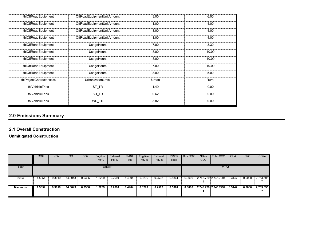| tblOffRoadEquipment       | OffRoadEquipmentUnitAmount | 3.00  | 6.00  |
|---------------------------|----------------------------|-------|-------|
| tblOffRoadEquipment       | OffRoadEquipmentUnitAmount | 1.00  | 4.00  |
| tblOffRoadEquipment       | OffRoadEquipmentUnitAmount | 3.00  | 4.00  |
| tblOffRoadEquipment       | OffRoadEquipmentUnitAmount | 1.00  | 4.00  |
| tblOffRoadEquipment       | UsageHours                 | 7.00  | 3.30  |
| tblOffRoadEquipment       | UsageHours                 | 8.00  | 10.00 |
| tblOffRoadEquipment       | UsageHours                 | 8.00  | 10.00 |
| tblOffRoadEquipment       | UsageHours                 | 7.00  | 10.00 |
| tblOffRoadEquipment       | UsageHours                 | 8.00  | 5.00  |
| tblProjectCharacteristics | UrbanizationLevel          | Urban | Rural |
| tblVehicleTrips           | ST TR                      | 1.49  | 0.00  |
| tblVehicleTrips           | SU_TR                      | 0.62  | 0.00  |
| tblVehicleTrips           | WD_TR                      | 3.82  | 0.00  |

# **2.1 Overall Construction**

**Unmitigated Construction**

|                | <b>ROG</b> | <b>NO<sub>x</sub></b> | $\overline{c}$ | <b>SO2</b> | Fugitive<br><b>PM10</b> | Exhaust<br><b>PM10</b> | <b>PM10</b><br>Total | Fugitive<br>PM2.5 | Exhaust<br>PM2.5 | Total  | PM2.5 Bio- CO2 | NBio-<br>CO <sub>2</sub> | Total CO <sub>2</sub>    | CH <sub>4</sub> | <b>N2O</b> | CO <sub>2</sub> e |
|----------------|------------|-----------------------|----------------|------------|-------------------------|------------------------|----------------------|-------------------|------------------|--------|----------------|--------------------------|--------------------------|-----------------|------------|-------------------|
| Year           |            |                       |                |            | tons/yr                 |                        |                      |                   |                  |        |                |                          | MT/yr                    |                 |            |                   |
| 2023           | .5854      | 9.3019                | 14.3043        | 0.0306     | .2209                   | 0.2694                 | 1.4904               | 0.3299            | 0.2562           | 0.5861 | 0.0000         | 4                        | $2,745.729$ $2,745.7294$ | 0.3147          | 0.0000     | 2,753.595         |
| <b>Maximum</b> | 1.5854     | 9.3019                | 14.3043        | 0.0306     | 1.2209                  | 0.2694                 | 1.4904               | 0.3299            | 0.2562           | 0.5861 | 0.0000         | 4                        | 2,745.729 2,745.7294     | 0.3147          | 0.0000     | 2,753.595         |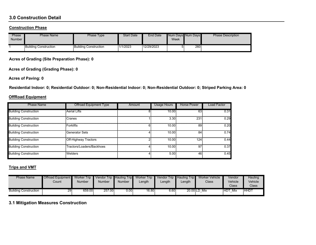# **3.0 Construction Detail**

#### **Construction Phase**

| Phase<br><b>Number</b> | <b>Phase Name</b>            | Phase Type            | <b>Start Date</b> | <b>End Date</b> | Week | Num Days Num Days | <b>Phase Description</b> |
|------------------------|------------------------------|-----------------------|-------------------|-----------------|------|-------------------|--------------------------|
|                        | <b>Building Construction</b> | Building Construction | 1/1/2023          | 12/29/2023      |      | 260               |                          |

**Acres of Grading (Site Preparation Phase): 0**

**Acres of Grading (Grading Phase): 0**

**Acres of Paving: 0**

**Residential Indoor: 0; Residential Outdoor: 0; Non-Residential Indoor: 0; Non-Residential Outdoor: 0; Striped Parking Area: 0** 

#### **OffRoad Equipment**

| <b>Phase Name</b>            | Offroad Equipment Type      | Amount | Usage Hours | <b>Horse Power</b> | Load Factor |
|------------------------------|-----------------------------|--------|-------------|--------------------|-------------|
| <b>Building Construction</b> | <b>Aerial Lifts</b>         |        | 10.00       | 63                 | 0.31        |
| <b>Building Construction</b> | Cranes                      |        | 3.30        | 231                | 0.29        |
| <b>Building Construction</b> | <b>Forklifts</b>            |        | 10.00       | 89                 | 0.20        |
| <b>Building Construction</b> | Generator Sets              |        | 10.00       | 84                 | 0.74        |
| <b>Building Construction</b> | <b>Off-Highway Tractors</b> |        | 10.00       | 124                | 0.44        |
| <b>Building Construction</b> | Tractors/Loaders/Backhoes   |        | 10.00       | 97                 | 0.37        |
| <b>Building Construction</b> | <b>Welders</b>              |        | 5.00        | 46                 | 0.45        |

# **Trips and VMT**

| <b>Phase Name</b>            | Offroad Equipment   Worker Trip   Vendor Trip   Hauling Trip   Worker Trip<br>Count | Number | Number | Number        | Length | Length | Vendor Trip Hauling Trip<br>Length | Worker Vehicle<br>Class | Vendor<br>Vehicle<br>Class | Hauling<br>Vehicle<br><b>Class</b> |
|------------------------------|-------------------------------------------------------------------------------------|--------|--------|---------------|--------|--------|------------------------------------|-------------------------|----------------------------|------------------------------------|
| <b>Building Construction</b> | 29                                                                                  | 659.00 | 257.00 | $0.00$ $\mid$ | 16.80  | 6.60   |                                    | 20.00 LD Mix            | <b>HDT</b><br>Mix          | <b>HHD1</b>                        |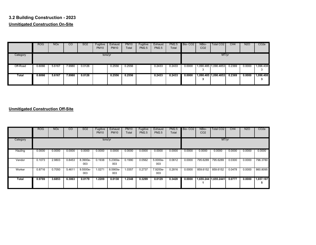# **3.2 Building Construction - 2023 Unmitigated Construction On-Site**

|          | <b>ROG</b> | <b>NO<sub>x</sub></b> | CO     | SO <sub>2</sub> | Fugitive<br><b>PM10</b> | Exhaust<br><b>PM10</b> | <b>PM10</b><br>Total | Fugitive<br><b>PM2.5</b> | Exhaust<br><b>PM2.5</b> | <b>PM2.5</b><br>Total | Bio-CO <sub>2</sub> | NBio-<br>CO <sub>2</sub> | Total CO <sub>2</sub> | CH4    | <b>N2O</b> | CO <sub>2</sub> e |
|----------|------------|-----------------------|--------|-----------------|-------------------------|------------------------|----------------------|--------------------------|-------------------------|-----------------------|---------------------|--------------------------|-----------------------|--------|------------|-------------------|
| Category |            |                       |        |                 | tons/yr                 |                        |                      |                          |                         |                       |                     |                          | MT/yr                 |        |            |                   |
| Off-Road | 0.6066     | 5.6167                | 7.9980 | 0.0126          |                         | 0.2556                 | 0.2556               |                          | 0.2433                  | 0.2433                | 0.0000              |                          | 1,090.485 1,090.4853  | 0.2369 | 0.0000     | 1,096.408<br>3    |
| Total    | 0.6066     | 5.6167                | 7.9980 | 0.0126          |                         | 0.2556                 | 0.2556               |                          | 0.2433                  | 0.2433                | 0.0000              |                          | 1,090.485 1,090.4853  | 0.2369 | 0.0000     | 1,096.408<br>J.   |

|          | <b>ROG</b>       | <b>NO<sub>x</sub></b> | <sub>CO</sub> | SO <sub>2</sub> | Fugitive<br><b>PM10</b> | Exhaust<br><b>PM10</b> | <b>PM10</b><br>Total | Fugitive<br><b>PM2.5</b> | Exhaust<br><b>PM2.5</b> | <b>PM2.5</b><br>Total | Bio-CO <sub>2</sub> | NBio-<br>CO <sub>2</sub> | Total CO <sub>2</sub> | CH4    | <b>N2O</b> | CO <sub>2</sub> e |
|----------|------------------|-----------------------|---------------|-----------------|-------------------------|------------------------|----------------------|--------------------------|-------------------------|-----------------------|---------------------|--------------------------|-----------------------|--------|------------|-------------------|
| Category | MT/yr<br>tons/yr |                       |               |                 |                         |                        |                      |                          |                         |                       |                     |                          |                       |        |            |                   |
| Hauling  | 0.0000           | 0.0000                | 0.0000        | 0.0000          | 0.0000                  | 0.0000                 | 0.0000               | 0.0000                   | 0.0000                  | 0.0000                | 0.0000              | 0.0000                   | 0.0000                | 0.0000 | 0.0000     | 0.0000            |
| Vendor   | 0.1073           | 2.9803                | 0.8453        | 8.3900e-<br>003 | 0.1938                  | 5.2300e-<br>003        | 0.1990               | 0.0562                   | 5.0000e-<br>003         | 0.0612                | 0.0000              | 795.6289                 | 795.6289              | 0.0300 | 0.0000     | 796.3780          |
| Worker   | 0.8716           | 0.7050                | 5.4611        | 9.5500e-<br>003 | 1.0271                  | 8.5900e-<br>003        | 1.0357               | 0.2737                   | 7.9200e-<br>003         | 0.2816                | 0.0000              | 859.6152                 | 859.6152              | 0.0478 | 0.0000     | 860.8095          |
| Total    | 0.9789           | 3.6853                | 6.3063        | 0.0179          | 1.2209                  | 0.0138                 | 1.2348               | 0.3299                   | 0.0129                  | 0.3428                | 0.0000              |                          | 1,655.244 1,655.2441  | 0.0777 | 0.0000     | 1,657.187<br>5    |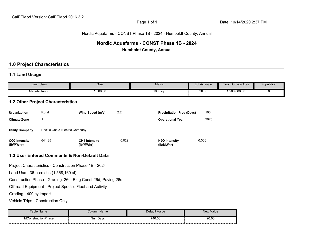#### Nordic Aquafarms - CONST Phase 1B - 2024 - Humboldt County, Annual

# **Nordic Aquafarms - CONST Phase 1B - 2024 Humboldt County, Annual**

# **1.0 Project Characteristics**

# **1.1 Land Usage**

|                                   | <b>Land Uses</b>                         | Size                                                          |       | Metric                           | Lot Acreage | <b>Floor Surface Area</b> | Population |
|-----------------------------------|------------------------------------------|---------------------------------------------------------------|-------|----------------------------------|-------------|---------------------------|------------|
|                                   | Manufacturing                            | 1,568.00                                                      |       | 1000sqft                         | 36.00       | 1,568,000.00              | 0          |
|                                   | <b>1.2 Other Project Characteristics</b> |                                                               |       |                                  |             |                           |            |
| <b>Urbanization</b>               | Rural                                    | Wind Speed (m/s)                                              | 2.2   | <b>Precipitation Freq (Days)</b> | 103         |                           |            |
| <b>Climate Zone</b>               | $\mathbf{1}$                             |                                                               |       | <b>Operational Year</b>          | 2025        |                           |            |
| <b>Utility Company</b>            | Pacific Gas & Electric Company           |                                                               |       |                                  |             |                           |            |
| <b>CO2 Intensity</b><br>(lb/MWhr) | 641.35                                   | <b>CH4 Intensity</b><br>(lb/MWhr)                             | 0.029 | N2O Intensity<br>(lb/MWhr)       | 0.006       |                           |            |
|                                   |                                          | 1.3 User Entered Comments & Non-Default Data                  |       |                                  |             |                           |            |
|                                   |                                          | Project Characteristics - Construction Phase 1B - 2024        |       |                                  |             |                           |            |
|                                   | Land Use - 36-acre site (1,568,160 sf)   |                                                               |       |                                  |             |                           |            |
|                                   |                                          | Construction Phase - Grading, 26d, Bldg Const 26d, Paving 26d |       |                                  |             |                           |            |
|                                   |                                          | Off-road Equipment - Project-Specific Fleet and Activity      |       |                                  |             |                           |            |
| Grading - 400 cy import           |                                          |                                                               |       |                                  |             |                           |            |
| Vehicle Trips - Construction Only |                                          |                                                               |       |                                  |             |                           |            |

| ⊺able Name                     | Column Name | Default Value | New Value |
|--------------------------------|-------------|---------------|-----------|
| thir<br>-<br>ConstructionPhase | NumDays     | 740.00<br>.   | 26.00     |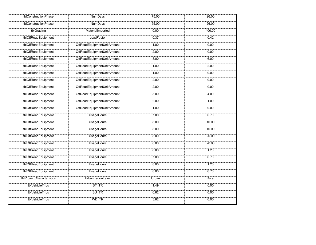| tblConstructionPhase      | <b>NumDays</b>             | 75.00 | 26.00  |
|---------------------------|----------------------------|-------|--------|
| tblConstructionPhase      | <b>NumDays</b>             | 55.00 | 26.00  |
| tblGrading                | MaterialImported           | 0.00  | 400.00 |
| tblOffRoadEquipment       | LoadFactor                 | 0.37  | 0.42   |
| tblOffRoadEquipment       | OffRoadEquipmentUnitAmount | 1.00  | 0.00   |
| tblOffRoadEquipment       | OffRoadEquipmentUnitAmount | 2.00  | 0.00   |
| tblOffRoadEquipment       | OffRoadEquipmentUnitAmount | 3.00  | 6.00   |
| tblOffRoadEquipment       | OffRoadEquipmentUnitAmount | 1.00  | 2.00   |
| tblOffRoadEquipment       | OffRoadEquipmentUnitAmount | 1.00  | 0.00   |
| tblOffRoadEquipment       | OffRoadEquipmentUnitAmount | 2.00  | 0.00   |
| tblOffRoadEquipment       | OffRoadEquipmentUnitAmount | 2.00  | 0.00   |
| tblOffRoadEquipment       | OffRoadEquipmentUnitAmount | 300   | 4.00   |
| tblOffRoadEquipment       | OffRoadEquipmentUnitAmount | 2.00  | 1.00   |
| tblOffRoadEquipment       | OffRoadEquipmentUnitAmount | 100   | 0.00   |
| tblOffRoadEquipment       | <b>UsageHours</b>          | 7.00  | 6.70   |
| tblOffRoadEquipment       | <b>UsageHours</b>          | 8.00  | 10.00  |
| tblOffRoadEquipment       | <b>UsageHours</b>          | 8.00  | 10.00  |
| tblOffRoadEquipment       | UsageHours                 | 8.00  | 20.00  |
| tblOffRoadEquipment       | <b>UsageHours</b>          | 8.00  | 20.00  |
| tblOffRoadEquipment       | <b>UsageHours</b>          | 8.00  | 1.20   |
| tblOffRoadEquipment       | <b>UsageHours</b>          | 7.00  | 6.70   |
| tblOffRoadEquipment       | <b>UsageHours</b>          | 8.00  | 1.20   |
| tblOffRoadEquipment       | <b>UsageHours</b>          | 8.00  | 6.70   |
| tblProjectCharacteristics | UrbanizationLevel          | Urban | Rural  |
| tblVehicleTrips           | $ST_TR$                    | 1.49  | 0.00   |
| tblVehicleTrips           | SU_TR                      | 0.62  | 0.00   |
| tblVehicleTrips           | WD_TR                      | 3.82  | 0.00   |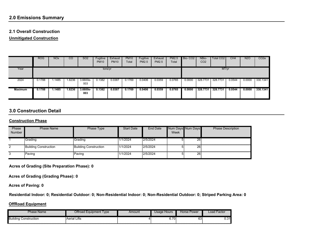# **2.1 Overall Construction**

**Unmitigated Construction**

|                | <b>ROG</b> | <b>NO<sub>x</sub></b> | CO     | SO <sub>2</sub>   | Fugitive<br><b>PM10</b> | Exhaust<br><b>PM10</b> | <b>PM10</b><br>Total | Fugitive<br><b>PM2.5</b> | Exhaust<br><b>PM2.5</b> | <b>PM2.5</b><br>Total | Bio-CO <sub>2</sub> | NBio-<br>CO <sub>2</sub> | Total CO2 | CH4    | <b>N2O</b> | CO <sub>2e</sub> |
|----------------|------------|-----------------------|--------|-------------------|-------------------------|------------------------|----------------------|--------------------------|-------------------------|-----------------------|---------------------|--------------------------|-----------|--------|------------|------------------|
| Year           | tons/yr    |                       |        |                   |                         |                        |                      |                          | MT/yr                   |                       |                     |                          |           |        |            |                  |
| 2024           | 0.1788     | .1485                 | 1.8236 | 3.6600e-<br>003   | 0.1382                  | 0.0387                 | 0.1769               | 0.0406                   | 0.0359                  | 0.0765                | 0.0000              | 328.7731                 | 328,7731  | 0.0544 | 0.0000     | 330.1341         |
| <b>Maximum</b> | 0.1788     | l.1485                | 1.8236 | $3.6600e-$<br>003 | 0.1382                  | 0.0387                 | 0.1769               | 0.0406                   | 0.0359                  | 0.0765                | 0.0000              | 328,7731                 | 328.7731  | 0.0544 | 0.0000     | 330.1341         |

# **3.0 Construction Detail**

#### **Construction Phase**

| Phase<br><b>Number</b> | Phase Name                   | Phase Type            | <b>Start Date</b> | End Date | Num Days Num Days<br>Week |    | <b>Phase Description</b> |
|------------------------|------------------------------|-----------------------|-------------------|----------|---------------------------|----|--------------------------|
|                        | <b>Grading</b>               | l Grading             | 1/1/2024          | 2/5/2024 |                           | 26 |                          |
| $\overline{2}$         | <b>Building Construction</b> | Building Construction | 1/1/2024          | 2/5/2024 |                           | 26 |                          |
| 3                      | Paving                       | Paving                | 1/1/2024          | 2/5/2024 |                           | 26 |                          |

**Acres of Grading (Site Preparation Phase): 0**

**Acres of Grading (Grading Phase): 0**

**Acres of Paving: 0**

**Residential Indoor: 0; Residential Outdoor: 0; Non-Residential Indoor: 0; Non-Residential Outdoor: 0; Striped Parking Area: 0** 

#### **OffRoad Equipment**

| <b>Phase Name</b>            | Offroad Equipment Type | Amount | Usage Hours                        | Horse Power | Load Factor |
|------------------------------|------------------------|--------|------------------------------------|-------------|-------------|
| <b>Building Construction</b> | <b>Aerial Lifts</b>    |        | $\overline{\phantom{a}}$<br>0. I U | 63          | 0.31        |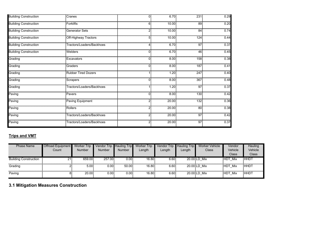| <b>Building Construction</b> | Cranes                     | $\Omega$       | 6.70  | 231 | 0.29 |
|------------------------------|----------------------------|----------------|-------|-----|------|
| <b>Building Construction</b> | <b>Forklifts</b>           | 6.             | 10.00 | 89  | 0.20 |
| <b>Building Construction</b> | <b>Generator Sets</b>      | $\overline{2}$ | 10.00 | 84  | 0.74 |
| <b>Building Construction</b> | Off-Highway Tractors       | 5              | 10.00 | 124 | 0.44 |
| <b>Building Construction</b> | Tractors/Loaders/Backhoes  | 4              | 6.70  | 97  | 0.37 |
| <b>Building Construction</b> | Welders                    | $\overline{0}$ | 6.70  | 46  | 0.45 |
| Grading                      | Excavators                 | 0              | 8.00  | 158 | 0.38 |
| Grading                      | Graders                    | 0              | 8.00  | 187 | 0.41 |
| Grading                      | <b>Rubber Tired Dozers</b> |                | 1.20  | 247 | 0.40 |
| Grading                      | Scrapers                   | 0.             | 8.00  | 367 | 0.48 |
| Grading                      | Tractors/Loaders/Backhoes  |                | 1.20  | 97  | 0.37 |
| Paving                       | Pavers                     | 0              | 8.00  | 130 | 0.42 |
| Paving                       | Paving Equipment           | $\overline{2}$ | 20.00 | 132 | 0.36 |
| Paving                       | Rollers                    | 2              | 20.00 | 80  | 0.38 |
| Paving                       | Tractors/Loaders/Backhoes  | 2              | 20.00 | 97  | 0.42 |
| Paving                       | Tractors/Loaders/Backhoes  | 2              | 20.00 | 97  | 0.37 |

# **Trips and VMT**

| <b>Phase Name</b>            | <b>Offroad Equipment</b><br>Count | <b>Worker Trip</b><br><b>Number</b> | Vendor Trip Hauling Trip<br><b>Number</b> | <b>Number</b> | <b>Worker Trip</b><br>Length | Length | Vendor Trip Hauling Trip<br>Length | <b>Worker Vehicle</b><br>Class | Vendor<br>Vehicle<br>Class | Hauling<br>Vehicle<br>Class |
|------------------------------|-----------------------------------|-------------------------------------|-------------------------------------------|---------------|------------------------------|--------|------------------------------------|--------------------------------|----------------------------|-----------------------------|
| <b>Building Construction</b> | 21                                | 659.00                              | 257.00                                    | 0.00          | 16.80                        | 6.60   |                                    | 20.00 LD Mix                   | <b>HDT Mix</b>             | <b>HHDT</b>                 |
| Grading                      |                                   | 5.00                                | 0.00                                      | 50.00         | 16.80                        | 6.60   |                                    | 20.00 LD Mix                   | HDT Mix                    | <b>HHDT</b>                 |
| Paving                       |                                   | 20.00                               | 0.00                                      | 0.00          | 16.80                        | 6.60   |                                    | 20.00 LD Mix                   | HDT Mix                    | <b>HHDT</b>                 |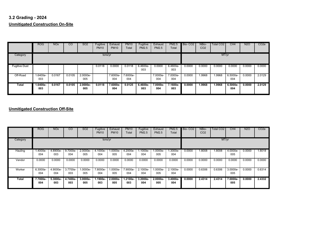# **3.2 Grading - 2024 Unmitigated Construction On-Site**

|                      | ROG             | <b>NO<sub>x</sub></b> | CO     | <b>SO2</b>         | Fugitive<br><b>PM10</b> | Exhaust<br><b>PM10</b> | <b>PM10</b><br>Total | Fugitive<br><b>PM2.5</b> | Exhaust<br><b>PM2.5</b> | <b>PM2.5</b><br>Total | Bio-CO <sub>2</sub> | NBio-<br>CO <sub>2</sub> | Total CO <sub>2</sub> | CH <sub>4</sub>   | <b>N2O</b> | CO <sub>2</sub> e |
|----------------------|-----------------|-----------------------|--------|--------------------|-------------------------|------------------------|----------------------|--------------------------|-------------------------|-----------------------|---------------------|--------------------------|-----------------------|-------------------|------------|-------------------|
| Category             | tons/yr         |                       |        |                    |                         |                        |                      |                          | MT/yr                   |                       |                     |                          |                       |                   |            |                   |
| <b>Fugitive Dust</b> |                 |                       |        |                    | 0.0118                  | 0.0000                 | 0.0118               | 6.4600e-<br>003          | 0.0000                  | 6.4600e-<br>003       | 0.0000              | 0.0000                   | 0.0000                | 0.0000            | 0.0000     | 0.0000            |
| Off-Road             | 1.6400e-<br>003 | 0.0167                | 0.0105 | 2.0000e-<br>005    |                         | 7.6000e-<br>004        | 7.6000e-<br>004      |                          | 7.0000e-<br>004         | 7.0000e-<br>004       | 0.0000              | 1.9968                   | .9968                 | 6.5000e-<br>004   | 0.0000     | 2.0129            |
| Total                | 1.6400e-<br>003 | 0.0167                | 0.0105 | $2.0000e -$<br>005 | 0.0118                  | 7.6000e-<br>004        | 0.0125               | $6.4600e-$<br>003        | 7.0000e-<br>004         | 7.1600e-<br>003       | 0.0000              | 1.9968                   | 1.9968                | $6.5000e-$<br>004 | 0.0000     | 2.0129            |

|          | <b>ROG</b>      | <b>NO<sub>x</sub></b> | $\overline{c}$  | SO <sub>2</sub>   | Fugitive<br><b>PM10</b> | Exhaust<br><b>PM10</b> | <b>PM10</b><br>Total | Fugitive<br>PM2.5 | Exhaust<br><b>PM2.5</b> | <b>PM2.5</b><br>Total | Bio-CO <sub>2</sub> | NBio-<br>CO <sub>2</sub> | Total CO <sub>2</sub> | CH4             | <b>N2O</b> | CO <sub>2</sub> e |
|----------|-----------------|-----------------------|-----------------|-------------------|-------------------------|------------------------|----------------------|-------------------|-------------------------|-----------------------|---------------------|--------------------------|-----------------------|-----------------|------------|-------------------|
| Category | tons/yr         |                       |                 |                   |                         |                        |                      |                   |                         | MT/yr                 |                     |                          |                       |                 |            |                   |
| Hauling  | 1.4000e-<br>004 | 4.8900e-<br>003       | 9.7000e-<br>004 | 2.0000e-<br>005   | 4.1000e-<br>004         | 1.0000e-<br>005        | 4.2000e-<br>004      | 1.1000e-<br>004   | 1.0000e-<br>005         | 1.3000e-<br>004       | 0.0000              | .8008                    | .8008                 | 4.0000e-<br>005 | 0.0000     | 1.8018            |
| Vendor   | 0.0000          | 0.0000                | 0.0000          | 0.0000            | 0.0000                  | 0.0000                 | 0.0000               | 0.0000            | 0.0000                  | 0.0000                | 0.0000              | 0.0000                   | 0.0000                | 0.0000          | 0.0000     | 0.0000            |
| Worker   | 6.3000e-<br>004 | 4.9000e-<br>004       | 3.7700e-<br>003 | 1.0000e-<br>005   | 7.8000e-<br>004         | 1.0000e-<br>005        | 7.9000e-<br>004      | 2.1000e-<br>004   | 1.0000e-<br>005         | 2.1000e-<br>004       | 0.0000              | 0.6306                   | 0.6306                | 3.0000e-<br>005 | 0.0000     | 0.6314            |
| Total    | 7.7000e-<br>004 | $5.3800e-$<br>003     | 4.7400e-<br>003 | $3.0000e-$<br>005 | 1.1900e-<br>003         | $2.0000e -$<br>005     | 1.2100e-<br>003      | 3.2000e-<br>004   | $2.0000e -$<br>005      | $3.4000e-$<br>004     | 0.0000              | 2.4314                   | 2.4314                | 7.0000e-<br>005 | 0.0000     | 2.4332            |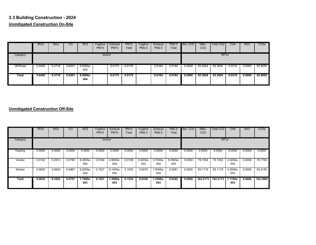## **3.3 Building Construction - 2024 Unmitigated Construction On-Site**

|              | <b>ROG</b> | <b>NOx</b> | CO     | <b>SO2</b>        | Fugitive<br><b>PM10</b> | Exhaust<br><b>PM10</b> | <b>PM10</b><br>Total | Fugitive<br>PM2.5 | Exhaust<br><b>PM2.5</b> | <b>PM2.5</b><br>Total | Bio-CO <sub>2</sub> | NBio-<br>CO <sub>2</sub> | Total CO <sub>2</sub> | CH4    | <b>N2O</b> | CO <sub>2</sub> e |
|--------------|------------|------------|--------|-------------------|-------------------------|------------------------|----------------------|-------------------|-------------------------|-----------------------|---------------------|--------------------------|-----------------------|--------|------------|-------------------|
| Category     |            |            |        |                   | tons/yr                 |                        |                      |                   |                         |                       |                     |                          | MT/yr                 |        |            |                   |
| Off-Road     | 0.0405     | 0.3718     | 0.6201 | $9.5000e-$<br>004 |                         | 0.0175                 | 0.0175               |                   | 0.0164                  | 0.0164                | 0.0000              | 83.3654                  | 83.3654               | 0.0218 | 0.0000     | 83.9095           |
| <b>Total</b> | 0.0405     | 0.3718     | 0.6201 | $9.5000e-$<br>004 |                         | 0.0175                 | 0.0175               |                   | 0.0164                  | 0.0164                | 0.0000              | 83.3654                  | 83.3654               | 0.0218 | 0.0000     | 83.9095           |

|          | <b>ROG</b> | <b>NO<sub>x</sub></b> | <sub>CO</sub> | SO <sub>2</sub>   | Fugitive<br><b>PM10</b> | Exhaust<br><b>PM10</b> | <b>PM10</b><br>Total | Fugitive<br><b>PM2.5</b> | Exhaust<br><b>PM2.5</b> | <b>PM2.5</b><br>Total | Bio-CO <sub>2</sub> | NBio-<br>CO <sub>2</sub> | Total CO <sub>2</sub> | CH4             | <b>N2O</b> | CO <sub>2</sub> e |
|----------|------------|-----------------------|---------------|-------------------|-------------------------|------------------------|----------------------|--------------------------|-------------------------|-----------------------|---------------------|--------------------------|-----------------------|-----------------|------------|-------------------|
| Category |            |                       |               |                   | tons/yr                 |                        |                      |                          |                         |                       |                     |                          | MT/yr                 |                 |            |                   |
| Hauling  | 0.0000     | 0.0000                | 0.0000        | 0.0000            | 0.0000                  | 0.0000                 | 0.0000               | 0.0000                   | 0.0000                  | 0.0000                | 0.0000              | 0.0000                   | 0.0000                | 0.0000          | 0.0000     | 0.0000            |
| Vendor   | 0.0102     | 0.2913                | 0.0790        | 8.3000e-<br>004   | 0.0194                  | 4.9000e-<br>004        | 0.0199               | 5.6200e-<br>003          | 4.7000e-<br>004         | 6.0900e-<br>003       | 0.0000              | 79.1054                  | 79.1054               | 2.9200e-<br>003 | 0.0000     | 79.1783           |
| Worker   | 0.0830     | 0.0640                | 0.4967        | 9.2000e-<br>004   | 0.1027                  | 8.1000e-<br>004        | 0.1035               | 0.0274                   | 7.5000e-<br>004         | 0.0281                | 0.0000              | 83.1119                  | 83.1119               | 4.2500e-<br>003 | 0.0000     | 83.2182           |
| Total    | 0.0932     | 0.3553                | 0.5757        | $1.7500e-$<br>003 | 0.1221                  | $1.3000e-$<br>003      | 0.1234               | 0.0330                   | $1.2200e-$<br>003       | 0.0342                | 0.0000              | 162.2173                 | 162.2173              | 7.1700e-<br>003 | 0.0000     | 162.3965          |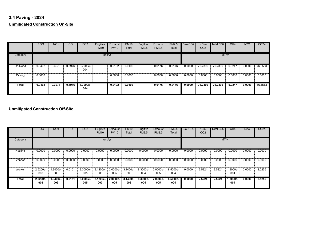## **3.4 Paving - 2024 Unmitigated Construction On-Site**

|          | ROG    | <b>NO<sub>x</sub></b> | CO     | SO <sub>2</sub> | Fugitive<br><b>PM10</b> | Exhaust<br><b>PM10</b> | <b>PM10</b><br>Total | Fugitive<br><b>PM2.5</b> | Exhaust<br><b>PM2.5</b> | <b>PM2.5</b><br>Total | Bio-CO <sub>2</sub> | NBio-<br>CO <sub>2</sub> | Total CO <sub>2</sub> | CH <sub>4</sub> | N <sub>2</sub> O | CO <sub>2</sub> e |
|----------|--------|-----------------------|--------|-----------------|-------------------------|------------------------|----------------------|--------------------------|-------------------------|-----------------------|---------------------|--------------------------|-----------------------|-----------------|------------------|-------------------|
| Category |        |                       |        |                 | tons/yr                 |                        |                      |                          |                         |                       |                     |                          | MT/yr                 |                 |                  |                   |
| Off-Road | 0.0402 | 0.3973                | 0.5976 | 8.7000e-<br>004 |                         | 0.0192                 | 0.0192               |                          | 0.0176                  | 0.0176                | 0.0000              | 76.2399                  | 76.2399               | 0.0247          | 0.0000           | 76.8563           |
| Paving   | 0.0000 |                       |        |                 |                         | 0.0000                 | 0.0000               |                          | 0.0000                  | 0.0000                | 0.0000              | 0.0000                   | 0.0000                | 0.0000          | 0.0000           | 0.0000            |
| Total    | 0.0402 | 0.3973                | 0.5976 | 8.7000e-<br>004 |                         | 0.0192                 | 0.0192               |                          | 0.0176                  | 0.0176                | 0.0000              | 76.2399                  | 76.2399               | 0.0247          | 0.0000           | 76.8563           |

|          | <b>ROG</b>        | <b>NO<sub>x</sub></b> | $\overline{c}$ | <b>SO2</b>        | Fugitive<br><b>PM10</b> | Exhaust<br><b>PM10</b> | <b>PM10</b><br>Total | Fugitive<br>PM2.5 | Exhaust<br><b>PM2.5</b> | <b>PM2.5</b><br>Total | Bio-CO <sub>2</sub> | NBio-<br>CO <sub>2</sub> | <b>Total CO2</b> | CH4               | <b>N2O</b> | CO <sub>2</sub> e |
|----------|-------------------|-----------------------|----------------|-------------------|-------------------------|------------------------|----------------------|-------------------|-------------------------|-----------------------|---------------------|--------------------------|------------------|-------------------|------------|-------------------|
| Category |                   |                       |                |                   | tons/yr                 |                        |                      |                   |                         |                       |                     |                          | MT/yr            |                   |            |                   |
| Hauling  | 0.0000            | 0.0000                | 0.0000         | 0.0000            | 0.0000                  | 0.0000                 | 0.0000               | 0.0000            | 0.0000                  | 0.0000                | 0.0000              | 0.0000                   | 0.0000           | 0.0000            | 0.0000     | 0.0000            |
| Vendor   | 0.0000            | 0.0000                | 0.0000         | 0.0000            | 0.0000                  | 0.0000                 | 0.0000               | 0.0000            | 0.0000                  | 0.0000                | 0.0000              | 0.0000                   | 0.0000           | 0.0000            | 0.0000     | 0.0000            |
| Worker   | 2.5200e-<br>003   | .9400e-<br>003        | 0.0151         | 3.0000e-<br>005   | 3.1200e-<br>003         | 2.0000e-<br>005        | 3.1400e-<br>003      | 8.3000e-<br>004   | 2.0000e-<br>005         | 8.5000e-<br>004       | 0.0000              | 2.5224                   | 2.5224           | 1.3000e-<br>004   | 0.0000     | 2.5256            |
| Total    | $2.5200e-$<br>003 | 1.9400e-<br>003       | 0.0151         | $3.0000e-$<br>005 | $3.1200e-$<br>003       | $2.0000e -$<br>005     | $3.1400e-$<br>003    | $8.3000e-$<br>004 | $2.0000e-$<br>005       | $8.5000e -$<br>004    | 0.0000              | 2.5224                   | 2.5224           | $1.3000e-$<br>004 | 0.0000     | 2.5256            |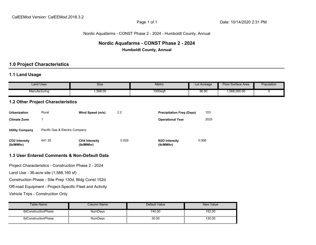#### Nordic Aquafarms - CONST Phase 2 - 2024 - Humboldt County, Annual

# **Nordic Aquafarms - CONST Phase 2 - 2024**

**Humboldt County, Annual**

## **1.0 Project Characteristics**

### **1.1 Land Usage**

|                                   | <b>Land Uses</b>                         | Size                                                     |       | <b>Metric</b>                    | Lot Acreage | Floor Surface Area | Population |
|-----------------------------------|------------------------------------------|----------------------------------------------------------|-------|----------------------------------|-------------|--------------------|------------|
|                                   | Manufacturing                            | 1,568.00                                                 |       | 1000sqft                         | 36.00       | 1,568,000.00       | 0          |
|                                   | <b>1.2 Other Project Characteristics</b> |                                                          |       |                                  |             |                    |            |
| <b>Urbanization</b>               | Rural                                    | Wind Speed (m/s)                                         | 2.2   | <b>Precipitation Freq (Days)</b> | 103         |                    |            |
| <b>Climate Zone</b>               | $\mathbf{1}$                             |                                                          |       | <b>Operational Year</b>          | 2025        |                    |            |
| <b>Utility Company</b>            | Pacific Gas & Electric Company           |                                                          |       |                                  |             |                    |            |
| CO2 Intensity<br>(lb/MWhr)        | 641.35                                   | <b>CH4 Intensity</b><br>(lb/MWhr)                        | 0.029 | N2O Intensity<br>(lb/MWhr)       | 0.006       |                    |            |
|                                   |                                          | 1.3 User Entered Comments & Non-Default Data             |       |                                  |             |                    |            |
|                                   |                                          | Project Characteristics - Construction Phase 2 - 2024    |       |                                  |             |                    |            |
|                                   | Land Use - 36-acre site (1,568,160 sf)   |                                                          |       |                                  |             |                    |            |
|                                   |                                          | Construction Phase - Site Prep 130d, Bldg Const 152d     |       |                                  |             |                    |            |
|                                   |                                          | Off-road Equipment - Project-Specific Fleet and Activity |       |                                  |             |                    |            |
| Vehicle Trips - Construction Only |                                          |                                                          |       |                                  |             |                    |            |

| Table Name i         | Column Name    | Default Value | New Value |
|----------------------|----------------|---------------|-----------|
| tblConstructionPhase | <b>NumDavs</b> | 740.00        | 152.00    |
| tblConstructionPhase | NumDays        | 30.00         | 130.00    |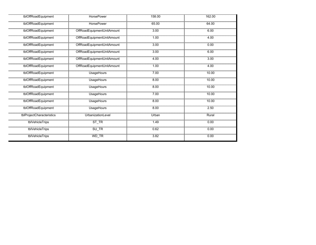| tblOffRoadEquipment       | <b>HorsePower</b>          | 158.00 | 162.00 |
|---------------------------|----------------------------|--------|--------|
| tblOffRoadEquipment       | <b>HorsePower</b>          | 65.00  | 64.00  |
| tblOffRoadEquipment       | OffRoadEquipmentUnitAmount | 3.00   | 6.00   |
| tblOffRoadEquipment       | OffRoadEquipmentUnitAmount | 1.00   | 4.00   |
| tblOffRoadEquipment       | OffRoadEquipmentUnitAmount | 3.00   | 0.00   |
| tblOffRoadEquipment       | OffRoadEquipmentUnitAmount | 3.00   | 6.00   |
| tblOffRoadEquipment       | OffRoadEquipmentUnitAmount | 4.00   | 3.00   |
| tblOffRoadEquipment       | OffRoadEquipmentUnitAmount | 1.00   | 4.00   |
| tblOffRoadEquipment       | <b>UsageHours</b>          | 7.00   | 10.00  |
| tblOffRoadEquipment       | <b>UsageHours</b>          | 8.00   | 10.00  |
| tblOffRoadEquipment       | <b>UsageHours</b>          | 8.00   | 10.00  |
| tblOffRoadEquipment       | <b>UsageHours</b>          | 7.00   | 10.00  |
| tblOffRoadEquipment       | UsageHours                 | 8.00   | 10.00  |
| tblOffRoadEquipment       | UsageHours                 | 8.00   | 2.50   |
| tblProjectCharacteristics | UrbanizationLevel          | Urban  | Rural  |
| tblVehicleTrips           | $ST_TR$                    | 1.49   | 0.00   |
| tblVehicleTrips           | $SU$ <sub>TR</sub>         | 0.62   | 0.00   |
| tblVehicleTrips           | WD_TR                      | 3.82   | 0.00   |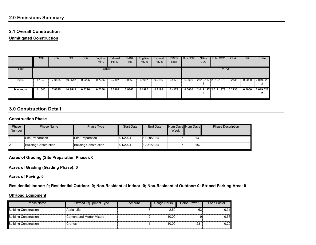## **2.0 Emissions Summary**

#### **2.1 Overall Construction**

**Unmitigated Construction**

|                | <b>ROG</b> | <b>NO<sub>x</sub></b> | CO      | SO <sub>2</sub> | Fugitive<br><b>PM10</b> | Exhaust<br><b>PM10</b> | <b>PM10</b><br>Total | Fugitive<br><b>PM2.5</b> | Exhaust<br><b>PM2.5</b> | <b>PM2.5</b><br>Total | Bio-CO <sub>2</sub> | NBio-<br>CO <sub>2</sub> | Total CO2            | CH4    | <b>N2O</b> | CO <sub>2</sub> e |
|----------------|------------|-----------------------|---------|-----------------|-------------------------|------------------------|----------------------|--------------------------|-------------------------|-----------------------|---------------------|--------------------------|----------------------|--------|------------|-------------------|
| Year           |            |                       |         |                 | tons/yr                 |                        |                      |                          |                         |                       |                     |                          | MT/yr                |        |            |                   |
| 2024           | .1040      | 7.0525                | 10.9542 | 0.0226          | 0.7356                  | 0.2307                 | 0.9663               | 0.1987                   | 0.2186                  | 0.4173                | 0.0000              |                          | 2,012.187 2,012.1878 | 0.2735 | 0.0000     | 2,019.026<br>ົ    |
| <b>Maximum</b> | .1040      | 7.0525                | 10.9542 | 0.0226          | 0.7356                  | 0.2307                 | 0.9663               | 0.1987                   | 0.2186                  | 0.4173                | 0.0000              |                          | 2,012.187 2,012.1878 | 0.2735 | 0.0000     | 2,019.026         |

## **3.0 Construction Detail**

#### **Construction Phase**

| Phase<br><b>Number</b> | Phase Name            | Phase Type                   | <b>Start Date</b> | End Date   | Week | Num Days Num Days | <b>Phase Description</b> |
|------------------------|-----------------------|------------------------------|-------------------|------------|------|-------------------|--------------------------|
|                        | Site Preparation      | Site Preparation             | 6/1/2024          | 11/29/2024 |      | 130               |                          |
|                        | Building Construction | <b>Building Construction</b> | 6/1/2024          | 12/31/2024 |      | 152               |                          |

**Acres of Grading (Site Preparation Phase): 0**

**Acres of Grading (Grading Phase): 0**

**Acres of Paving: 0**

**Residential Indoor: 0; Residential Outdoor: 0; Non-Residential Indoor: 0; Non-Residential Outdoor: 0; Striped Parking Area: 0** 

#### **OffRoad Equipment**

| <b>Phase Name</b>            | Offroad Equipment Type   | Amount | Usage Hours | <b>Horse Power</b> | Load Factor |
|------------------------------|--------------------------|--------|-------------|--------------------|-------------|
| <b>Building Construction</b> | <b>Aerial Lifts</b>      |        | 2.50        | 63                 | 0.31        |
| <b>Building Construction</b> | Cement and Mortar Mixers |        | 10.00       |                    | 0.56        |
| <b>Building Construction</b> | Cranes                   |        | 10.00       | 231                | 0.29        |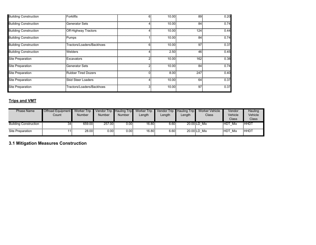| <b>Building Construction</b> | Forklifts                 | 6. | 10.00 | 89  | 0.20 |
|------------------------------|---------------------------|----|-------|-----|------|
| <b>Building Construction</b> | Generator Sets            |    | 10.00 | 84  | 0.74 |
| <b>Building Construction</b> | Off-Highway Tractors      |    | 10.00 | 124 | 0.44 |
| <b>Building Construction</b> | Pumps                     |    | 10.00 | 84  | 0.74 |
| <b>Building Construction</b> | Tractors/Loaders/Backhoes |    | 10.00 | 97  | 0.37 |
| <b>Building Construction</b> | <b>Welders</b>            |    | 2.50  | 46  | 0.45 |
| <b>Site Preparation</b>      | Excavators                | ີ  | 10.00 | 162 | 0.38 |
| <b>Site Preparation</b>      | <b>Generator Sets</b>     |    | 10.00 | 84  | 0.74 |
| <b>Site Preparation</b>      | Rubber Tired Dozers       | 0  | 8.00  | 247 | 0.40 |
| <b>Site Preparation</b>      | Skid Steer Loaders        |    | 10.00 | 64  | 0.37 |
| <b>Site Preparation</b>      | Tractors/Loaders/Backhoes |    | 10.00 | 97  | 0.37 |

## **Trips and VMT**

| <b>Phase Name</b>            | Offroad Equipment Worker Trip |               | Vendor Trip Hauling Trip |                             | <b>Worker Trip</b> | <b>Vendor Trip</b> | <b>Hauling Trip</b> | Worker Vehicle | Vendor            | Hauling     |
|------------------------------|-------------------------------|---------------|--------------------------|-----------------------------|--------------------|--------------------|---------------------|----------------|-------------------|-------------|
|                              | Count                         | <b>Number</b> | Number                   | <b>Number</b>               | Length             | Length             | Length              | Class          | Vehicle           | Vehicle     |
|                              |                               |               |                          |                             |                    |                    |                     |                | Class             | Class       |
| <b>Building Construction</b> | 34                            | 659.00        | 257.00                   | $0.00\overline{\mathbb{I}}$ | 16.80              | 6.60               |                     | 20.00 LD Mix   | THDT.<br>Mix      | <b>HHDT</b> |
| Site Preparation             |                               | 28.00         | 0.00                     | 0.00                        | 16.80              | 6.60               |                     | 20.00 LD Mix   | <b>HDT</b><br>Mix | <b>HHDT</b> |

**3.1 Mitigation Measures Construction**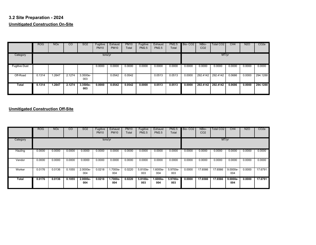## **3.2 Site Preparation - 2024 Unmitigated Construction On-Site**

|                      | <b>ROG</b> | <b>NO<sub>x</sub></b> | CO     | SO <sub>2</sub>   | Fugitive<br><b>PM10</b> | Exhaust<br><b>PM10</b> | <b>PM10</b><br>Total | Fugitive<br><b>PM2.5</b> | Exhaust<br><b>PM2.5</b> | PM2.5<br>Total | Bio-CO <sub>2</sub> | NBio-<br>CO <sub>2</sub> | Total CO <sub>2</sub> | CH4    | <b>N2O</b> | CO <sub>2</sub> e |
|----------------------|------------|-----------------------|--------|-------------------|-------------------------|------------------------|----------------------|--------------------------|-------------------------|----------------|---------------------|--------------------------|-----------------------|--------|------------|-------------------|
| Category             |            |                       |        |                   | tons/yr                 |                        |                      |                          |                         |                |                     |                          | MT/yr                 |        |            |                   |
| <b>Fugitive Dust</b> |            |                       |        |                   | 0.0000                  | 0.0000                 | 0.0000               | 0.0000                   | 0.0000                  | 0.0000         | 0.0000              | 0.0000                   | 0.0000                | 0.0000 | 0.0000     | 0.0000            |
| Off-Road             | 0.1314     | 1.2647                | 2.1274 | 3.3500e-<br>003   |                         | 0.0542                 | 0.0542               |                          | 0.0513                  | 0.0513         | 0.0000              | 292.4142                 | 292.4142              | 0.0686 | 0.0000     | 294.1288          |
| Total                | 0.1314     | .2647                 | 2.1274 | $3.3500e-$<br>003 | 0.0000                  | 0.0542                 | 0.0542               | 0.0000                   | 0.0513                  | 0.0513         | 0.0000              | 292.4142                 | 292.4142              | 0.0686 | 0.0000     | 294.1288          |

|          | <b>ROG</b> | <b>NO<sub>x</sub></b> | $\overline{c}$ | SO <sub>2</sub>   | Fugitive<br><b>PM10</b> | Exhaust<br><b>PM10</b> | <b>PM10</b><br>Total | Fugitive<br><b>PM2.5</b> | Exhaust<br><b>PM2.5</b> | <b>PM2.5</b><br>Total | Bio-CO <sub>2</sub> | NBio-<br>CO <sub>2</sub> | Total CO <sub>2</sub> | CH4               | <b>N2O</b> | CO <sub>2</sub> e |
|----------|------------|-----------------------|----------------|-------------------|-------------------------|------------------------|----------------------|--------------------------|-------------------------|-----------------------|---------------------|--------------------------|-----------------------|-------------------|------------|-------------------|
| Category |            |                       |                |                   | tons/yr                 |                        |                      |                          |                         |                       |                     |                          | MT/yr                 |                   |            |                   |
| Hauling  | 0.0000     | 0.0000                | 0.0000         | 0.0000            | 0.0000                  | 0.0000                 | 0.0000               | 0.0000                   | 0.0000                  | 0.0000                | 0.0000              | 0.0000                   | 0.0000                | 0.0000            | 0.0000     | 0.0000            |
| Vendor   | 0.0000     | 0.0000                | 0.0000         | 0.0000            | 0.0000                  | 0.0000                 | 0.0000               | 0.0000                   | 0.0000                  | 0.0000                | 0.0000              | 0.0000                   | 0.0000                | 0.0000            | 0.0000     | 0.0000            |
| Worker   | 0.0176     | 0.0136                | 0.1055         | 2.0000e-<br>004   | 0.0218                  | 1.7000e-<br>004        | 0.0220               | 5.8100e-<br>003          | 1.6000e-<br>004         | 5.9700e-<br>003       | 0.0000              | 17.6566                  | 17.6566               | 9.0000e-<br>004   | 0.0000     | 17.6791           |
| Total    | 0.0176     | 0.0136                | 0.1055         | $2.0000e-$<br>004 | 0.0218                  | 1.7000e-<br>004        | 0.0220               | 5.8100e-<br>003          | $1.6000e-$<br>004       | 5.9700e-<br>003       | 0.0000              | 17.6566                  | 17.6566               | $9.0000e-$<br>004 | 0.0000     | 17.6791           |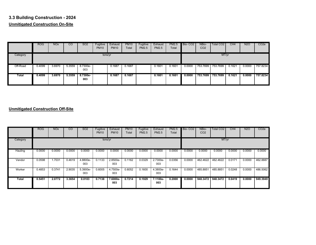## **3.3 Building Construction - 2024 Unmitigated Construction On-Site**

|              | <b>ROG</b> | <b>NOx</b> | CO     | SO <sub>2</sub> | Fugitive<br><b>PM10</b> | Exhaust<br><b>PM10</b> | <b>PM10</b><br>Total | Fugitive<br><b>PM2.5</b> | Exhaust<br><b>PM2.5</b> | <b>PM2.5</b><br>Total | Bio-CO <sub>2</sub> | NBio-<br>CO <sub>2</sub> | Total CO <sub>2</sub> | CH4    | <b>N2O</b> | CO <sub>2</sub> e |
|--------------|------------|------------|--------|-----------------|-------------------------|------------------------|----------------------|--------------------------|-------------------------|-----------------------|---------------------|--------------------------|-----------------------|--------|------------|-------------------|
| Category     |            |            |        |                 | tons/yr                 |                        |                      |                          |                         |                       |                     |                          | MT/yr                 |        |            |                   |
| Off-Road     | 0.4099     | 3.6970     | 5.3559 | 8.7300e-<br>003 |                         | 0.1687                 | 0.1687               |                          | 0.1601                  | 0.1601                | 0.0000              | 753.7699                 | 753.7699              | 0.1621 | 0.0000     | 757.8234          |
| <b>Total</b> | 0.4099     | 3.6970     | 5.3559 | 8.7300e-<br>003 |                         | 0.1687                 | 0.1687               |                          | 0.1601                  | 0.1601                | 0.0000              | 753.7699                 | 753.7699              | 0.1621 | 0.0000     | 757.8234          |

|          | <b>ROG</b> | <b>NO<sub>x</sub></b> | <sub>CO</sub> | SO <sub>2</sub> | Fugitive<br><b>PM10</b> | Exhaust<br><b>PM10</b> | <b>PM10</b><br>Total | Fugitive<br><b>PM2.5</b> | Exhaust<br><b>PM2.5</b> | <b>PM2.5</b><br>Total | Bio-CO <sub>2</sub> | NBio-<br>CO <sub>2</sub> | Total CO <sub>2</sub> | CH4    | <b>N2O</b> | CO <sub>2</sub> e |
|----------|------------|-----------------------|---------------|-----------------|-------------------------|------------------------|----------------------|--------------------------|-------------------------|-----------------------|---------------------|--------------------------|-----------------------|--------|------------|-------------------|
| Category |            |                       |               |                 | tons/yr                 |                        |                      |                          |                         |                       |                     |                          | MT/yr                 |        |            |                   |
| Hauling  | 0.0000     | 0.0000                | 0.0000        | 0.0000          | 0.0000                  | 0.0000                 | 0.0000               | 0.0000                   | 0.0000                  | 0.0000                | 0.0000              | 0.0000                   | 0.0000                | 0.0000 | 0.0000     | 0.0000            |
| Vendor   | 0.0598     | 1.7031                | 0.4619        | 4.8800e-<br>003 | 0.1133                  | 2.8500e-<br>003        | 0.1162               | 0.0329                   | 2.7300e-<br>003         | 0.0356                | 0.0000              | 462.4622                 | 462.4622              | 0.0171 | 0.0000     | 462.8887          |
| Worker   | 0.4853     | 0.3741                | 2.9035        | 5.3900e-<br>003 | 0.6005                  | 4.7500e-<br>003        | 0.6052               | 0.1600                   | 4.3800e-<br>003         | 0.1644                | 0.0000              | 485.8851                 | 485.8851              | 0.0248 | 0.0000     | 486.5062          |
| Total    | 0.5451     | 2.0772                | 3.3654        | 0.0103          | 0.7138                  | 7.6000e-<br>003        | 0.7214               | 0.1929                   | 7.1100e-<br>003         | 0.2000                | 0.0000              | 948,3472                 | 948,3472              | 0.0419 | 0.0000     | 949.3949          |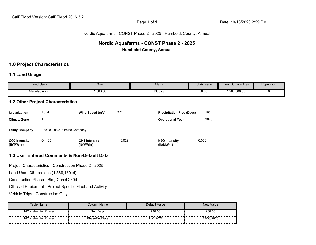#### Nordic Aquafarms - CONST Phase 2 - 2025 - Humboldt County, Annual

# **Nordic Aquafarms - CONST Phase 2 - 2025**

**Humboldt County, Annual**

## **1.0 Project Characteristics**

#### **1.1 Land Usage**

| <b>Land Uses</b>                         |                                        | <b>Size</b>                                              |       | <b>Metric</b>                    | Lot Acreage | <b>Floor Surface Area</b> | Population |  |  |  |
|------------------------------------------|----------------------------------------|----------------------------------------------------------|-------|----------------------------------|-------------|---------------------------|------------|--|--|--|
| Manufacturing                            |                                        | 1,568.00                                                 |       | 1000sqft                         | 36.00       | 1,568,000.00              | 0          |  |  |  |
| <b>1.2 Other Project Characteristics</b> |                                        |                                                          |       |                                  |             |                           |            |  |  |  |
| <b>Urbanization</b>                      | Rural                                  | Wind Speed (m/s)                                         | 2.2   | <b>Precipitation Freq (Days)</b> | 103         |                           |            |  |  |  |
| <b>Climate Zone</b>                      | 1                                      |                                                          |       | <b>Operational Year</b>          | 2026        |                           |            |  |  |  |
| <b>Utility Company</b>                   | Pacific Gas & Electric Company         |                                                          |       |                                  |             |                           |            |  |  |  |
| <b>CO2 Intensity</b><br>(lb/MWhr)        | 641.35                                 | <b>CH4 Intensity</b><br>(lb/MWhr)                        | 0.029 | N2O Intensity<br>(lb/MWhr)       | 0.006       |                           |            |  |  |  |
|                                          |                                        | 1.3 User Entered Comments & Non-Default Data             |       |                                  |             |                           |            |  |  |  |
|                                          |                                        | Project Characteristics - Construction Phase 2 - 2025    |       |                                  |             |                           |            |  |  |  |
|                                          | Land Use - 36-acre site (1,568,160 sf) |                                                          |       |                                  |             |                           |            |  |  |  |
|                                          | Construction Phase - Bldg Const 260d   |                                                          |       |                                  |             |                           |            |  |  |  |
|                                          |                                        | Off-road Equipment - Project-Specific Fleet and Activity |       |                                  |             |                           |            |  |  |  |
| Vehicle Trips - Construction Only        |                                        |                                                          |       |                                  |             |                           |            |  |  |  |

| Table Name           | Column Name    | Default Value | <b>New Value</b> |
|----------------------|----------------|---------------|------------------|
| tblConstructionPhase | <b>NumDavs</b> | 740.00        | 260.00           |
| tblConstructionPhase | PhaseEndDate   | 11/2/2027     | 12/30/2025       |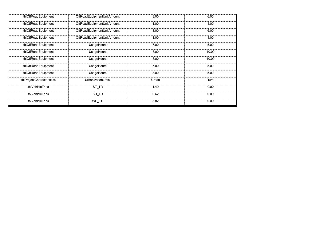| tblOffRoadEquipment       | OffRoadEquipmentUnitAmount | 3.00  | 6.00  |
|---------------------------|----------------------------|-------|-------|
| tblOffRoadEquipment       | OffRoadEquipmentUnitAmount | 1.00  | 4.00  |
| tblOffRoadEquipment       | OffRoadEquipmentUnitAmount | 3.00  | 6.00  |
| tblOffRoadEquipment       | OffRoadEquipmentUnitAmount | 1.00  | 4.00  |
| tblOffRoadEquipment       | <b>UsageHours</b>          | 7.00  | 5.00  |
| tblOffRoadEquipment       | UsageHours                 | 8.00  | 10.00 |
| tblOffRoadEquipment       | UsageHours                 | 8.00  | 10.00 |
| tblOffRoadEquipment       | UsageHours                 | 7.00  | 5.00  |
| tblOffRoadEquipment       | UsageHours                 | 8.00  | 5.00  |
| tblProjectCharacteristics | UrbanizationLevel          | Urban | Rural |
| tblVehicleTrips           | ST TR                      | 1.49  | 0.00  |
| tblVehicleTrips           | SU_TR                      | 0.62  | 0.00  |
| tblVehicleTrips           | WD_TR                      | 3.82  | 0.00  |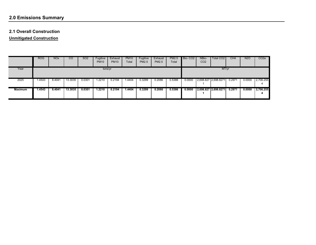# **2.0 Emissions Summary**

#### **2.1 Overall Construction**

**Unmitigated Construction**

|                | <b>ROG</b> | <b>NOx</b> | CO      | SO <sub>2</sub> | Fugitive<br><b>PM10</b> | Exhaust<br><b>PM10</b> | <b>PM10</b><br>Total | Fugitive<br><b>PM2.5</b> | Exhaust<br><b>PM2.5</b> | <b>PM2.5</b><br>Total | Bio-CO <sub>2</sub> | NBio-<br>CO <sub>2</sub> | Total CO <sub>2</sub> | CH <sub>4</sub> | <b>N2O</b> | CO <sub>2</sub> e |
|----------------|------------|------------|---------|-----------------|-------------------------|------------------------|----------------------|--------------------------|-------------------------|-----------------------|---------------------|--------------------------|-----------------------|-----------------|------------|-------------------|
| Year           |            |            |         |                 | tons/yr                 |                        |                      |                          |                         |                       |                     |                          | MT/yr                 |                 |            |                   |
| 2025           | 1.4543     | 8.4041     | 13.3035 | 0.0301          | .2210                   | 0.2194                 | 1.4404               | 0.3299                   | 0.2086                  | 0.5386                | 0.0000              |                          | 2,698.827 2,698.8271  | 0.2971          | 0.0000     | 2,706.255         |
| <b>Maximum</b> | 1.4543     | 8.4041     | 13.3035 | 0.0301          | 1.2210                  | 0.2194                 | 1.4404               | 0.3299                   | 0.2086                  | 0.5386                | 0.0000              |                          | 2,698.827 2,698.8271  | 0.2971          | 0.0000     | 2,706.255         |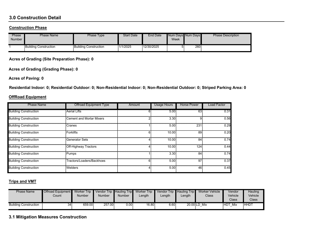### **3.0 Construction Detail**

#### **Construction Phase**

| Phase<br><b>Number</b> | <b>Phase Name</b>            | Phase Type            | <b>Start Date</b> | <b>End Date</b> | Week | Num Days Num Days | <b>Phase Description</b> |
|------------------------|------------------------------|-----------------------|-------------------|-----------------|------|-------------------|--------------------------|
|                        | <b>Building Construction</b> | Building Construction | 1/1/2025          | 12/30/2025      |      | 260               |                          |

**Acres of Grading (Site Preparation Phase): 0**

**Acres of Grading (Grading Phase): 0**

**Acres of Paving: 0**

**Residential Indoor: 0; Residential Outdoor: 0; Non-Residential Indoor: 0; Non-Residential Outdoor: 0; Striped Parking Area: 0** 

#### **OffRoad Equipment**

| <b>Phase Name</b>            | <b>Offroad Equipment Type</b>   | Amount | <b>Usage Hours</b> | <b>Horse Power</b> | <b>Load Factor</b> |
|------------------------------|---------------------------------|--------|--------------------|--------------------|--------------------|
| <b>Building Construction</b> | <b>Aerial Lifts</b>             |        | 5.00               | 63                 | 0.31               |
| <b>Building Construction</b> | <b>Cement and Mortar Mixers</b> |        | 3.30               | 9                  | 0.56               |
| <b>Building Construction</b> | Cranes                          |        | 5.00               | 231                | 0.29               |
| <b>Building Construction</b> | Forklifts                       | n.     | 10.00              | 89                 | 0.20               |
| <b>Building Construction</b> | <b>Generator Sets</b>           |        | 10.00              | 84                 | 0.74               |
| <b>Building Construction</b> | Off-Highway Tractors            |        | 10.00              | 124                | 0.44               |
| <b>Building Construction</b> | Pumps                           |        | 3.30               | 84                 | 0.74               |
| <b>Building Construction</b> | Tractors/Loaders/Backhoes       | ĥ.     | 5.00               | 97                 | 0.37               |
| <b>Building Construction</b> | <b>Welders</b>                  |        | 5.00               | 46                 | 0.45               |

#### **Trips and VMT**

| <b>Phase Name</b>            | <b>Offroad Equipment</b><br>Count | Worker Trip<br><b>Number</b> | Number | <b>Number</b> | Vendor Trip Hauling Trip Worker Trip Vendor Trip Hauling Trip<br>_ength | Length | Length | Worker Vehicle<br>Class | Vendor<br>Vehicle<br>Class | Hauling<br>Vehicle<br>Class <sup>®</sup> |
|------------------------------|-----------------------------------|------------------------------|--------|---------------|-------------------------------------------------------------------------|--------|--------|-------------------------|----------------------------|------------------------------------------|
| <b>Building Construction</b> | 34                                | 659.00                       | 257.00 | 0.00          | 16.80                                                                   | 6.60   |        | 20.00 LD Mix            | <b>HDT</b><br>Mix          | <b>HHDT</b>                              |

**3.1 Mitigation Measures Construction**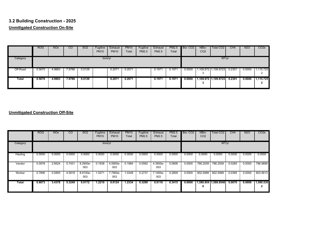## **3.2 Building Construction - 2025 Unmitigated Construction On-Site**

|          | <b>ROG</b> | <b>NO<sub>x</sub></b> | CO     | SO <sub>2</sub> | Fugitive<br><b>PM10</b> | Exhaust<br><b>PM10</b> | <b>PM10</b><br>Total | Fugitive<br><b>PM2.5</b> | Exhaust<br><b>PM2.5</b> | <b>PM2.5</b><br>Total | Bio-CO <sub>2</sub> | NBio-<br>CO <sub>2</sub> | Total CO <sub>2</sub>       | CH <sub>4</sub> | <b>N2O</b> | CO <sub>2</sub> e |
|----------|------------|-----------------------|--------|-----------------|-------------------------|------------------------|----------------------|--------------------------|-------------------------|-----------------------|---------------------|--------------------------|-----------------------------|-----------------|------------|-------------------|
| Category |            |                       |        |                 | tons/yr                 |                        |                      |                          |                         |                       |                     |                          | MT/yr                       |                 |            |                   |
| Off-Road | 0.5670     | 4.9663                | 7.9786 | 0.0129          |                         | 0.2071                 | 0.2071               |                          | 0.1971                  | 0.1971                | 0.0000              |                          | 1,109.972 1,109.9723 0.2301 |                 | 0.0000     | ,115.725          |
| Total    | 0.5670     | 4.9663                | 7.9786 | 0.0129          |                         | 0.2071                 | 0.2071               |                          | 0.1971                  | 0.1971                | 0.0000              |                          | 1,109.972 1,109.9723        | 0.2301          | 0.0000     | 1.115.725         |

|              | <b>ROG</b> | <b>NO<sub>x</sub></b> | <sub>CO</sub> | SO <sub>2</sub> | Fugitive<br><b>PM10</b> | Exhaust<br><b>PM10</b> | <b>PM10</b><br>Total | Fugitive<br><b>PM2.5</b> | Exhaust<br><b>PM2.5</b> | <b>PM2.5</b><br>Total | Bio-CO <sub>2</sub> | NBio-<br>CO <sub>2</sub> | Total CO <sub>2</sub> | CH <sub>4</sub> | N <sub>2</sub> O | CO <sub>2</sub> e   |
|--------------|------------|-----------------------|---------------|-----------------|-------------------------|------------------------|----------------------|--------------------------|-------------------------|-----------------------|---------------------|--------------------------|-----------------------|-----------------|------------------|---------------------|
| Category     |            |                       |               |                 | tons/yr                 |                        |                      |                          |                         |                       |                     |                          | MT/yr                 |                 |                  |                     |
| Hauling      | 0.0000     | 0.0000                | 0.0000        | 0.0000          | 0.0000                  | 0.0000                 | 0.0000               | 0.0000                   | 0.0000                  | 0.0000                | 0.0000              | 0.0000                   | 0.0000                | 0.0000          | 0.0000           | 0.0000              |
| Vendor       | 0.0978     | 2.8524                | 0.7431        | 8.2900e-<br>003 | 0.1938                  | 4.5900e-<br>003        | 0.1984               | 0.0562                   | 4.3900e-<br>003         | 0.0606                | 0.0000              | 786.2559                 | 786.2559              | 0.0285          | 0.0000           | 786.9689            |
| Worker       | 0.7895     | 0.5855                | 4.5818        | 8.9100e-<br>003 | 1.0271                  | 7.7900e-<br>003        | 1.0349               | 0.2737                   | 7.1900e-<br>003         | 0.2809                | 0.0000              | 802.5989                 | 802.5989              | 0.0385          | 0.0000           | 803.5613            |
| <b>Total</b> | 0.8873     | 3.4378                | 5.3249        | 0.0172          | 1.2210                  | 0.0124                 | 1.2334               | 0.3299                   | 0.0116                  | 0.3415                | 0.0000              | 8                        | 1,588.854 1,588.8548  | 0.0670          | 0.0000           | 1,590.530<br>≘<br>∠ |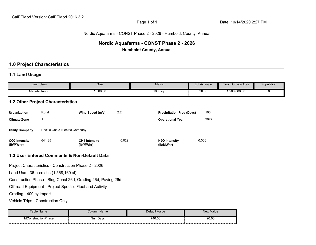#### Nordic Aquafarms - CONST Phase 2 - 2026 - Humboldt County, Annual

# **Nordic Aquafarms - CONST Phase 2 - 2026**

**Humboldt County, Annual**

## **1.0 Project Characteristics**

## **1.1 Land Usage**

|                                   | <b>Land Uses</b>                         | Size                                                         |       | <b>Metric</b>                     | Lot Acreage | <b>Floor Surface Area</b> | Population  |
|-----------------------------------|------------------------------------------|--------------------------------------------------------------|-------|-----------------------------------|-------------|---------------------------|-------------|
|                                   | Manufacturing                            | 1,568.00                                                     |       | 1000sqft                          | 36.00       | 1,568,000.00              | $\mathbf 0$ |
|                                   | <b>1.2 Other Project Characteristics</b> |                                                              |       |                                   |             |                           |             |
| <b>Urbanization</b>               | Rural                                    | Wind Speed (m/s)                                             | 2.2   | <b>Precipitation Freq (Days)</b>  | 103         |                           |             |
| <b>Climate Zone</b>               | $\mathbf 1$                              |                                                              |       | <b>Operational Year</b>           | 2027        |                           |             |
| <b>Utility Company</b>            | Pacific Gas & Electric Company           |                                                              |       |                                   |             |                           |             |
| <b>CO2 Intensity</b><br>(lb/MWhr) | 641.35                                   | <b>CH4 Intensity</b><br>(lb/MWhr)                            | 0.029 | <b>N2O Intensity</b><br>(lb/MWhr) | 0.006       |                           |             |
|                                   |                                          | 1.3 User Entered Comments & Non-Default Data                 |       |                                   |             |                           |             |
|                                   |                                          | Project Characteristics - Construction Phase 2 - 2026        |       |                                   |             |                           |             |
|                                   | Land Use - 36-acre site (1,568,160 sf)   |                                                              |       |                                   |             |                           |             |
|                                   |                                          | Construction Phase - Bldg Const 26d, Grading 26d, Paving 26d |       |                                   |             |                           |             |
|                                   |                                          | Off-road Equipment - Project-Specific Fleet and Activity     |       |                                   |             |                           |             |
| Grading - 400 cy import           |                                          |                                                              |       |                                   |             |                           |             |
| Vehicle Trips - Construction Only |                                          |                                                              |       |                                   |             |                           |             |

| Table Name           | <i> ò</i> lumn Name | Default Value | New Value |
|----------------------|---------------------|---------------|-----------|
| tblConstructionPhase | NumDays             | 740.00        | 26.00     |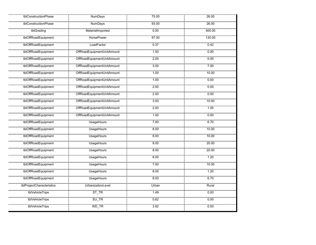| tblConstructionPhase      | <b>NumDays</b>             | 75.00 | 26.00  |
|---------------------------|----------------------------|-------|--------|
| tblConstructionPhase      | <b>NumDays</b>             | 55.00 | 26.00  |
| tblGrading                | MaterialImported           | 0.00  | 400.00 |
| tblOffRoadEquipment       | <b>HorsePower</b>          | 97.00 | 130.00 |
| tblOffRoadEquipment       | LoadFactor                 | 0.37  | 0.42   |
| tblOffRoadEquipment       | OffRoadEquipmentUnitAmount | 1.00  | 0.00   |
| tblOffRoadEquipment       | OffRoadEquipmentUnitAmount | 2.00  | 0.00   |
| tblOffRoadEquipment       | OffRoadEquipmentUnitAmount | 3.00  | 7.00   |
| tblOffRoadEquipment       | OffRoadEquipmentUnitAmount | 1.00  | 10.00  |
| tblOffRoadEquipment       | OffRoadEquipmentUnitAmount | 1.00  | 0.00   |
| tblOffRoadEquipment       | OffRoadEquipmentUnitAmount | 2.00  | 0.00   |
| tblOffRoadEquipment       | OffRoadEquipmentUnitAmount | 2.00  | 0.00   |
| tblOffRoadEquipment       | OffRoadEquipmentUnitAmount | 3.00  | 10.00  |
| tblOffRoadEquipment       | OffRoadEquipmentUnitAmount | 2.00  | 1.00   |
| tblOffRoadEquipment       | OffRoadEquipmentUnitAmount | 1.00  | 0.00   |
| tblOffRoadEquipment       | <b>UsageHours</b>          | 7.00  | 6.70   |
| tblOffRoadEquipment       | <b>UsageHours</b>          | 8.00  | 10.00  |
| tblOffRoadEquipment       | <b>UsageHours</b>          | 8.00  | 10.00  |
| tblOffRoadEquipment       | <b>UsageHours</b>          | 8.00  | 20.00  |
| tblOffRoadEquipment       | <b>UsageHours</b>          | 8.00  | 20.00  |
| tblOffRoadEquipment       | <b>UsageHours</b>          | 8.00  | 1.20   |
| tblOffRoadEquipment       | <b>UsageHours</b>          | 7.00  | 10.00  |
| tblOffRoadEquipment       | <b>UsageHours</b>          | 8.00  | 1.20   |
| tblOffRoadEquipment       | <b>UsageHours</b>          | 8.00  | 6.70   |
| tblProjectCharacteristics | UrbanizationLevel          | Urban | Rural  |
| tblVehicleTrips           | $ST_T$ $R$                 | 1.49  | 0.00   |
| tblVehicleTrips           | $SU_T R$                   | 0.62  | 0.00   |
| tblVehicleTrips           | WD_TR                      | 3.82  | 0.00   |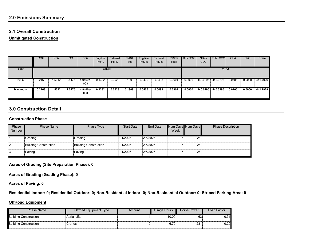### **2.0 Emissions Summary**

#### **2.1 Overall Construction**

**Unmitigated Construction**

|                | <b>ROG</b> | <b>NO<sub>x</sub></b> | CO     | SO <sub>2</sub> | Fugitive<br><b>PM10</b> | Exhaust<br><b>PM10</b> | <b>PM10</b><br>Total | Fugitive<br><b>PM2.5</b> | Exhaust<br><b>PM2.5</b> | <b>PM2.5</b><br>Total | Bio-CO <sub>2</sub> | NBio-<br>CO <sub>2</sub> | Total CO2 I | CH4    | N2O    | CO <sub>2</sub> e |
|----------------|------------|-----------------------|--------|-----------------|-------------------------|------------------------|----------------------|--------------------------|-------------------------|-----------------------|---------------------|--------------------------|-------------|--------|--------|-------------------|
| Year           |            |                       |        |                 | tons/yr                 |                        |                      |                          |                         |                       |                     |                          | MT/yr       |        |        |                   |
| 2026           | 0.2168     | .5312                 | 2.5475 | 4.9400e-<br>003 | 0.1382                  | 0.0528                 | 0.1909               | 0.0406                   | 0.0498                  | 0.0904                | 0.0000              | 440.0295                 | 440.0295    | 0.0705 | 0.0000 | 441.7929          |
| <b>Maximum</b> | 0.2168     | 1.5312                | 2.5475 | 4.9400e-<br>003 | 0.1382                  | 0.0528                 | 0.1909               | 0.0406                   | 0.0498                  | 0.0904                | 0.0000              | 440.0295                 | 440.0295    | 0.0705 | 0.0000 | 441.7929          |

## **3.0 Construction Detail**

#### **Construction Phase**

| Phase         | <b>Phase Name</b>     | Phase Type            | <b>Start Date</b> | End Date |      | Num Days Num Days | <b>Phase Description</b> |
|---------------|-----------------------|-----------------------|-------------------|----------|------|-------------------|--------------------------|
| <b>Number</b> |                       |                       |                   |          | Week |                   |                          |
|               |                       |                       |                   |          |      |                   |                          |
|               | Grading               | Grading               | 1/1/2026          | 2/5/2026 |      | 26                |                          |
|               |                       |                       |                   |          |      |                   |                          |
| 2             | Building Construction | Building Construction | 1/1/2026          | 2/5/2026 |      | 26                |                          |
|               |                       |                       |                   |          |      |                   |                          |
| 3             | Paving                | Paving                | 1/1/2026          | 2/5/2026 |      | 26                |                          |
|               |                       |                       |                   |          |      |                   |                          |

**Acres of Grading (Site Preparation Phase): 0**

**Acres of Grading (Grading Phase): 0**

**Acres of Paving: 0**

**Residential Indoor: 0; Residential Outdoor: 0; Non-Residential Indoor: 0; Non-Residential Outdoor: 0; Striped Parking Area: 0** 

#### **OffRoad Equipment**

| Phase Name                   | Offroad Equipment Type | Amount | Usage Hours | Horse Power | Load Factor |
|------------------------------|------------------------|--------|-------------|-------------|-------------|
| <b>Building Construction</b> | <b>Aerial Lifts</b>    |        | 10.00       | 63          | J.31        |
| <b>Building Construction</b> | Cranes                 |        | 6.70        | 231         | 0.29        |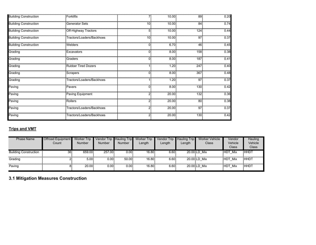| <b>Building Construction</b> | Forklifts                   |          | 10.00 | 89              | 0.20 |
|------------------------------|-----------------------------|----------|-------|-----------------|------|
| <b>Building Construction</b> | Generator Sets              | 10       | 10.00 | 84              | 0.74 |
| <b>Building Construction</b> | <b>Off-Highway Tractors</b> | 5        | 10.00 | 124             | 0.44 |
| <b>Building Construction</b> | Tractors/Loaders/Backhoes   | 10       | 10.00 | 97              | 0.37 |
| <b>Building Construction</b> | <b>Welders</b>              | 0        | 6.70  | 46              | 0.45 |
| Grading                      | Excavators                  | $\Omega$ | 8.00  | 158             | 0.38 |
| Grading                      | Graders                     | 0        | 8.00  | 187             | 0.41 |
| Grading                      | <b>Rubber Tired Dozers</b>  |          | 1.20  | 247             | 0.40 |
| Grading                      | Scrapers                    | 0        | 8.00  | 367             | 0.48 |
| Grading                      | Tractors/Loaders/Backhoes   |          | 1.20  | 97              | 0.37 |
| Paving                       | Pavers                      | U        | 8.00  | 130             | 0.42 |
| Paving                       | Paving Equipment            | 2        | 20.00 | 132             | 0.36 |
| Paving                       | Rollers                     |          | 20.00 | 80 <sup>5</sup> | 0.38 |
| Paving                       | Tractors/Loaders/Backhoes   |          | 20.00 | 97              | 0.37 |
| Paving                       | Tractors/Loaders/Backhoes   |          | 20.00 | 130             | 0.42 |

## **Trips and VMT**

| <b>Phase Name</b>            | <b>Offroad Equipment</b><br>Count | <b>Worker Trip</b><br><b>Number</b> | Vendor Trip Hauling Trip<br><b>Number</b> | <b>Number</b> | <b>Worker Trip</b><br>Length | <b>Vendor Trip</b><br>Length | <b>Hauling Trip</b><br>Length | <b>Worker Vehicle</b><br>Class | Vendor<br>Vehicle<br><b>Class</b> | Hauling<br>Vehicle<br><b>Class</b> |
|------------------------------|-----------------------------------|-------------------------------------|-------------------------------------------|---------------|------------------------------|------------------------------|-------------------------------|--------------------------------|-----------------------------------|------------------------------------|
| <b>Building Construction</b> | 36 <sup>2</sup>                   | 659.00                              | 257.00                                    | 0.00          | 16.80                        | 6.60                         |                               | 20.00 LD Mix                   | <b>HDT Mix</b>                    | <b>HHDT</b>                        |
| Grading                      |                                   | 5.00                                | 0.00                                      | 50.00         | 16.80                        | 6.60                         |                               | 20.00 LD Mix                   | HDT Mix                           | <b>HHDT</b>                        |
| Paving                       |                                   | 20.00                               | 0.00                                      | 0.00          | 16.80                        | 6.60                         |                               | 20.00 LD Mix                   | <b>HDT Mix</b>                    | <b>HHDT</b>                        |

**3.1 Mitigation Measures Construction**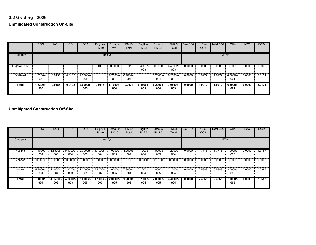## **3.2 Grading - 2026 Unmitigated Construction On-Site**

|                      | <b>ROG</b>        | <b>NO<sub>x</sub></b> | CO     | SO <sub>2</sub>   | Fugitive<br><b>PM10</b> | Exhaust<br><b>PM10</b> | <b>PM10</b><br>Total | Fugitive<br><b>PM2.5</b> | Exhaust<br><b>PM2.5</b> | PM2.5<br>Total  | Bio-CO <sub>2</sub> | NBio-<br>CO <sub>2</sub> | Total CO <sub>2</sub> | CH4               | <b>N2O</b> | CO <sub>2</sub> e |
|----------------------|-------------------|-----------------------|--------|-------------------|-------------------------|------------------------|----------------------|--------------------------|-------------------------|-----------------|---------------------|--------------------------|-----------------------|-------------------|------------|-------------------|
| Category             |                   |                       |        |                   | tons/yr                 |                        |                      |                          |                         |                 |                     |                          | MT/yr                 |                   |            |                   |
| <b>Fugitive Dust</b> |                   |                       |        |                   | 0.0118                  | 0.0000                 | 0.0118               | 6.4600e-<br>003          | 0.0000                  | 6.4600e-<br>003 | 0.0000              | 0.0000                   | 0.0000                | 0.0000            | 0.0000     | 0.0000            |
| Off-Road             | 1.5200e-<br>003   | 0.0155                | 0.0102 | 2.0000e-<br>005   |                         | 6.7000e-<br>004        | 6.7000e-<br>004      |                          | 6.2000e-<br>004         | 6.2000e-<br>004 | 0.0000              | 1.9972                   | 1.9972                | 6.5000e-<br>004   | 0.0000     | 2.0134            |
| Total                | $1.5200e-$<br>003 | 0.0155                | 0.0102 | $2.0000e-$<br>005 | 0.0118                  | 6.7000e-<br>004        | 0.0124               | 6.4600e-<br>003          | $6.2000e-$<br>004       | 7.0800e-<br>003 | 0.0000              | 1.9972                   | 1.9972                | $6.5000e-$<br>004 | 0.0000     | 2.0134            |

|          | <b>ROG</b>      | <b>NO<sub>x</sub></b> | $\overline{c}$  | SO <sub>2</sub>   | Fugitive<br><b>PM10</b> | Exhaust<br><b>PM10</b> | <b>PM10</b><br>Total | Fugitive<br><b>PM2.5</b> | Exhaust<br><b>PM2.5</b> | <b>PM2.5</b><br>Total | Bio-CO <sub>2</sub> | NBio-<br>CO <sub>2</sub> | Total CO <sub>2</sub> | CH4             | <b>N2O</b> | CO <sub>2</sub> e |
|----------|-----------------|-----------------------|-----------------|-------------------|-------------------------|------------------------|----------------------|--------------------------|-------------------------|-----------------------|---------------------|--------------------------|-----------------------|-----------------|------------|-------------------|
| Category |                 |                       |                 |                   | tons/yr                 |                        |                      |                          |                         |                       |                     |                          | MT/yr                 |                 |            |                   |
| Hauling  | 1.4000e-<br>004 | 4.5500e-<br>003       | 9.4000e-<br>004 | 2.0000e-<br>005   | 4.1000e-<br>004         | 1.0000e-<br>005        | 4.2000e-<br>004      | 1.1000e-<br>004          | 1.0000e-<br>005         | 1.2000e-<br>004       | 0.0000              | .7778                    | 1.7778                | 4.0000e-<br>005 | 0.0000     | 1.7787            |
| Vendor   | 0.0000          | 0.0000                | 0.0000          | 0.0000            | 0.0000                  | 0.0000                 | 0.0000               | 0.0000                   | 0.0000                  | 0.0000                | 0.0000              | 0.0000                   | 0.0000                | 0.0000          | 0.0000     | 0.0000            |
| Worker   | 5.7000e-<br>004 | 4.1000e-<br>004       | 3.2200e-<br>003 | 1.0000e-<br>005   | 7.8000e-<br>004         | 1.0000e-<br>005        | 7.8000e-<br>004      | 2.1000e-<br>004          | -.0000e<br>005          | 2.1000e-<br>004       | 0.0000              | 0.5888                   | 0.5888                | 3.0000e-<br>005 | 0.0000     | 0.5895            |
| Total    | 7.1000e-<br>004 | 4.9600e-<br>003       | 4.1600e-<br>003 | $3.0000e-$<br>005 | 1.1900e-<br>003         | $2.0000e -$<br>005     | 1.2000e-<br>003      | 3.2000e-<br>004          | $2.0000e -$<br>005      | 3.3000e-<br>004       | 0.0000              | 2.3665                   | 2.3665                | 7.0000e-<br>005 | 0.0000     | 2.3682            |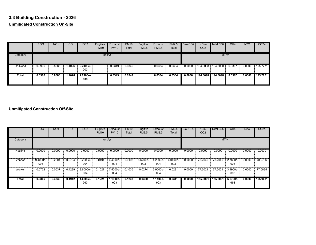## **3.3 Building Construction - 2026 Unmitigated Construction On-Site**

|              | <b>ROG</b> | <b>NOx</b> | CO     | <b>SO2</b>      | Fugitive<br><b>PM10</b> | Exhaust<br><b>PM10</b> | <b>PM10</b><br>Total | Fugitive<br><b>PM2.5</b> | Exhaust<br><b>PM2.5</b> | <b>PM2.5</b><br>Total | Bio-CO <sub>2</sub> | NBio-<br>CO <sub>2</sub> | Total CO <sub>2</sub> | CH4    | <b>N2O</b> | CO <sub>2</sub> e |
|--------------|------------|------------|--------|-----------------|-------------------------|------------------------|----------------------|--------------------------|-------------------------|-----------------------|---------------------|--------------------------|-----------------------|--------|------------|-------------------|
| Category     |            |            |        |                 | tons/yr                 |                        |                      |                          |                         |                       |                     |                          | MT/yr                 |        |            |                   |
| Off-Road     | 0.0906     | 0.8386     | .4026  | 2.2400e-<br>003 |                         | 0.0349                 | 0.0349               |                          | 0.0334                  | 0.0334                | 0.0000              | 194.8098                 | 194.8098              | 0.0367 | 0.0000     | 195.7271          |
| <b>Total</b> | 0.0906     | 0.8386     | 1.4026 | 2.2400e-<br>003 |                         | 0.0349                 | 0.0349               |                          | 0.0334                  | 0.0334                | 0.0000              | 194.8098                 | 194.8098              | 0.0367 | 0.0000     | 195.7271          |

|          | <b>ROG</b>      | <b>NO<sub>x</sub></b> | <sub>CO</sub> | SO <sub>2</sub>   | Fugitive<br><b>PM10</b> | Exhaust<br><b>PM10</b> | <b>PM10</b><br>Total | Fugitive<br><b>PM2.5</b> | Exhaust<br><b>PM2.5</b> | <b>PM2.5</b><br>Total | Bio-CO <sub>2</sub> | NBio-<br>CO <sub>2</sub> | Total CO <sub>2</sub> | CH4             | <b>N2O</b> | CO <sub>2</sub> e |
|----------|-----------------|-----------------------|---------------|-------------------|-------------------------|------------------------|----------------------|--------------------------|-------------------------|-----------------------|---------------------|--------------------------|-----------------------|-----------------|------------|-------------------|
| Category |                 |                       |               |                   | tons/yr                 |                        |                      |                          |                         |                       |                     |                          | MT/yr                 |                 |            |                   |
| Hauling  | 0.0000          | 0.0000                | 0.0000        | 0.0000            | 0.0000                  | 0.0000                 | 0.0000               | 0.0000                   | 0.0000                  | 0.0000                | 0.0000              | 0.0000                   | 0.0000                | 0.0000          | 0.0000     | 0.0000            |
| Vendor   | 9.4000e-<br>003 | 0.2801                | 0.0704        | 8.2000e-<br>004   | 0.0194                  | 4.4000e-<br>004        | 0.0198               | 5.6200e-<br>003          | 4.2000e-<br>004         | 6.0400e-<br>003       | 0.0000              | 78.2040                  | 78.2040               | 2.7800e-<br>003 | 0.0000     | 78.2736           |
| Worker   | 0.0752          | 0.0537                | 0.4239        | 8.6000e-<br>004   | 0.1027                  | 7.5000e-<br>004        | 0.1035               | 0.0274                   | 6.9000e-<br>004         | 0.0281                | 0.0000              | 77.6021                  | 77.6021               | 3.4900e-<br>003 | 0.0000     | 77.6895           |
| Total    | 0.0846          | 0.3338                | 0.4942        | $1.6800e-$<br>003 | 0.1221                  | 1.1900e-<br>003        | 0.1233               | 0.0330                   | $1.1100e-$<br>003       | 0.0341                | 0.0000              | 155,8061                 | 155,8061              | 6.2700e-<br>003 | 0.0000     | 155.9631          |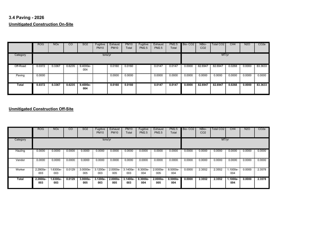## **3.4 Paving - 2026 Unmitigated Construction On-Site**

|          | <b>ROG</b> | <b>NO<sub>x</sub></b> | CO     | SO <sub>2</sub>   | Fugitive<br><b>PM10</b> | Exhaust<br><b>PM10</b> | <b>PM10</b><br>Total | Fugitive<br>PM2.5 | Exhaust<br><b>PM2.5</b> | <b>PM2.5</b><br>Total | Bio-CO <sub>2</sub> | NBio-<br>CO <sub>2</sub> | Total CO <sub>2</sub> | CH4    | <b>N2O</b> | CO <sub>2</sub> e |
|----------|------------|-----------------------|--------|-------------------|-------------------------|------------------------|----------------------|-------------------|-------------------------|-----------------------|---------------------|--------------------------|-----------------------|--------|------------|-------------------|
| Category |            |                       |        |                   | tons/yr                 |                        |                      |                   |                         |                       |                     |                          | MT/yr                 |        |            |                   |
| Off-Road | 0.0372     | 0.3367                | 0.6235 | $9.4000e-$<br>004 |                         | 0.0160                 | 0.0160               |                   | 0.0147                  | 0.0147                | 0.0000              | 82.6947                  | 82.6947               | 0.0268 | 0.0000     | 83.3633           |
| Paving   | 0.0000     |                       |        |                   |                         | 0.0000                 | 0.0000               |                   | 0.0000                  | 0.0000                | 0.0000              | 0.0000                   | 0.0000                | 0.0000 | 0.0000     | 0.0000            |
| Total    | 0.0372     | 0.3367                | 0.6235 | $9.4000e-$<br>004 |                         | 0.0160                 | 0.0160               |                   | 0.0147                  | 0.0147                | 0.0000              | 82.6947                  | 82.6947               | 0.0268 | 0.0000     | 83.3633           |

|          | <b>ROG</b>      | <b>NO<sub>x</sub></b> | $\overline{c}$ | SO <sub>2</sub> | Fugitive<br><b>PM10</b> | Exhaust<br><b>PM10</b> | <b>PM10</b><br>Total | Fugitive<br><b>PM2.5</b> | Exhaust<br><b>PM2.5</b> | <b>PM2.5</b><br>Total | Bio-CO <sub>2</sub> | NBio-<br>CO <sub>2</sub> | Total CO <sub>2</sub> | CH4               | <b>N2O</b> | CO <sub>2</sub> e |
|----------|-----------------|-----------------------|----------------|-----------------|-------------------------|------------------------|----------------------|--------------------------|-------------------------|-----------------------|---------------------|--------------------------|-----------------------|-------------------|------------|-------------------|
| Category |                 |                       |                |                 | tons/yr                 |                        |                      |                          |                         |                       |                     |                          | MT/yr                 |                   |            |                   |
| Hauling  | 0.0000          | 0.0000                | 0.0000         | 0.0000          | 0.0000                  | 0.0000                 | 0.0000               | 0.0000                   | 0.0000                  | 0.0000                | 0.0000              | 0.0000                   | 0.0000                | 0.0000            | 0.0000     | 0.0000            |
| Vendor   | 0.0000          | 0.0000                | 0.0000         | 0.0000          | 0.0000                  | 0.0000                 | 0.0000               | 0.0000                   | 0.0000                  | 0.0000                | 0.0000              | 0.0000                   | 0.0000                | 0.0000            | 0.0000     | 0.0000            |
| Worker   | 2.2800e-<br>003 | .6300e-<br>003        | 0.0129         | 3.0000e-<br>005 | 3.1200e-<br>003         | 2.0000e-<br>005        | 3.1400e-<br>003      | 8.3000e-<br>004          | 2.0000e-<br>005         | 8.5000e-<br>004       | 0.0000              | 2.3552                   | 2.3552                | $.1000e-$<br>004  | 0.0000     | 2.3578            |
| Total    | 2.2800e-<br>003 | $1.6300e-$<br>003     | 0.0129         | 3.0000e-<br>005 | $3.1200e -$<br>003      | 2.0000e-<br>005        | 3.1400e-<br>003      | 8.3000e-<br>004          | $2.0000e -$<br>005      | $8.5000e -$<br>004    | 0.0000              | 2.3552                   | 2.3552                | $1.1000e-$<br>004 | 0.0000     | 2.3578            |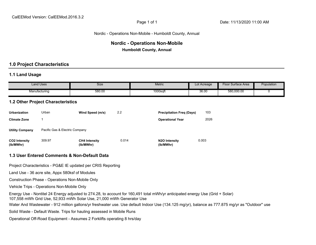#### Nordic - Operations Non-Mobile - Humboldt County, Annual

## **Nordic - Operations Non-Mobile Humboldt County, Annual**

## **1.0 Project Characteristics**

#### **1.1 Land Usage**

| <b>Land Uses</b> | Size  | <b>Metric</b> | Lot Acreage | Surface Area<br>HOC | <b>Population</b> |
|------------------|-------|---------------|-------------|---------------------|-------------------|
| Manufacturing    | 580.0 | 1000sqft      | 36.00       | 580,000.00          |                   |
|                  |       |               |             |                     |                   |

#### **1.2 Other Project Characteristics**

| <b>Urbanization</b>        | Urban                          | Wind Speed (m/s)                  | 2.2   | <b>Precipitation Freg (Days)</b>        | 103   |
|----------------------------|--------------------------------|-----------------------------------|-------|-----------------------------------------|-------|
| <b>Climate Zone</b>        |                                |                                   |       | <b>Operational Year</b>                 | 2026  |
| <b>Utility Company</b>     | Pacific Gas & Electric Company |                                   |       |                                         |       |
| CO2 Intensity<br>(lb/MWhr) | 309.97                         | <b>CH4 Intensity</b><br>(lb/MWhr) | 0.014 | N <sub>2</sub> O Intensity<br>(lb/MWhr) | 0.003 |

#### **1.3 User Entered Comments & Non-Default Data**

Project Characteristics - PG&E IE updated per CRIS Reporting

Land Use - 36 acre site, Appx 580ksf of Modules

Construction Phase - Operations Non-Mobile Only

Vehicle Trips - Operations Non-Mobile Only

Energy Use - Nontitel 24 Energy adjusted to 274.28, to account for 160,491 total mWh/yr anticipated energy Use (Grid + Solar) 107,558 mWh Grid Use, 52,933 mWh Solar Use, 21,000 mWh Generator Use

Water And Wastewater - 912 million gallons/yr freshwater use. Use default Indoor Use (134.125 mg/yr), balance as 777.875 mg/yr as "Outdoor" use

Solid Waste - Default Waste. Trips for hauling assessed in Mobile Runs

Operational Off-Road Equipment - Assumes 2 Forklifts operating 8 hrs/day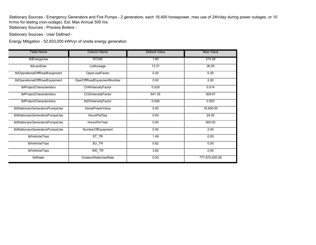Stationary Sources - Emergency Generators and Fire Pumps - 2 generators, each 18,400 horsepower, max use of 24h/day during power outages, or 10 hr/mo for testing (non-outage). Est. Max Annual 500 hrs

Stationary Sources - Process Boilers -

Stationary Sources - User Defined -

Energy Mitigation - 52,933,000 kWh/yr of onsite energy generation

| Table Name                      | <b>Column Name</b>         | <b>Default Value</b> | <b>New Value</b> |
|---------------------------------|----------------------------|----------------------|------------------|
| tblEnergyUse                    | NT <sub>24</sub> E         | 1.85                 | 274.28           |
| tblLandUse                      | LotAcreage                 | 13.31                | 36.00            |
| tblOperationalOffRoadEquipment  | OperLoadFactor             | 0.20                 | 0.20             |
| tblOperationalOffRoadEquipment  | OperOffRoadEquipmentNumber | 0.00                 | 2.00             |
| tblProjectCharacteristics       | CH4IntensityFactor         | 0.029                | 0.014            |
| tblProjectCharacteristics       | CO2IntensityFactor         | 641.35               | 309.97           |
| tblProjectCharacteristics       | N2OIntensityFactor         | 0.006                | 0.003            |
| tblStationaryGeneratorsPumpsUse | HorsePowerValue            | 0.00                 | 18,400.00        |
| tblStationaryGeneratorsPumpsUse | HoursPerDay                | 0.00                 | 24.00            |
| tblStationaryGeneratorsPumpsUse | HoursPerYear               | 0.00                 | 500.00           |
| tblStationaryGeneratorsPumpsUse | NumberOfEquipment          | 0.00                 | 2.00             |
| tblVehicleTrips                 | $ST_TR$                    | 1.49                 | 0.00             |
| tblVehicleTrips                 | $SU_T R$                   | 0.62                 | 0.00             |
| tblVehicleTrips                 | WD_TR                      | 3.82                 | 0.00             |
| tblWater                        | OutdoorWaterUseRate        | 0.00                 | 777,875,000.00   |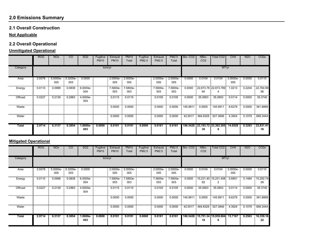## **2.0 Emissions Summary**

#### **2.1 Overall Construction**

#### **Not Applicable**

## **2.2 Overall Operational**

## **Unmitigated Operational**

|              | <b>ROG</b> | <b>NO<sub>x</sub></b> | <sub>CO</sub>   | SO <sub>2</sub>   | Fugitive<br><b>PM10</b> | Exhaust<br><b>PM10</b> | <b>PM10</b><br>Total | Fugitive<br>PM2.5 | Exhaust<br><b>PM2.5</b> | PM2.5<br>Total  | Bio-CO <sub>2</sub> | NBio-<br>CO <sub>2</sub> | Total CO <sub>2</sub>              | CH <sub>4</sub> | N <sub>2</sub> O | CO <sub>2e</sub> |
|--------------|------------|-----------------------|-----------------|-------------------|-------------------------|------------------------|----------------------|-------------------|-------------------------|-----------------|---------------------|--------------------------|------------------------------------|-----------------|------------------|------------------|
| Category     |            |                       |                 |                   | tons/yr                 |                        |                      |                   |                         |                 |                     |                          | MT/yr                              |                 |                  |                  |
| Area         | 2.9378     | 5.0000e-<br>005       | 5.3200e-<br>003 | 0.0000            |                         | 2.0000e-<br>005        | 2.0000e-<br>005      |                   | 2.0000e-<br>005         | 2.0000e-<br>005 | 0.0000              | 0.0104                   | 0.0104                             | 3.0000e-<br>005 | 0.0000           | 0.0110           |
| Energy       | 0.0110     | 0.0998                | 0.0838          | 6.0000e-<br>004   |                         | 7.5800e-<br>003        | 7.5800e-<br>003      |                   | 7.5800e-<br>003         | 7.5800e-<br>003 | 0.0000              | 94                       | 22,673.78 22,673.789<br>4          | 1.0213          | 0.2204           | 22,764.99<br>56  |
| Offroad      | 0.0227     | 0.2139                | 0.2963          | 4.0000e-<br>004   |                         | 0.0115                 | 0.0115               |                   | 0.0105                  | 0.0105          | 0.0000              | 35.0903                  | 35.0903                            | 0.0114          | 0.0000           | 35.3740          |
| Waste        |            |                       |                 |                   |                         | 0.0000                 | 0.0000               |                   | 0.0000                  | 0.0000          | 145.9911            | 0.0000                   | 145.9911                           | 8.6278          | 0.0000           | 361.6868         |
| Water        |            |                       |                 |                   |                         | 0.0000                 | 0.0000               |                   | 0.0000                  | 0.0000          | 42.5517             | 484.8329                 | 527.3846                           | 4.3924          | 0.1079           | 669.3444         |
| <b>Total</b> | 2.9714     | 0.3137                | 0.3854          | $1.0000e-$<br>003 | 0.0000                  | 0.0191                 | 0.0191               | 0.0000            | 0.0181                  | 0.0181          |                     | 30                       | 188.5428 23,193.72 23,382.265<br>8 | 14.0528         | 0.3283           | 23,831.41<br>18  |

## **Mitigated Operational**

|              | <b>ROG</b> | <b>NO<sub>x</sub></b> | $\overline{c}$  | SO <sub>2</sub>   | Fugitive<br><b>PM10</b> | Exhaust<br><b>PM10</b> | <b>PM10</b><br>Total | Fugitive<br><b>PM2.5</b> | Exhaust<br><b>PM2.5</b> | PM2.5<br>Total  | Bio-CO <sub>2</sub> | NBio-<br>CO <sub>2</sub> | Total CO2                 | CH4             | N <sub>2</sub> O | CO <sub>2</sub> e |
|--------------|------------|-----------------------|-----------------|-------------------|-------------------------|------------------------|----------------------|--------------------------|-------------------------|-----------------|---------------------|--------------------------|---------------------------|-----------------|------------------|-------------------|
| Category     |            |                       |                 |                   | tons/yr                 |                        |                      |                          |                         |                 |                     |                          | MT/yr                     |                 |                  |                   |
| Area         | 2.9378     | 5.0000e-<br>005       | 5.3200e-<br>003 | 0.0000            |                         | 2.0000e-<br>005        | 2.0000e-<br>005      |                          | $2.0000e-$<br>005       | 2.0000e-<br>005 | 0.0000              | 0.0104                   | 0.0104                    | 3.0000e-<br>005 | 0.0000           | 0.0110            |
| Energy       | 0.0110     | 0.0998                | 0.0838          | 6.0000e-<br>004   |                         | 7.5800e-<br>003        | 7.5800e-<br>003      |                          | 7.5800e-<br>003         | 7.5800e-<br>003 | 0.0000              | 82                       | 15,231.40 15,231.408<br>2 | 0.6851          | 0.1484           | 15,292.74<br>59   |
| Offroad      | 0.0227     | 0.2139                | 0.2963          | 4.0000e-<br>004   |                         | 0.0115                 | 0.0115               |                          | 0.0105                  | 0.0105          | 0.0000              | 35.0903                  | 35.0903                   | 0.0114          | 0.0000           | 35.3740           |
| Waste        |            |                       |                 |                   |                         | 0.0000                 | 0.0000               |                          | 0.0000                  | 0.0000          | 145.9911            | 0.0000                   | 145.9911                  | 8.6278          | 0.0000           | 361.6868          |
| Water        |            |                       |                 |                   |                         | 0.0000                 | 0.0000               |                          | 0.0000                  | 0.0000          | 42.5517             | 484.8329                 | 527.3846                  | 4.3924          | 0.1079           | 669.3444          |
| <b>Total</b> | 2.9714     | 0.3137                | 0.3854          | $1.0000e-$<br>003 | 0.0000                  | 0.0191                 | 0.0191               | 0.0000                   | 0.0181                  | 0.0181          | 188.5428            | 18                       | 15,751.34 15,939.884<br>6 | 13.7167         | 0.2563           | 16,359.16<br>22   |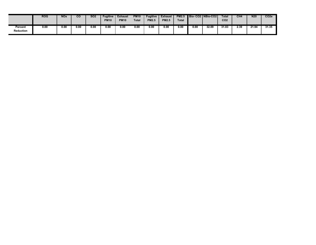|                             | <b>ROG</b> | <b>NO<sub>x</sub></b> | CO   | SO <sub>2</sub> | <b>Fugitive</b><br><b>PM10</b> | <b>Exhaust</b><br><b>PM10</b> | <b>PM10</b><br><b>Total</b> | <b>Fugitive</b><br><b>PM2.5</b> | <b>Exhaust</b><br><b>PM2.5</b> | <b>PM2.5</b><br>Total |      | Bio-CO2   NBio-CO2 | <b>Total</b><br>CO <sub>2</sub> | CH <sub>4</sub> | N <sub>20</sub> | CO <sub>2e</sub> |
|-----------------------------|------------|-----------------------|------|-----------------|--------------------------------|-------------------------------|-----------------------------|---------------------------------|--------------------------------|-----------------------|------|--------------------|---------------------------------|-----------------|-----------------|------------------|
| Percent<br><b>Reduction</b> | 0.00       | 0.00                  | 0.00 | 0.00            | 0.00                           | 0.00                          | 0.00                        | 0.00                            | 0.00                           | 0.00                  | 0.00 | 32.09              | 31.83                           | 2.39            | 21.94           | 31.35            |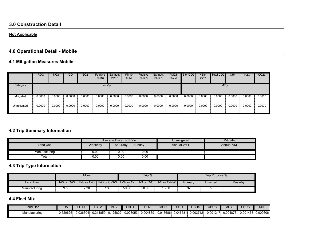#### **3.0 Construction Detail**

#### **Not Applicable**

# **4.0 Operational Detail - Mobile**

## **4.1 Mitigation Measures Mobile**

|             | <b>ROG</b> | <b>NO<sub>x</sub></b> | CO     | SO <sub>2</sub> | Fugitive<br><b>PM10</b> | Exhaust<br><b>PM10</b> | <b>PM10</b><br>Total | Fugitive<br><b>PM2.5</b> | Exhaust<br><b>PM2.5</b> | <b>PM2.5</b><br>Total | Bio-CO <sub>2</sub> | NBio-<br>CO <sub>2</sub> | Total CO <sub>2</sub> | CH4    | <b>N2O</b> | CO <sub>2</sub> e |
|-------------|------------|-----------------------|--------|-----------------|-------------------------|------------------------|----------------------|--------------------------|-------------------------|-----------------------|---------------------|--------------------------|-----------------------|--------|------------|-------------------|
| Category    |            | tons/yr               |        |                 |                         |                        |                      |                          |                         |                       |                     |                          | MT/yr                 |        |            |                   |
| Mitigated   | 0.0000     | 0.0000                | 0.0000 | 0.0000          | 0.0000                  | 0.0000                 | 0.0000               | 0.0000                   | 0.0000                  | 0.0000                | 0.0000              | 0.0000                   | 0.0000                | 0.0000 | 0.0000     | 0.0000            |
| Unmitigated | 0.0000     | 0.0000                | 0.0000 | 0.0000          | 0.0000                  | 0.0000                 | 0.0000               | 0.0000                   | 0.0000                  | 0.0000                | 0.0000              | 0.0000                   | 0.0000                | 0.0000 | 0.0000     | 0.0000            |

## **4.2 Trip Summary Information**

|                        |         | <b>Average Daily Trip Rate</b> |        | <b>Unmitigated</b> | Mitigated         |
|------------------------|---------|--------------------------------|--------|--------------------|-------------------|
| Land Use               | Weekday | Saturday                       | Sunday | <b>Annual VMT</b>  | <b>Annual VMT</b> |
| Manufacturing          | 0.00    | 0.00                           | 0.00   |                    |                   |
| $\tau$ <sub>otal</sub> | 0.00    | 0.00                           | 0.00   |                    |                   |

## **4.3 Trip Type Information**

|               |                      | Miles |  |          | Trip $%$ |                                                                              |         | Trip Purpose %  |         |
|---------------|----------------------|-------|--|----------|----------|------------------------------------------------------------------------------|---------|-----------------|---------|
| Land Use      |                      |       |  | $\cdots$ |          | H-W or C-W   H-S or C-C   H-O or C-NW   H-W or C-   H-S or C-C   H-O or C-NW | Primary | <b>Diverted</b> | Pass-by |
| Manufacturing | 7.30<br>7.30<br>9.50 |       |  | 59.00    | 28.00    | 13.00                                                                        | 92      |                 |         |

### **4.4 Fleet Mix**

| Land Use      | LDA      | LDT1     | LDT2            | MDV          | LHD1     | LHD <sub>2</sub> | <b>MHD</b> | HHD      | OBUS     | UBUS     | $\sqrt{2}$<br>ישוע | <b>SBUS</b> | MH       |
|---------------|----------|----------|-----------------|--------------|----------|------------------|------------|----------|----------|----------|--------------------|-------------|----------|
| Manufacturing | 0.520626 | 0.036604 | .211859<br>U.Z. | 1258221<br>ິ | 0.028053 | 004869.0         | 0.013686   | 0.046581 | 0.003712 | 0.001247 | 0.004873           | 0.001463    | 0.000606 |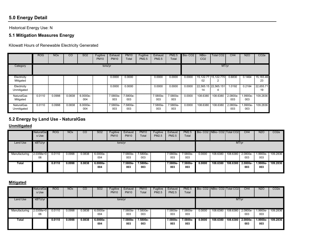# **5.0 Energy Detail**

Historical Energy Use: N

## **5.1 Mitigation Measures Energy**

Kilowatt Hours of Renewable Electricity Generated

|                                  | <b>ROG</b> | <b>NO<sub>x</sub></b> | CO     | <b>SO2</b>      | Fugitive<br><b>PM10</b> | Exhaust<br><b>PM10</b> | <b>PM10</b><br>Total | Fugitive<br><b>PM2.5</b> | Exhaust<br><b>PM2.5</b> | PM2.5<br>Total  | Bio-CO <sub>2</sub> | NBio-<br>CO <sub>2</sub> | Total CO <sub>2</sub> | CH <sub>4</sub> | N <sub>2</sub> O | CO <sub>2</sub> e |
|----------------------------------|------------|-----------------------|--------|-----------------|-------------------------|------------------------|----------------------|--------------------------|-------------------------|-----------------|---------------------|--------------------------|-----------------------|-----------------|------------------|-------------------|
| Category                         |            |                       |        |                 | tons/yr                 |                        |                      |                          |                         |                 |                     |                          | MT/yr                 |                 |                  |                   |
| Electricity<br>Mitigated         |            |                       |        |                 |                         | 0.0000                 | 0.0000               |                          | 0.0000                  | 0.0000          | 0.0000              | 02                       | 15,122.77 15,122.770  | 0.6830          | 0.1464           | 15,183.46<br>23   |
| Electricity<br>Unmitigated       |            |                       |        |                 |                         | 0.0000                 | 0.0000               |                          | 0.0000                  | 0.0000          | 0.0000              | 14                       | 22,565.15 22,565.151  | 1.0192          | 0.2184           | 22,655.71<br>19   |
| <b>NaturalGas</b><br>Mitigated   | 0.0110     | 0.0998                | 0.0838 | 6.0000e-<br>004 |                         | 7.5800e-<br>003        | 7.5800e-<br>003      |                          | 7.5800e-<br>003         | 7.5800e-<br>003 | 0.0000              | 108.6380                 | 108.6380              | 2.0800e-<br>003 | 1.9900e-<br>003  | 109.2836          |
| <b>NaturalGas</b><br>Unmitigated | 0.0110     | 0.0998                | 0.0838 | 6.0000e-<br>004 |                         | 7.5800e-<br>003        | 7.5800e-<br>003      |                          | 7.5800e-<br>003         | 7.5800e-<br>003 | 0.0000              | 108.6380                 | 108.6380              | 2.0800e-<br>003 | 1.9900e-<br>003  | 109.2836          |

#### **5.2 Energy by Land Use - NaturalGas**

#### **Unmitigated**

|               | NaturalGa<br>s Use | <b>ROG</b> | <b>NO<sub>x</sub></b> | CO.    | SO <sub>2</sub>   | Fugitive<br><b>PM10</b> | Exhaust<br><b>PM10</b> | <b>PM10</b><br>Total | Fugitive<br><b>PM2.5</b> | Exhaust<br>PM2.5 | <b>PM2.5</b><br>Total |        | Bio- CO2   NBio- CO2   Total CO2 |                   | CH <sub>4</sub> | <b>N2O</b>      | CO <sub>2</sub> e |
|---------------|--------------------|------------|-----------------------|--------|-------------------|-------------------------|------------------------|----------------------|--------------------------|------------------|-----------------------|--------|----------------------------------|-------------------|-----------------|-----------------|-------------------|
| Land Use      | kBTU/yr            |            |                       |        |                   | tons/yr                 |                        |                      |                          |                  |                       |        |                                  |                   | MT/yr           |                 |                   |
| Manufacturing | 2.0358e+0<br>06    | 0.0110     | 0.0998                | 0.0838 | $6.0000e-$<br>004 |                         | 7.5800e-<br>003        | 7.5800e-<br>003      |                          | 7.5800e-<br>003  | 7.5800e-<br>003       | 0.0000 | 108.6380                         | 108.6380          | 2.0800e-<br>003 | 1.9900e-<br>003 | 109.2836          |
| Total         |                    | 0.0110     | 0.0998                | 0.0838 | $6.0000e-$<br>004 |                         | 7.5800e-<br>003        | 7.5800e-<br>003      |                          | 7.5800e-<br>003  | 7.5800e-<br>003       | 0.0000 | 108.6380                         | 108.6380 2.0800e- | 003             | 1.9900e-<br>003 | 109.2836          |

|               | NaturalGa<br>s Use | <b>ROG</b> | <b>NO<sub>x</sub></b> | $\overline{C}$ | SO <sub>2</sub>   | Fugitive<br><b>PM10</b> | Exhaust<br><b>PM10</b> | <b>PM10</b><br>Total | Fugitive<br>PM2.5 | Exhaust<br>PM2.5 | <b>PM2.5</b><br>Total |        | Bio- CO2 NBio- CO2 Total CO2 |          | CH4             | <b>N2O</b>       | CO <sub>2</sub> e |
|---------------|--------------------|------------|-----------------------|----------------|-------------------|-------------------------|------------------------|----------------------|-------------------|------------------|-----------------------|--------|------------------------------|----------|-----------------|------------------|-------------------|
| Land Use      | kBTU/yr            |            |                       |                |                   | tons/yr                 |                        |                      |                   |                  |                       |        |                              | MT/yr    |                 |                  |                   |
| Manufacturing | 12.0358e+0<br>06   | 0.0110     | 0.0998                | 0.0838         | $6.0000e-$<br>004 |                         | 7.5800e-<br>003        | 7.5800e-<br>003      |                   | 7.5800e-<br>003  | 7.5800e-<br>003       | 0.0000 | 108.6380                     | 108.6380 | 2.0800e-<br>003 | $.9900e-$<br>003 | 109.2836          |
| Total         |                    | 0.0110     | 0.0998                | 0.0838         | 6.0000e-<br>004   |                         | 7.5800e-<br>003        | 7.5800e-<br>003      |                   | 7.5800e-<br>003  | 7.5800e-<br>003       | 0.0000 | 108.6380                     | 108.6380 | 2.0800e-<br>003 | 1.9900e-<br>003  | 109.2836          |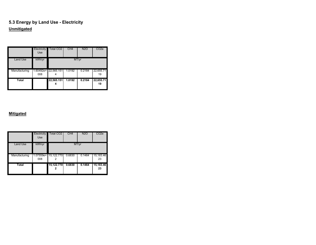## **5.3 Energy by Land Use - Electricity Unmitigated**

|                 | Electricity<br><b>Use</b> | <b>Total CO2</b>                                | CH <sub>4</sub> | <b>N2O</b> | CO <sub>2e</sub> |
|-----------------|---------------------------|-------------------------------------------------|-----------------|------------|------------------|
| <b>Land Use</b> | kWh/yr                    |                                                 |                 | MT/yr      |                  |
| Manufacturing   | 008                       | $1.60492e + 22,565.151$ 1.0192<br>i i literatur |                 | 0.2184     | 22,655.71<br>19  |
| <b>Total</b>    |                           | 22,565.151                                      | 1.0192          | 0.2184     | 22,655.71<br>19  |

|               | Electricity<br><b>Use</b> | Total CO <sub>2</sub>        | CH <sub>4</sub> | <b>N2O</b> | CO <sub>2</sub> e    |
|---------------|---------------------------|------------------------------|-----------------|------------|----------------------|
| Land Use      | kWh/yr                    |                              |                 | MT/yr      |                      |
| Manufacturing | 008                       | $1.07559e + 15,122.770$<br>▌ | 0.6830          | 0.1464     | 15,183.46<br>I<br>23 |
| <b>Total</b>  |                           | 15,122.770                   | 0.6830          | 0.1464     | 15,183.46<br>23      |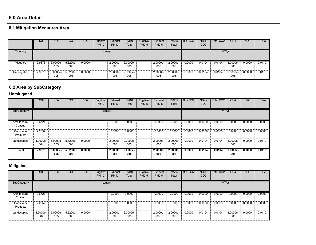#### **6.0 Area Detail**

# **6.1 Mitigation Measures Area**

|             | <b>ROG</b> | <b>NO<sub>x</sub></b> | CО              | <b>SO2</b> | Fugitive<br><b>PM10</b> | Exhaust<br><b>PM10</b> | <b>PM10</b><br>Total | Fugitive<br><b>PM2.5</b> | Exhaust<br><b>PM2.5</b> | PM2.5<br>Total    | Bio-CO <sub>2</sub> | NBio-<br>CO <sub>2</sub> | Total CO <sub>2</sub> | CH4             | <b>N2O</b> | CO <sub>2</sub> e |
|-------------|------------|-----------------------|-----------------|------------|-------------------------|------------------------|----------------------|--------------------------|-------------------------|-------------------|---------------------|--------------------------|-----------------------|-----------------|------------|-------------------|
| Category    |            |                       |                 |            | tons/yr                 |                        |                      |                          |                         |                   |                     |                          | MT/yr                 |                 |            |                   |
| Mitigated   | 2.9378     | $5.0000e-$<br>005     | 5.3200e-<br>003 | 0.0000     |                         | 2.0000e-<br>005        | $2.0000e-$<br>005    |                          | $2.0000e-$<br>005       | $2.0000e-$<br>005 | 0.0000              | 0.0104                   | 0.0104                | 3.0000e-<br>005 | 0.0000     | 0.0110            |
| Unmitigated | 2.9378     | 5.0000e-<br>005       | 5.3200e-<br>003 | 0.0000     |                         | 2.0000e-<br>005        | 2.0000e-<br>005      |                          | 2.0000e-<br>005         | 2.0000e-<br>005   | 0.0000              | 0.0104                   | 0.0104                | 3.0000e-<br>005 | 0.0000     | 0.0110            |

## **6.2 Area by SubCategory**

## **Unmitigated**

|                          | <b>ROG</b>      | <b>NO<sub>x</sub></b> | $\overline{c}$  | <b>SO2</b> | Fugitive<br><b>PM10</b> | Exhaust<br><b>PM10</b> | <b>PM10</b><br>Total | Fugitive<br><b>PM2.5</b> | Exhaust<br><b>PM2.5</b> | <b>PM2.5</b><br>Total | Bio-CO <sub>2</sub> | NBio-<br>CO <sub>2</sub> | Total CO <sub>2</sub> | CH <sub>4</sub>    | <b>N2O</b> | CO <sub>2</sub> e |
|--------------------------|-----------------|-----------------------|-----------------|------------|-------------------------|------------------------|----------------------|--------------------------|-------------------------|-----------------------|---------------------|--------------------------|-----------------------|--------------------|------------|-------------------|
| SubCategory              |                 |                       |                 |            | tons/yr                 |                        |                      |                          |                         |                       |                     |                          | MT/yr                 |                    |            |                   |
| Architectural<br>Coating | 0.6721          |                       |                 |            |                         | 0.0000                 | 0.0000               |                          | 0.0000                  | 0.0000                | 0.0000              | 0.0000                   | 0.0000                | 0.0000             | 0.0000     | 0.0000            |
| Consumer<br>Products     | 2.2652          |                       |                 |            |                         | 0.0000                 | 0.0000               |                          | 0.0000                  | 0.0000                | 0.0000              | 0.0000                   | 0.0000                | 0.0000             | 0.0000     | 0.0000            |
| Landscaping              | 4.9000e-<br>004 | 5.0000e-<br>005       | 5.3200e-<br>003 | 0.0000     |                         | 2.0000e-<br>005        | 2.0000e-<br>005      |                          | 2.0000e-<br>005         | 2.0000e-<br>005       | 0.0000              | 0.0104                   | 0.0104                | 3.0000e-<br>005    | 0.0000     | 0.0110            |
| <b>Total</b>             | 2.9378          | $5.0000e-$<br>005     | 5.3200e<br>003  | 0.0000     |                         | $2.0000e-$<br>005      | $2.0000e-$<br>005    |                          | $2.0000e-$<br>005       | $2.0000e-$<br>005     | 0.0000              | 0.0104                   | 0.0104                | $3.0000e -$<br>005 | 0.0000     | 0.0110            |

|                          | <b>ROG</b>      | <b>NOx</b>      | CO              | SO <sub>2</sub> | Fugitive<br><b>PM10</b> | Exhaust<br><b>PM10</b> | <b>PM10</b><br>Total | Fugitive<br>PM2.5 | Exhaust<br><b>PM2.5</b> | <b>PM2.5</b><br>Total | Bio-CO <sub>2</sub> | NBio-<br>CO <sub>2</sub> | Total CO <sub>2</sub> | CH <sub>4</sub> | <b>N2O</b> | CO <sub>2e</sub> |
|--------------------------|-----------------|-----------------|-----------------|-----------------|-------------------------|------------------------|----------------------|-------------------|-------------------------|-----------------------|---------------------|--------------------------|-----------------------|-----------------|------------|------------------|
| SubCategory              |                 |                 |                 |                 | tons/yr                 |                        |                      |                   |                         |                       |                     |                          | MT/yr                 |                 |            |                  |
| Architectural<br>Coating | 0.6721          |                 |                 |                 |                         | 0.0000                 | 0.0000               |                   | 0.0000                  | 0.0000                | 0.0000              | 0.0000                   | 0.0000                | 0.0000          | 0.0000     | 0.0000           |
| Consumer<br>Products     | 2.2652          |                 |                 |                 |                         | 0.0000                 | 0.0000               |                   | 0.0000                  | 0.0000                | 0.0000              | 0.0000                   | 0.0000                | 0.0000          | 0.0000     | 0.0000           |
| Landscaping              | 4.9000e-<br>004 | 5.0000e-<br>005 | 5.3200e-<br>003 | 0.0000          |                         | 2.0000e-<br>005        | 2.0000e-<br>005      |                   | 2.0000e-<br>005         | 2.0000e-<br>005       | 0.0000              | 0.0104                   | 0.0104                | 3.0000e-<br>005 | 0.0000     | 0.0110           |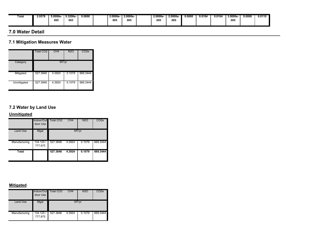| Total | 2.9378 | 5.0000e-<br>005 | 5.3200e<br>003 | 0.0000 |  | 2.0000e<br>005 | 2.0000e-<br>005 |  | $2.0000e-$<br>005 | 2.0000e-<br>005 | 0.0000 | 0.0104 | 0.0104 | 3.0000e<br>005 | 0.0000 | 0.0110 |
|-------|--------|-----------------|----------------|--------|--|----------------|-----------------|--|-------------------|-----------------|--------|--------|--------|----------------|--------|--------|
|-------|--------|-----------------|----------------|--------|--|----------------|-----------------|--|-------------------|-----------------|--------|--------|--------|----------------|--------|--------|

#### **7.0 Water Detail**

## **7.1 Mitigation Measures Water**

|             | <b>Total CO2</b>   | CH <sub>4</sub> | <b>N2O</b>  | CO2e     |
|-------------|--------------------|-----------------|-------------|----------|
| Category    |                    | MT/yr           |             |          |
| Mitigated   | 527.3846<br>I      | 4.3924          | 0.1079<br>I | 669.3444 |
| Unmitigated | I<br>527.3846<br>I | 4.3924          | I<br>0.1079 | 669.3444 |

## **7.2 Water by Land Use**

## **Unmitigated**

|                 | Indoor/Out<br>door Use         | <b>Total CO2</b> | CH <sub>4</sub> | <b>N2O</b> | CO <sub>2e</sub> |
|-----------------|--------------------------------|------------------|-----------------|------------|------------------|
| <b>Land Use</b> | Mgal                           |                  |                 | MT/yr      |                  |
| Manufacturing   | ▌<br>134.125 /<br>▋<br>777.875 | 527.3846         | 4.3924          | 0.1079     | 669.3444         |
| Total           |                                | 527.3846         | 4.3924          | 0.1079     | 669.3444         |

|                 | door Use               | Indoor/Out Total CO2 | CH4    | N2O    | CO2e     |
|-----------------|------------------------|----------------------|--------|--------|----------|
| <b>Land Use</b> | Mgal                   |                      |        | MT/yr  |          |
| Manufacturing   | 134.125 / ■<br>777.875 | 527.3846<br>▋        | 4.3924 | 0.1079 | 669.3444 |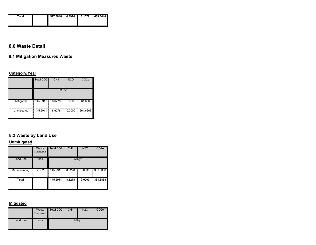| Total | 527.3846 | 4.3924 | 0.1079 | 669.3444 |
|-------|----------|--------|--------|----------|
|       |          |        |        |          |
|       |          |        |        |          |
|       |          |        |        |          |
|       |          |        |        |          |

#### **8.0 Waste Detail**

## **8.1 Mitigation Measures Waste**

### **Category/Year**

|             | <b>Total CO2</b> | CH <sub>4</sub> | <b>N2O</b>       | CO2e     |  |  |  |  |
|-------------|------------------|-----------------|------------------|----------|--|--|--|--|
|             | MT/yr            |                 |                  |          |  |  |  |  |
| Mitigated   | 145.9911         | 8.6278<br>Ē     | I<br>0.0000<br>j | 361.6868 |  |  |  |  |
| Unmitigated | 145.9911         | 8.6278          | I<br>0.0000      | 361.6868 |  |  |  |  |

# **8.2 Waste by Land Use**

#### **Unmitigated**

|               | Waste<br><b>Disposed</b> | <b>Total CO2</b>                     | CH4    | <b>N2O</b> | CO <sub>2</sub> e |
|---------------|--------------------------|--------------------------------------|--------|------------|-------------------|
| Land Use      | tons                     |                                      |        | MT/yr      |                   |
| Manufacturing | 719.2<br>I               | 145.9911<br><b>THE REAL PROPERTY</b> | 8.6278 | 0.0000     | 361.6868          |
| Total         |                          | 145.9911                             | 8.6278 | 0.0000     | 361.6868          |

|          | Waste<br><b>Disposed</b> | Total CO <sub>2</sub> | CH <sub>4</sub> | <b>N2O</b> | CO <sub>2e</sub> |
|----------|--------------------------|-----------------------|-----------------|------------|------------------|
| Land Use | tons                     |                       |                 | MT/yr      |                  |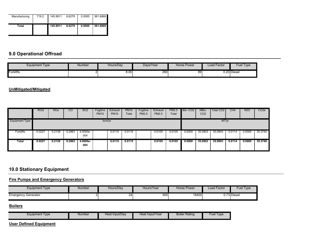| ,,,,,,,,,,,,,,,,,,<br>Manufacturing | 719.2 | I<br>145.9911 | 8.6278 | 0.0000 | 361.6868 |
|-------------------------------------|-------|---------------|--------|--------|----------|
| Total                               |       | 145.9911      | 8.6278 | 0.0000 | 361.6868 |

## **9.0 Operational Offroad**

| <b>Equipment Type</b> | <b>Number</b> | Hours/Day | Davs/Year | Horse Power | Load Factor | Fuel Type   |
|-----------------------|---------------|-----------|-----------|-------------|-------------|-------------|
| Forklifts             |               | 8.00      | 260       | 89          |             | 0.20 Diesel |

#### **UnMitigated/Mitigated**

|                | <b>ROG</b> | <b>NOx</b> | $\overline{c}$ | SO <sub>2</sub> | Fugitive<br><b>PM10</b> | Exhaust<br><b>PM10</b> | <b>PM10</b><br>Total | Fugitive<br><b>PM2.5</b> | Exhaust<br><b>PM2.5</b> | <b>PM2.5</b><br>Total | Bio-CO <sub>2</sub> | NBio-<br>CO <sub>2</sub> | Total CO <sub>2</sub> | CH4    | <b>N2O</b> | CO <sub>2</sub> e |
|----------------|------------|------------|----------------|-----------------|-------------------------|------------------------|----------------------|--------------------------|-------------------------|-----------------------|---------------------|--------------------------|-----------------------|--------|------------|-------------------|
| Equipment Type |            |            |                |                 | tons/yr                 |                        |                      |                          |                         |                       |                     |                          | MT/yr                 |        |            |                   |
| Forklifts      | 0.0227     | 0.2139     | 0.2963         | 4.0000e-<br>004 |                         | 0.0115                 | 0.0115               |                          | 0.0105                  | 0.0105                | 0.0000              | 35.0903                  | 35.0903               | 0.0114 | 0.0000     | 35.3740           |
| Total          | 0.0227     | 0.2139     | 0.2963         | 4.0000e-<br>004 |                         | 0.0115                 | 0.0115               |                          | 0.0105                  | 0.0105                | 0.0000              | 35.0903                  | 35,0903               | 0.0114 | 0.0000     | 35.3740           |

# **10.0 Stationary Equipment**

## **Fire Pumps and Emergency Generators**

| Equipment Type             | Number | Hours/Day | Hours/Year | Horse Power | Load Factor | Fuel Type   |
|----------------------------|--------|-----------|------------|-------------|-------------|-------------|
| <b>Emergency Generator</b> |        | - - -     | 500        | 18400       |             | 0.73 Diesel |

#### **Boilers**

| Equipment Type | Number | Heat Input/Dav | Heat Input/Year | <b>Boiler Rating</b> | ∃uel<br>l ype |
|----------------|--------|----------------|-----------------|----------------------|---------------|

### **User Defined Equipment**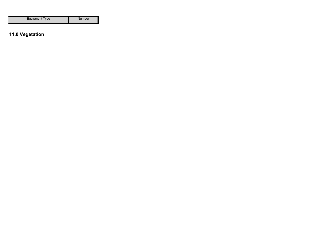| Equipment Type | Number |
|----------------|--------|
|----------------|--------|

# **11.0 Vegetation**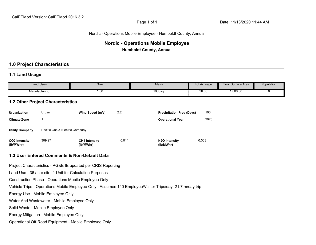#### Nordic - Operations Mobile Employee - Humboldt County, Annual

## **Nordic - Operations Mobile Employee Humboldt County, Annual**

#### **1.0 Project Characteristics**

#### **1.1 Land Usage**

| Land Uses     | Size | <b>Metric</b> | Lot Acreage | Surface Area<br>$\overline{\phantom{a}}$ lool | Population |
|---------------|------|---------------|-------------|-----------------------------------------------|------------|
| Manufacturing | 1.OC | $1000$ sqt    | 36.00       | ,000.00                                       |            |

#### **1.2 Other Project Characteristics**

| <b>Urbanization</b>               | Urban                          | Wind Speed (m/s)                  | 2.2   | <b>Precipitation Freg (Days)</b>        | 103   |
|-----------------------------------|--------------------------------|-----------------------------------|-------|-----------------------------------------|-------|
| <b>Climate Zone</b>               |                                |                                   |       | <b>Operational Year</b>                 | 2026  |
| <b>Utility Company</b>            | Pacific Gas & Electric Company |                                   |       |                                         |       |
| <b>CO2 Intensity</b><br>(lb/MWhr) | 309.97                         | <b>CH4 Intensity</b><br>(lb/MWhr) | 0.014 | N <sub>2</sub> O Intensity<br>(lb/MWhr) | 0.003 |

#### **1.3 User Entered Comments & Non-Default Data**

Project Characteristics - PG&E IE updated per CRIS Reporting

Land Use - 36 acre site, 1 Unit for Calculation Purposes

Construction Phase - Operations Mobile Employee Only

Vehicle Trips - Operations Mobile Employee Only. Assumes 140 Employee/Visitor Trips/day, 21.7 m/day trip

Energy Use - Mobile Employee Only

Water And Wastewater - Mobile Employee Only

Solid Waste - Mobile Employee Only

Energy Mitigation - Mobile Employee Only

Operational Off-Road Equipment - Mobile Employee Only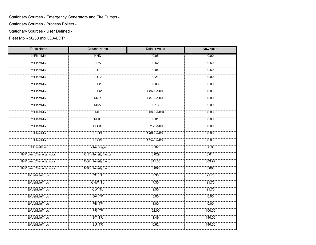Stationary Sources - Emergency Generators and Fire Pumps -

Stationary Sources - Process Boilers -

Stationary Sources - User Defined -

Fleet Mix - 50/50 mix LDA/LDT1

| <b>Table Name</b>         | <b>Column Name</b> | <b>Default Value</b> | <b>New Value</b> |
|---------------------------|--------------------|----------------------|------------------|
| tblFleetMix               | <b>HHD</b>         | 0.05                 | 0.00             |
| tblFleetMix               | LDA                | 0.52                 | 0.50             |
| tblFleetMix               | LDT1               | 0.04                 | 0.50             |
| tblFleetMix               | LDT <sub>2</sub>   | 0.21                 | 0.00             |
| tblFleetMix               | LHD1               | 0.03                 | 0.00             |
| tblFleetMix               | LHD <sub>2</sub>   | 4.8690e-003          | 0.00             |
| tblFleetMix               | <b>MCY</b>         | 4.8730e-003          | 0.00             |
| tblFleetMix               | <b>MDV</b>         | 0.13                 | 0.00             |
| tblFleetMix               | <b>MH</b>          | 6.0600e-004          | 0.00             |
| tblFleetMix               | <b>MHD</b>         | 0.01                 | 0.00             |
| tblFleetMix               | <b>OBUS</b>        | 3.7120e-003          | 0.00             |
| tblFleetMix               | <b>SBUS</b>        | 1.4630e-003          | 0.00             |
| tblFleetMix               | <b>UBUS</b>        | 1.2470e-003          | 0.00             |
| tblLandUse                | LotAcreage         | 0.02                 | 36.00            |
| tblProjectCharacteristics | CH4IntensityFactor | 0.029                | 0.014            |
| tblProjectCharacteristics | CO2IntensityFactor | 641.35               | 309.97           |
| tblProjectCharacteristics | N2OIntensityFactor | 0.006                | 0.003            |
| tblVehicleTrips           | $CC$ _TL           | 7.30                 | 21.70            |
| tblVehicleTrips           | CNW_TL             | 7.30                 | 21.70            |
| tblVehicleTrips           | $CW_TL$            | 9.50                 | 21.70            |
| tblVehicleTrips           | DV_TP              | 5.00                 | 0.00             |
| tblVehicleTrips           | PB                 | 3.00                 | 0.00             |
| tblVehicleTrips           | PR_TP              | 92.00                | 100.00           |
| tblVehicleTrips           | $ST_T$ $R$         | 1.49                 | 140.00           |
| tblVehicleTrips           | SU_TR              | 0.62                 | 140.00           |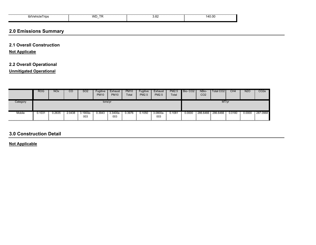| rips<br>tbive'<br><u>in the second contract of the second contract of the second contract of the second contract of the second contract of the second contract of the second contract of the second contract of the second contract of the second </u> | WL | oc.<br><u></u> | . A L<br>. |  |
|--------------------------------------------------------------------------------------------------------------------------------------------------------------------------------------------------------------------------------------------------------|----|----------------|------------|--|
|                                                                                                                                                                                                                                                        |    |                |            |  |

## **2.0 Emissions Summary**

## **2.1 Overall Construction**

**Not Applicabe**

## **2.2 Overall Operational**

**Unmitigated Operational**

|          | <b>ROG</b> | <b>NO<sub>x</sub></b> | CO     | <b>SO2</b>      | Fugitive<br><b>PM10</b> | Exhaust<br><b>PM10</b> | <b>PM10</b><br>Total | Fugitive<br><b>PM2.5</b> | Exhaust<br><b>PM2.5</b> | <b>PM2.5</b><br>Total | Bio-CO <sub>2</sub> | NBio-<br>CO <sub>2</sub> | Total CO <sub>2</sub> | CH <sub>4</sub> | <b>N2O</b> | CO <sub>2</sub> e |
|----------|------------|-----------------------|--------|-----------------|-------------------------|------------------------|----------------------|--------------------------|-------------------------|-----------------------|---------------------|--------------------------|-----------------------|-----------------|------------|-------------------|
| Category | tons/yr    |                       |        |                 |                         |                        |                      |                          |                         |                       | MT/yr               |                          |                       |                 |            |                   |
| Mobile   | J.1031     | 0.2635                | 2.0438 | 3.1900e-<br>003 | 0.3943                  | 3.3400e-<br>003        | 0.3976               | 0.1050                   | 3.0800e-<br>003         | 0.1081                | 0.0000              | 286.6466                 | 286.6466              | 0.0180          | 0.0000     | 287.0968          |

## **3.0 Construction Detail**

**Not Applicable**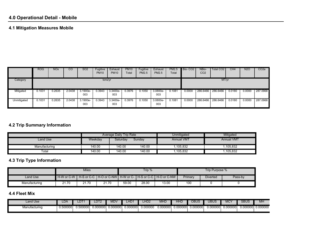## **4.1 Mitigation Measures Mobile**

|             | ROG     | <b>NO<sub>x</sub></b> | CO     | SO <sub>2</sub> | Fugitive<br><b>PM10</b> | Exhaust<br><b>PM10</b> | <b>PM10</b><br>Total | Fugitive<br>PM2.5 | Exhaust<br><b>PM2.5</b> | <b>PM2.5</b><br>Total | Bio-CO <sub>2</sub> | NBio-<br>CO <sub>2</sub> | Total CO2 | CH4    | <b>N2O</b> | CO <sub>2e</sub> |
|-------------|---------|-----------------------|--------|-----------------|-------------------------|------------------------|----------------------|-------------------|-------------------------|-----------------------|---------------------|--------------------------|-----------|--------|------------|------------------|
| Category    | tons/yr |                       |        |                 |                         |                        |                      |                   |                         |                       | MT/yr               |                          |           |        |            |                  |
| Mitigated   | 0.1031  | 0.2635                | 2.0438 | 3.1900e-<br>003 | 0.3943                  | 3.3400e-<br>003        | 0.3976               | 0.1050            | 3.0800e-<br>003         | 0.1081                | 0.0000              | 286.6466                 | 286.6466  | 0.0180 | 0.0000     | 287.0968         |
| Unmitigated | 0.1031  | 0.2635                | 2.0438 | 3.1900e-<br>003 | 0.3943                  | 3.3400e-<br>003        | 0.3976               | 0.1050            | 3.0800e-<br>003         | 0.1081                | 0.0000              | 286.6466                 | 286.6466  | 0.0180 | 0.0000     | 287.0968         |

## **4.2 Trip Summary Information**

|               |         | <b>Average Daily Trip Rate</b> |        | Unmitigated       | Mitigated         |
|---------------|---------|--------------------------------|--------|-------------------|-------------------|
| Land Use      | Weekday | Saturday                       | Sunday | <b>Annual VMT</b> | <b>Annual VMT</b> |
| Manufacturing | 140.00  | 140.00                         | 140.00 | 105,832           | 1,105,832         |
| Total         | 140.00  | 140.00                         | 140.00 | 105,832           | ,105,832          |

## **4.3 Trip Type Information**

|               |                         | Miles |       |          | Trip % |                                                                              | Trip Purpose % |                 |         |  |  |
|---------------|-------------------------|-------|-------|----------|--------|------------------------------------------------------------------------------|----------------|-----------------|---------|--|--|
| Land Use      |                         |       |       | $\cdots$ |        | H-W or C-W   H-S or C-C   H-O or C-NW   H-W or C-   H-S or C-C   H-O or C-NW | Primary        | <b>Diverted</b> | Pass-by |  |  |
| Manufacturing | ົາ<br>.70<br><b>41.</b> | .70   | 21.70 | 59.00    | 28.00  | 13.00                                                                        | 100            |                 |         |  |  |

#### **4.4 Fleet Mix**

| Land Use      | LDA.     | $\overline{\phantom{a}}$<br>∼ | DT2          | <b>MDV</b> | $\sim$ 100 $\sim$ | HD <sub>2</sub> | <b>MHD</b> | HHD      | OBUS           | $\overline{B}$<br>- - - - - - - | $\sim$<br>m                 | SBUS     | MH                   |
|---------------|----------|-------------------------------|--------------|------------|-------------------|-----------------|------------|----------|----------------|---------------------------------|-----------------------------|----------|----------------------|
| Manufacturing | J.500000 | .500000                       | $0.000000$ ر | 0.000000   | 0.000000          | 000000          | 0.00000    | 0.000000 | JOOO.<br>U.UU. | 0.000000                        | $\sim$ $\sim$ $\sim$<br>ገ00 | 0.000000 | $\cdots$<br>0.000000 |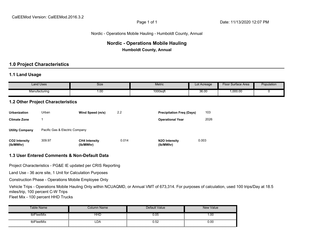### Nordic - Operations Mobile Hauling - Humboldt County, Annual

## **Nordic - Operations Mobile Hauling Humboldt County, Annual**

## **1.0 Project Characteristics**

## **1.1 Land Usage**

| Land Uses     | Size | Metric                | Lot Acreage | Surface Area<br>Чoо⊩ | Population |
|---------------|------|-----------------------|-------------|----------------------|------------|
| Manufacturing | 1.OC | $\sqrt{2}$<br>1000sqt | 36.00       | ,000.00              |            |

## **1.2 Other Project Characteristics**

| <b>Urbanization</b>               | Urban                          | Wind Speed (m/s)                  | 2.2   | <b>Precipitation Freg (Days)</b>        | 103   |
|-----------------------------------|--------------------------------|-----------------------------------|-------|-----------------------------------------|-------|
| <b>Climate Zone</b>               |                                |                                   |       | <b>Operational Year</b>                 | 2026  |
| <b>Utility Company</b>            | Pacific Gas & Electric Company |                                   |       |                                         |       |
| <b>CO2 Intensity</b><br>(lb/MWhr) | 309.97                         | <b>CH4 Intensity</b><br>(lb/MWhr) | 0.014 | N <sub>2</sub> O Intensity<br>(lb/MWhr) | 0.003 |

## **1.3 User Entered Comments & Non-Default Data**

Project Characteristics - PG&E IE updated per CRIS Reporting

Land Use - 36 acre site, 1 Unit for Calculation Purposes

Construction Phase - Operations Mobile Employee Only

Vehicle Trips - Operations Mobile Hauling Only within NCUAQMD, or Annual VMT of 673,314. For purposes of calculation, used 100 trips/Day at 18.5 miles/trip, 100 percent C-W Trips

Fleet Mix - 100 percent HHD Trucks

| able Name       | Column Name | Default Value | New Value |
|-----------------|-------------|---------------|-----------|
| tblFleetMix<br> | HHD<br><br> | 0.05<br>      | .00،      |
| tblFleetMix     | ∟DA         | 0.52          | 0.00      |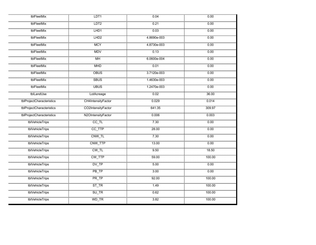| tblFleetMix               | LDT <sub>1</sub>   | 0.04        | 0.00   |
|---------------------------|--------------------|-------------|--------|
| tblFleetMix               | LDT <sub>2</sub>   | 0.21        | 0.00   |
| tblFleetMix               | LHD1               | 0.03        | 0.00   |
| tblFleetMix               | LHD <sub>2</sub>   | 4.8690e-003 | 0.00   |
| tblFleetMix               | <b>MCY</b>         | 4.8730e-003 | 0.00   |
| tblFleetMix               | MDV                | 0.13        | 0.00   |
| tblFleetMix               | <b>MH</b>          | 6.0600e-004 | 0.00   |
| tblFleetMix               | <b>MHD</b>         | 0.01        | 0.00   |
| tblFleetMix               | <b>OBUS</b>        | 3.7120e-003 | 0.00   |
| tblFleetMix               | <b>SBUS</b>        | 1.4630e-003 | 0.00   |
| tblFleetMix               | <b>UBUS</b>        | 1.2470e-003 | 0.00   |
| tblLandUse                | LotAcreage         | 0.02        | 36.00  |
| tblProjectCharacteristics | CH4IntensityFactor | 0.029       | 0.014  |
| tblProjectCharacteristics | CO2IntensityFactor | 641.35      | 309.97 |
| tblProjectCharacteristics | N2OIntensityFactor | 0.006       | 0.003  |
| tblVehicleTrips           | $CC$ _TL           | 7.30        | 0.00   |
| tblVehicleTrips           | CC_TTP             | 28.00       | 0.00   |
| tblVehicleTrips           | CNW_TL             | 7.30        | 0.00   |
| tblVehicleTrips           | CNW_TTP            | 13.00       | 0.00   |
| tblVehicleTrips           | CW_TL              | 9.50        | 18.50  |
| tblVehicleTrips           | CW_TTP             | 59.00       | 100.00 |
| tblVehicleTrips           | DV_TP              | 5.00        | 0.00   |
| tblVehicleTrips           | $PB$ _TP           | 3.00        | 0.00   |
| tblVehicleTrips           | PR_TP              | 92.00       | 100.00 |
| tblVehicleTrips           | $ST_TR$            | 1.49        | 100.00 |
| tblVehicleTrips           | SU_TR              | 0.62        | 100.00 |
| tblVehicleTrips           | WD_TR              | 3.82        | 100.00 |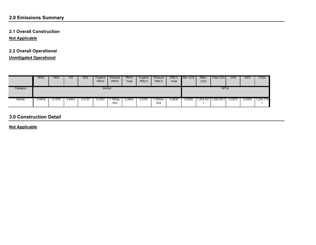## **2.0 Emissions Summary**

## **2.1 Overall Construction**

**Not Applicable**

## **2.2 Overall Operational**

**Unmitigated Operational**

|          | <b>ROG</b> | <b>NO<sub>x</sub></b> | CO     | <b>SO2</b> | Fugitive<br><b>PM10</b> | Exhaust<br><b>PM10</b> | <b>PM10</b><br>Total | Fugitive<br><b>PM2.5</b> | Exhaust<br><b>PM2.5</b> | <b>PM2.5</b><br>Total | Bio-CO <sub>2</sub> | NBio-<br>CO <sub>2</sub> | Total CO <sub>2</sub> | CH4    | <b>N2O</b> | CO <sub>2</sub> e |
|----------|------------|-----------------------|--------|------------|-------------------------|------------------------|----------------------|--------------------------|-------------------------|-----------------------|---------------------|--------------------------|-----------------------|--------|------------|-------------------|
| Category | tons/yr    |                       |        |            |                         |                        |                      |                          | MT/yr                   |                       |                     |                          |                       |        |            |                   |
| Mobile   | 0.0918     | 3.1575                | 0.6441 | 0.0127     | 0.2767                  | $.7600e-$<br>003       | 0.2845               | 0.0761                   | 7.4200e-<br>003         | 0.0836                | 0.0000              |                          | 1,204.031 1,204.0311  | 0.0275 | 0.0000     | 1,204.719         |

## **3.0 Construction Detail**

**Not Applicable**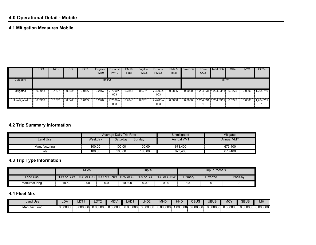## **4.1 Mitigation Measures Mobile**

|             | <b>ROG</b> | <b>NO<sub>x</sub></b> | <sub>CO</sub> | SO <sub>2</sub> | Fugitive<br><b>PM10</b> | Exhaust<br><b>PM10</b> | <b>PM10</b><br>Total | Fugitive<br><b>PM2.5</b> | Exhaust<br>PM2.5 | PM2.5<br>Total | Bio-CO <sub>2</sub> | NBio-<br>CO <sub>2</sub> | Total CO <sub>2</sub> | CH <sub>4</sub> | <b>N2O</b> | CO <sub>2</sub> e |
|-------------|------------|-----------------------|---------------|-----------------|-------------------------|------------------------|----------------------|--------------------------|------------------|----------------|---------------------|--------------------------|-----------------------|-----------------|------------|-------------------|
| Category    | tons/yr    |                       |               |                 |                         |                        |                      |                          |                  |                | MT/yr               |                          |                       |                 |            |                   |
| Mitigated   | 0.0918     | 3.1575                | 0.6441        | 0.0127          | 0.2767                  | $7.7600e-$<br>003      | 0.2845               | 0.0761                   | 7.4200e-<br>003  | 0.0836         | 0.0000              | 1,204.031                | 1,204.0311            | 0.0275          | 0.0000     | 1,204.719         |
| Unmitigated | 0.0918     | 3.1575                | 0.6441        | 0.0127          | 0.2767                  | 7.7600e-<br>003        | 0.2845               | 0.0761                   | 7.4200e-<br>003  | 0.0836         | 0.0000              | 1,204.031                | 1,204.0311            | 0.0275          | 0.0000     | ,204.719          |

## **4.2 Trip Summary Information**

|                      |         | Average Daily Trip Rate |        | Unmitigated       | Mitigated         |
|----------------------|---------|-------------------------|--------|-------------------|-------------------|
| Land Use             | Weekday | Saturday                | Sunday | <b>Annual VMT</b> | <b>Annual VMT</b> |
| Manufacturing        | 100.00  | 100.00                  | 100.00 | 673.400           | 673.400           |
| $\tau_{\text{otal}}$ | 100.00  | 100.00                  | 100.00 | 673,400           | 673,400           |

# **4.3 Trip Type Information**

|               |       | Miles |          |        | Trip %                                                                       |                                       | Trip Purpose % |  |  |  |  |
|---------------|-------|-------|----------|--------|------------------------------------------------------------------------------|---------------------------------------|----------------|--|--|--|--|
| Land Use      |       |       | $\cdots$ |        | ▌H-W or C-W ┃ H-S or C-C ┃H-O or C-NW┃ H-W or C- ┃H-S or C-C ┃ H-O or C-NW ┃ | Primary<br><b>Diverted</b><br>Pass-by |                |  |  |  |  |
| Manufacturing | 18.50 | 0.00  | 0.00     | 100.00 | 0.00                                                                         | 0.00                                  | 100            |  |  |  |  |

#### **4.4 Fleet Mix**

| Land Use      | LDA.     | ╜        | प D1∠   | <b>MDV</b> | <b>TID</b> | _HD2    | <b>MHD</b> | HF      | OBUS           | <b>JBUS</b> | $\overline{\phantom{0}}$<br>۷IU | <b>SBUS</b> | MH       |
|---------------|----------|----------|---------|------------|------------|---------|------------|---------|----------------|-------------|---------------------------------|-------------|----------|
| 4anufacturing | 0.000000 | 0.000000 | 000000. | 0.000000   | 0.000000   | .000000 | 0.000000   | .000000 | <u>າ00000⊫</u> | 0.000000    | 0.000000                        | 0.000000    | 0.000000 |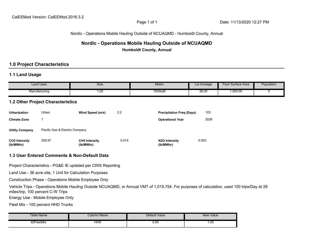Nordic - Operations Mobile Hauling Outside of NCUAQMD - Humboldt County, Annual

## **Nordic - Operations Mobile Hauling Outside of NCUAQMD Humboldt County, Annual**

## **1.0 Project Characteristics**

## **1.1 Land Usage**

| $\cdots$<br>Land Uses | <b>Size</b> | <b>Metric</b> | Lot Acreage | Surface Area<br>·loor | Population |
|-----------------------|-------------|---------------|-------------|-----------------------|------------|
| Manufacturing         | 00.1        | $1000$ sqft   | 36.00       | 1,000.00              |            |
|                       |             |               |             |                       |            |

## **1.2 Other Project Characteristics**

| Urbanization                      | Urban                          | Wind Speed (m/s)                  | 2.2   | <b>Precipitation Freg (Days)</b>        | 103   |
|-----------------------------------|--------------------------------|-----------------------------------|-------|-----------------------------------------|-------|
| <b>Climate Zone</b>               |                                |                                   |       | <b>Operational Year</b>                 | 2026  |
| <b>Utility Company</b>            | Pacific Gas & Electric Company |                                   |       |                                         |       |
| <b>CO2 Intensity</b><br>(lb/MWhr) | 309.97                         | <b>CH4 Intensity</b><br>(lb/MWhr) | 0.014 | N <sub>2</sub> O Intensity<br>(lb/MWhr) | 0.003 |

## **1.3 User Entered Comments & Non-Default Data**

Project Characteristics - PG&E IE updated per CRIS Reporting

Land Use - 36 acre site, 1 Unit for Calculation Purposes

Construction Phase - Operations Mobile Employee Only

Vehicle Trips - Operations Mobile Hauling Outside NCUAQMD, or Annual VMT of 1,019,754. For purposes of calculation, used 100 trips/Day at 28 miles/trip, 100 percent C-W Trips

Energy Use - Mobile Employee Only

Fleet Mix - 100 percent HHD Trucks

| Table Name  | Column Name | Default Value | New Value |
|-------------|-------------|---------------|-----------|
| tblFleetMix | HHL         | 0.05          | 00.1      |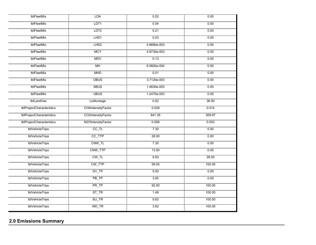| tblFleetMix               | LDA                   | 0.52        | 0.00   |
|---------------------------|-----------------------|-------------|--------|
| tblFleetMix               | LDT <sub>1</sub>      | 0.04        | 0.00   |
| tblFleetMix               | LDT <sub>2</sub>      | 0.21        | 0.00   |
| tblFleetMix               | LHD1                  | 0.03        | 0.00   |
| tblFleetMix               | LHD <sub>2</sub>      | 4.8690e-003 | 0.00   |
| tblFleetMix               | <b>MCY</b>            | 4.8730e-003 | 0.00   |
| tblFleetMix               | <b>MDV</b>            | 0.13        | 0.00   |
| tblFleetMix               | <b>MH</b>             | 6.0600e-004 | 0.00   |
| tblFleetMix               | <b>MHD</b>            | 0.01        | 0.00   |
| tblFleetMix               | <b>OBUS</b>           | 3.7120e-003 | 0.00   |
| tblFleetMix               | <b>SBUS</b>           | 1.4630e-003 | 0.00   |
| tblFleetMix               | <b>UBUS</b>           | 1.2470e-003 | 0.00   |
| tblLandUse                | LotAcreage            | 0.02        | 36.00  |
| tblProjectCharacteristics | CH4IntensityFactor    | 0.029       | 0.014  |
| tblProjectCharacteristics | CO2IntensityFactor    | 641.35      | 309.97 |
| tblProjectCharacteristics | N2OIntensityFactor    | 0.006       | 0.003  |
| tblVehicleTrips           | $CC$ _TL              | 730         | 0.00   |
| tblVehicleTrips           | CC_TTP                | 28.00       | 0.00   |
| tblVehicleTrips           | CNW_TL                | 7.30        | 0.00   |
| tblVehicleTrips           | CNW_TTP               | 13.00       | 0.00   |
| tblVehicleTrips           | $CW_TL$               | 9.50        | 28.00  |
| tblVehicleTrips           | CW_TTP                | 59.00       | 100.00 |
| tblVehicleTrips           | DV_TP                 | 5.00        | 0.00   |
| tblVehicleTrips           | $PB$ <sub>T</sub> $P$ | 3.00        | 0.00   |
| tblVehicleTrips           | PR_TP                 | 92.00       | 100.00 |
| tblVehicleTrips           | $ST_T$ $R$            | 1.49        | 100.00 |
| tblVehicleTrips           | $SU_T R$              | 0.62        | 100.00 |
| tblVehicleTrips           | WD_TR                 | 3.82        | 100.00 |

# **2.0 Emissions Summary**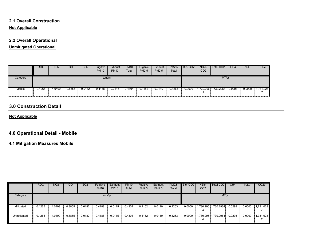## **Not Applicable 2.1 Overall Construction**

## **2.2 Overall Operational**

**Unmitigated Operational**

|          | <b>ROG</b> | <b>NOx</b> | CO     | SO <sub>2</sub> | Fugitive<br><b>PM10</b> | Exhaust<br><b>PM10</b> | PM <sub>10</sub><br>Total | Fugitive<br>PM2.5 | Exhaust<br>PM2.5 | PM2.5<br>Total | Bio-CO <sub>2</sub> | NBio-<br>CO <sub>2</sub> | Total CO2 I          | CH4    | <b>N2O</b> | CO <sub>2</sub> e |
|----------|------------|------------|--------|-----------------|-------------------------|------------------------|---------------------------|-------------------|------------------|----------------|---------------------|--------------------------|----------------------|--------|------------|-------------------|
| Category | tons/yr    |            |        |                 |                         |                        |                           |                   |                  |                |                     | MT/yr                    |                      |        |            |                   |
| Mobile   | 0.1265     | 4.0409     | 0.8855 | 0.0182          | 0.4188                  | 0.0115                 | 0.4304                    | 0.1152            | 0.0110           | 0.1263         | 0.0000              |                          | 1,730.296 1,730.2964 | 0.0293 | 0.0000     | 1,731.028         |

## **3.0 Construction Detail**

## **Not Applicable**

## **4.0 Operational Detail - Mobile**

## **4.1 Mitigation Measures Mobile**

|             | <b>ROG</b> | <b>NO<sub>x</sub></b> | CO     | SO <sub>2</sub> | Fugitive<br><b>PM10</b> | Exhaust<br><b>PM10</b> | <b>PM10</b><br>Total | Fugitive<br><b>PM2.5</b> | Exhaust<br><b>PM2.5</b> | PM2.5<br>Total | Bio-CO <sub>2</sub> | NBio-<br>CO <sub>2</sub> | Total CO2  | CH <sub>4</sub> | <b>N2O</b> | CO <sub>2e</sub> |
|-------------|------------|-----------------------|--------|-----------------|-------------------------|------------------------|----------------------|--------------------------|-------------------------|----------------|---------------------|--------------------------|------------|-----------------|------------|------------------|
| Category    | tons/yr    |                       |        |                 |                         |                        |                      |                          |                         |                |                     |                          | MT/yr      |                 |            |                  |
| Mitigated   | 0.1265     | 4.0409                | 0.8855 | 0.0182          | 0.4188                  | 0.0115                 | 0.4304               | 0.1152                   | 0.0110                  | 0.1263         | 0.0000              | ,730.296<br>Δ            | ,730.2964  | 0.0293          | 0.0000     | 1,731.028        |
| Unmitigated | 0.1265     | 4.0409                | 0.8855 | 0.0182          | 0.4188                  | 0.0115                 | 0.4304               | 0.1152                   | 0.0110                  | 0.1263         | 0.0000              | .730.296 1<br>4          | 1,730.2964 | 0.0293          | 0.0000     | 1,731.028        |